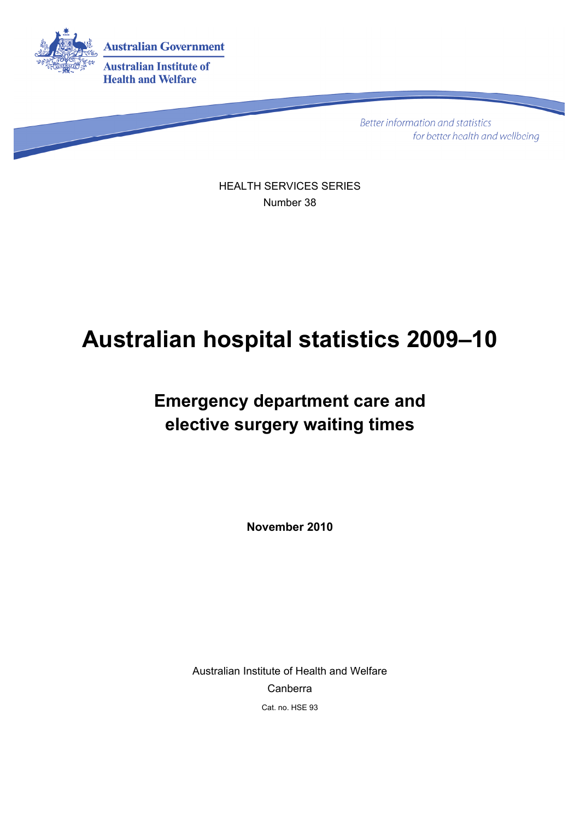

**Better information and statistics** for better health and wellbeing

HEALTH SERVICES SERIES Number 38

# **Australian hospital statistics 2009–10**

# **Emergency department care and elective surgery waiting times**

**November 2010** 

Australian Institute of Health and Welfare Canberra Cat. no. HSE 93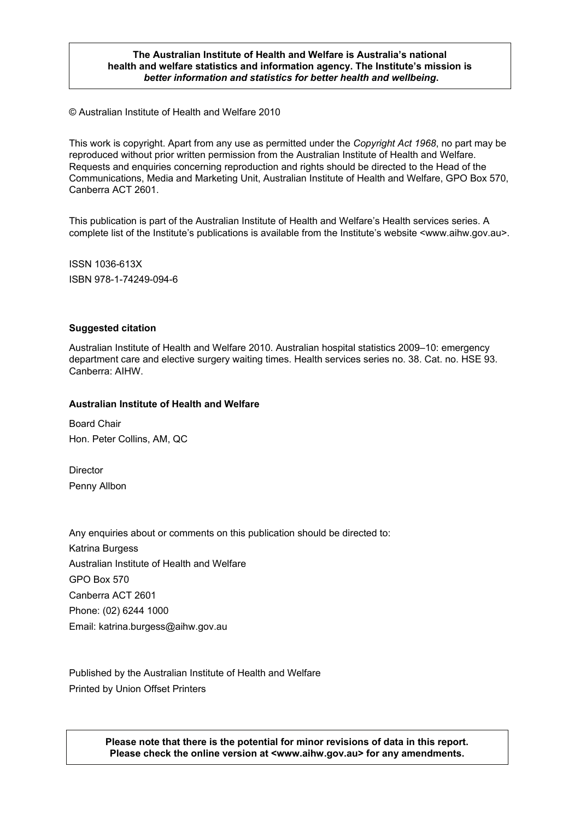#### **The Australian Institute of Health and Welfare is Australia's national health and welfare statistics and information agency. The Institute's mission is**  *better information and statistics for better health and wellbeing***.**

© Australian Institute of Health and Welfare 2010

This work is copyright. Apart from any use as permitted under the *Copyright Act 1968*, no part may be reproduced without prior written permission from the Australian Institute of Health and Welfare. Requests and enquiries concerning reproduction and rights should be directed to the Head of the Communications, Media and Marketing Unit, Australian Institute of Health and Welfare, GPO Box 570, Canberra ACT 2601.

This publication is part of the Australian Institute of Health and Welfare's Health services series. A complete list of the Institute's publications is available from the Institute's website <www.aihw.gov.au>.

ISSN 1036-613X ISBN 978-1-74249-094-6

#### **Suggested citation**

Australian Institute of Health and Welfare 2010. Australian hospital statistics 2009–10: emergency department care and elective surgery waiting times. Health services series no. 38. Cat. no. HSE 93. Canberra: AIHW.

#### **Australian Institute of Health and Welfare**

Board Chair Hon. Peter Collins, AM, QC

**Director** Penny Allbon

Any enquiries about or comments on this publication should be directed to: Katrina Burgess Australian Institute of Health and Welfare GPO Box 570 Canberra ACT 2601 Phone: (02) 6244 1000 Email: katrina.burgess@aihw.gov.au

Published by the Australian Institute of Health and Welfare Printed by Union Offset Printers

> **Please note that there is the potential for minor revisions of data in this report. Please check the online version at <www.aihw.gov.au> for any amendments.**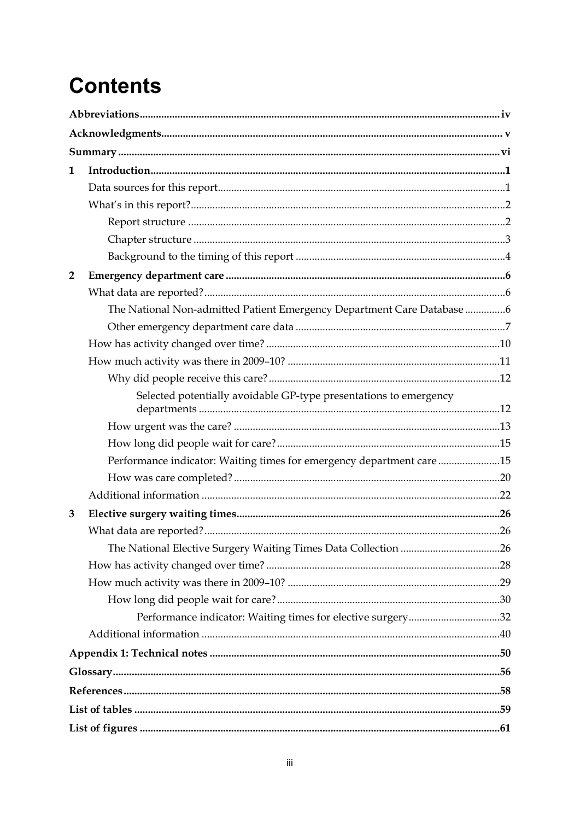# **Contents**

| $\mathbf{1}$   |                                                                        |  |
|----------------|------------------------------------------------------------------------|--|
|                |                                                                        |  |
|                |                                                                        |  |
|                |                                                                        |  |
|                |                                                                        |  |
|                |                                                                        |  |
| $\overline{2}$ |                                                                        |  |
|                |                                                                        |  |
|                | The National Non-admitted Patient Emergency Department Care Database 6 |  |
|                |                                                                        |  |
|                |                                                                        |  |
|                |                                                                        |  |
|                |                                                                        |  |
|                | Selected potentially avoidable GP-type presentations to emergency      |  |
|                |                                                                        |  |
|                |                                                                        |  |
|                |                                                                        |  |
|                | Performance indicator: Waiting times for emergency department care15   |  |
|                |                                                                        |  |
|                |                                                                        |  |
| 3              |                                                                        |  |
|                |                                                                        |  |
|                | The National Elective Surgery Waiting Times Data Collection 26         |  |
|                |                                                                        |  |
|                |                                                                        |  |
|                | Performance indicator: Waiting times for elective surgery32            |  |
|                |                                                                        |  |
|                |                                                                        |  |
|                |                                                                        |  |
|                |                                                                        |  |
|                |                                                                        |  |
|                |                                                                        |  |
|                |                                                                        |  |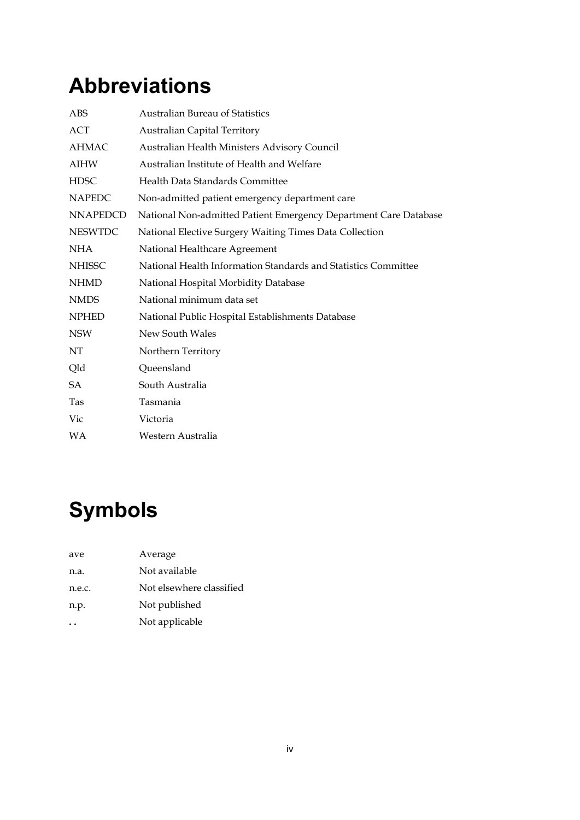# <span id="page-3-0"></span>**Abbreviations**

| ABS             | <b>Australian Bureau of Statistics</b>                           |
|-----------------|------------------------------------------------------------------|
| ACT             | <b>Australian Capital Territory</b>                              |
| AHMAC           | Australian Health Ministers Advisory Council                     |
| <b>AIHW</b>     | Australian Institute of Health and Welfare                       |
| <b>HDSC</b>     | Health Data Standards Committee                                  |
| <b>NAPEDC</b>   | Non-admitted patient emergency department care                   |
| <b>NNAPEDCD</b> | National Non-admitted Patient Emergency Department Care Database |
| <b>NESWTDC</b>  | National Elective Surgery Waiting Times Data Collection          |
| <b>NHA</b>      | National Healthcare Agreement                                    |
| <b>NHISSC</b>   | National Health Information Standards and Statistics Committee   |
| <b>NHMD</b>     | National Hospital Morbidity Database                             |
| <b>NMDS</b>     | National minimum data set                                        |
| <b>NPHED</b>    | National Public Hospital Establishments Database                 |
| <b>NSW</b>      | New South Wales                                                  |
| NΤ              | Northern Territory                                               |
| Qld             | Queensland                                                       |
| SA.             | South Australia                                                  |
| Tas             | Tasmania                                                         |
| Vic             | Victoria                                                         |
| WA              | Western Australia                                                |
|                 |                                                                  |

# **Symbols**

| ave    | Average                  |
|--------|--------------------------|
| n.a.   | Not available            |
| n.e.c. | Not elsewhere classified |
| n.p.   | Not published            |
|        | Not applicable           |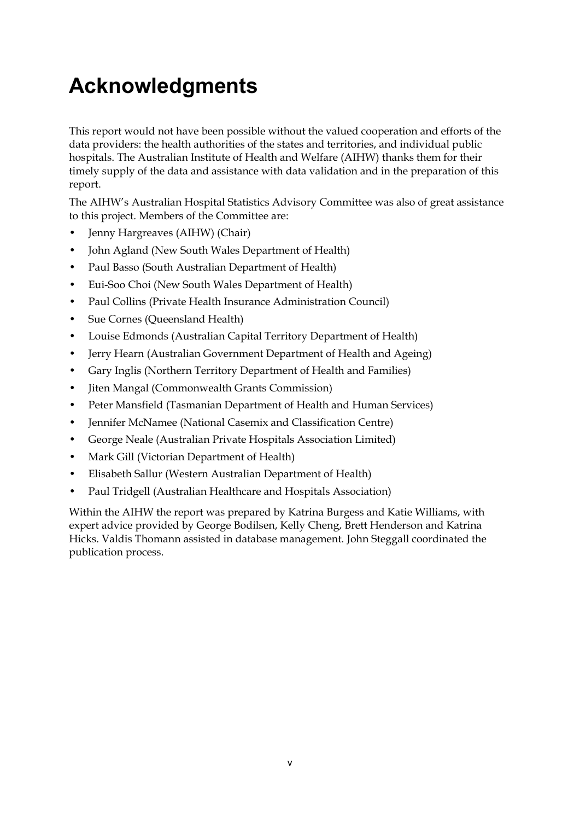# <span id="page-4-0"></span>**Acknowledgments**

This report would not have been possible without the valued cooperation and efforts of the data providers: the health authorities of the states and territories, and individual public hospitals. The Australian Institute of Health and Welfare (AIHW) thanks them for their timely supply of the data and assistance with data validation and in the preparation of this report.

The AIHW's Australian Hospital Statistics Advisory Committee was also of great assistance to this project. Members of the Committee are:

- Jenny Hargreaves (AIHW) (Chair)
- John Agland (New South Wales Department of Health)
- Paul Basso (South Australian Department of Health)
- Eui-Soo Choi (New South Wales Department of Health)
- Paul Collins (Private Health Insurance Administration Council)
- Sue Cornes (Queensland Health)
- Louise Edmonds (Australian Capital Territory Department of Health)
- Jerry Hearn (Australian Government Department of Health and Ageing)
- Gary Inglis (Northern Territory Department of Health and Families)
- Jiten Mangal (Commonwealth Grants Commission)
- Peter Mansfield (Tasmanian Department of Health and Human Services)
- Jennifer McNamee (National Casemix and Classification Centre)
- George Neale (Australian Private Hospitals Association Limited)
- Mark Gill (Victorian Department of Health)
- Elisabeth Sallur (Western Australian Department of Health)
- Paul Tridgell (Australian Healthcare and Hospitals Association)

Within the AIHW the report was prepared by Katrina Burgess and Katie Williams, with expert advice provided by George Bodilsen, Kelly Cheng, Brett Henderson and Katrina Hicks. Valdis Thomann assisted in database management. John Steggall coordinated the publication process.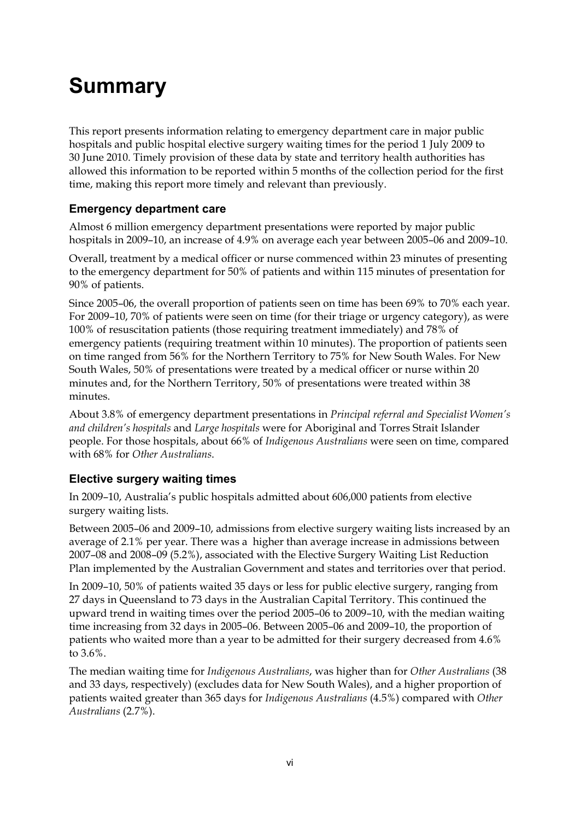# <span id="page-5-0"></span>**Summary**

This report presents information relating to emergency department care in major public hospitals and public hospital elective surgery waiting times for the period 1 July 2009 to 30 June 2010. Timely provision of these data by state and territory health authorities has allowed this information to be reported within 5 months of the collection period for the first time, making this report more timely and relevant than previously.

## **Emergency department care**

Almost 6 million emergency department presentations were reported by major public hospitals in 2009–10, an increase of 4.9% on average each year between 2005–06 and 2009–10.

Overall, treatment by a medical officer or nurse commenced within 23 minutes of presenting to the emergency department for 50% of patients and within 115 minutes of presentation for 90% of patients.

Since 2005–06, the overall proportion of patients seen on time has been 69% to 70% each year. For 2009–10, 70% of patients were seen on time (for their triage or urgency category), as were 100% of resuscitation patients (those requiring treatment immediately) and 78% of emergency patients (requiring treatment within 10 minutes). The proportion of patients seen on time ranged from 56% for the Northern Territory to 75% for New South Wales. For New South Wales, 50% of presentations were treated by a medical officer or nurse within 20 minutes and, for the Northern Territory, 50% of presentations were treated within 38 minutes.

About 3.8% of emergency department presentations in *Principal referral and Specialist Women's and children's hospitals* and *Large hospitals* were for Aboriginal and Torres Strait Islander people. For those hospitals, about 66% of *Indigenous Australians* were seen on time, compared with 68% for *Other Australians*.

## **Elective surgery waiting times**

In 2009–10, Australia's public hospitals admitted about 606,000 patients from elective surgery waiting lists.

Between 2005–06 and 2009–10, admissions from elective surgery waiting lists increased by an average of 2.1% per year. There was a higher than average increase in admissions between 2007–08 and 2008–09 (5.2%), associated with the Elective Surgery Waiting List Reduction Plan implemented by the Australian Government and states and territories over that period.

In 2009–10, 50% of patients waited 35 days or less for public elective surgery, ranging from 27 days in Queensland to 73 days in the Australian Capital Territory. This continued the upward trend in waiting times over the period 2005–06 to 2009–10, with the median waiting time increasing from 32 days in 2005–06. Between 2005–06 and 2009–10, the proportion of patients who waited more than a year to be admitted for their surgery decreased from 4.6% to 3.6%.

The median waiting time for *Indigenous Australians*, was higher than for *Other Australians* (38 and 33 days, respectively) (excludes data for New South Wales), and a higher proportion of patients waited greater than 365 days for *Indigenous Australians* (4.5%) compared with *Other Australians* (2.7%).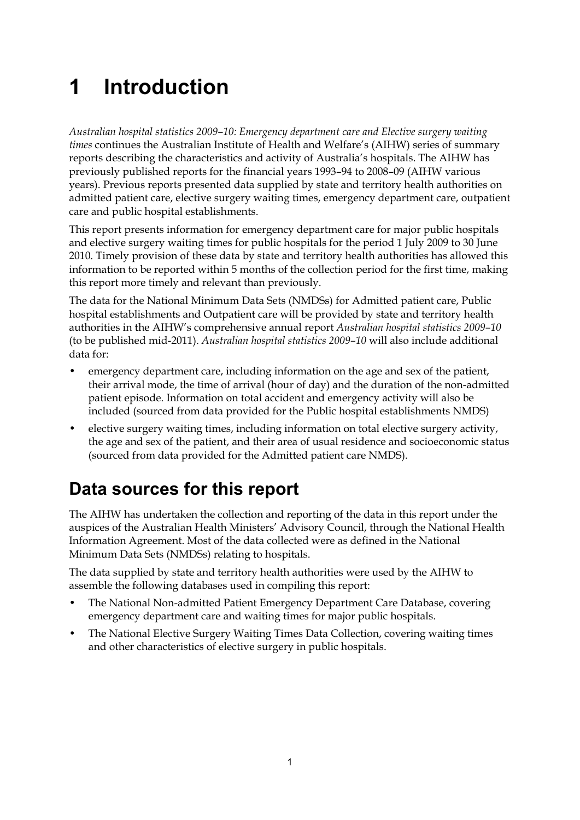# <span id="page-6-0"></span>**1 Introduction**

*Australian hospital statistics 2009–10: Emergency department care and Elective surgery waiting times* continues the Australian Institute of Health and Welfare's (AIHW) series of summary reports describing the characteristics and activity of Australia's hospitals. The AIHW has previously published reports for the financial years 1993–94 to 2008–09 (AIHW various years). Previous reports presented data supplied by state and territory health authorities on admitted patient care, elective surgery waiting times, emergency department care, outpatient care and public hospital establishments.

This report presents information for emergency department care for major public hospitals and elective surgery waiting times for public hospitals for the period 1 July 2009 to 30 June 2010. Timely provision of these data by state and territory health authorities has allowed this information to be reported within 5 months of the collection period for the first time, making this report more timely and relevant than previously.

The data for the National Minimum Data Sets (NMDSs) for Admitted patient care, Public hospital establishments and Outpatient care will be provided by state and territory health authorities in the AIHW's comprehensive annual report *Australian hospital statistics 2009–10* (to be published mid-2011). *Australian hospital statistics 2009–10* will also include additional data for:

- emergency department care, including information on the age and sex of the patient, their arrival mode, the time of arrival (hour of day) and the duration of the non-admitted patient episode. Information on total accident and emergency activity will also be included (sourced from data provided for the Public hospital establishments NMDS)
- elective surgery waiting times, including information on total elective surgery activity, the age and sex of the patient, and their area of usual residence and socioeconomic status (sourced from data provided for the Admitted patient care NMDS).

# <span id="page-6-1"></span>**Data sources for this report**

The AIHW has undertaken the collection and reporting of the data in this report under the auspices of the Australian Health Ministers' Advisory Council, through the National Health Information Agreement. Most of the data collected were as defined in the National Minimum Data Sets (NMDSs) relating to hospitals.

The data supplied by state and territory health authorities were used by the AIHW to assemble the following databases used in compiling this report:

- The National Non-admitted Patient Emergency Department Care Database, covering emergency department care and waiting times for major public hospitals.
- The National Elective Surgery Waiting Times Data Collection, covering waiting times and other characteristics of elective surgery in public hospitals.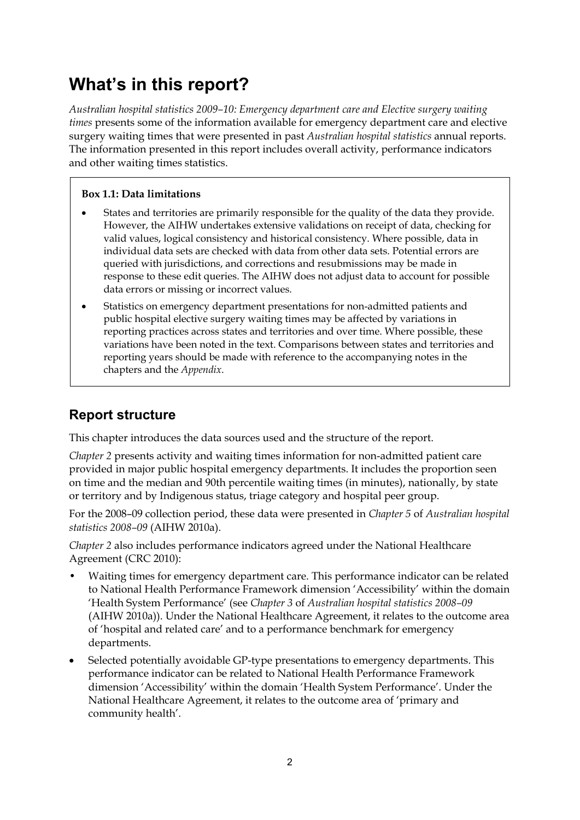# **What's in this report?**

*Australian hospital statistics 2009–10: Emergency department care and Elective surgery waiting times* presents some of the information available for emergency department care and elective surgery waiting times that were presented in past *Australian hospital statistics* annual reports. The information presented in this report includes overall activity, performance indicators and other waiting times statistics.

### **Box 1.1: Data limitations**

- States and territories are primarily responsible for the quality of the data they provide. However, the AIHW undertakes extensive validations on receipt of data, checking for valid values, logical consistency and historical consistency. Where possible, data in individual data sets are checked with data from other data sets. Potential errors are queried with jurisdictions, and corrections and resubmissions may be made in response to these edit queries. The AIHW does not adjust data to account for possible data errors or missing or incorrect values.
- Statistics on emergency department presentations for non-admitted patients and public hospital elective surgery waiting times may be affected by variations in reporting practices across states and territories and over time. Where possible, these variations have been noted in the text. Comparisons between states and territories and reporting years should be made with reference to the accompanying notes in the chapters and the *Appendix*.

# <span id="page-7-1"></span>**Report structure**

This chapter introduces the data sources used and the structure of the report.

*Chapter 2* presents activity and waiting times information for non-admitted patient care provided in major public hospital emergency departments. It includes the proportion seen on time and the median and 90th percentile waiting times (in minutes), nationally, by state or territory and by Indigenous status, triage category and hospital peer group.

For the 2008–09 collection period, these data were presented in *Chapter 5* of *Australian hospital statistics 2008–09* (AIHW 2010a).

*Chapter 2* also includes performance indicators agreed under the National Healthcare Agreement (CRC 2010):

- Waiting times for emergency department care. This performance indicator can be related to National Health Performance Framework dimension 'Accessibility' within the domain 'Health System Performance' (see *Chapter 3* of *Australian hospital statistics 2008–09*  (AIHW 2010a)). Under the National Healthcare Agreement, it relates to the outcome area of 'hospital and related care' and to a performance benchmark for emergency departments.
- <span id="page-7-0"></span> Selected potentially avoidable GP-type presentations to emergency departments. This performance indicator can be related to National Health Performance Framework dimension 'Accessibility' within the domain 'Health System Performance'. Under the National Healthcare Agreement, it relates to the outcome area of 'primary and community health'.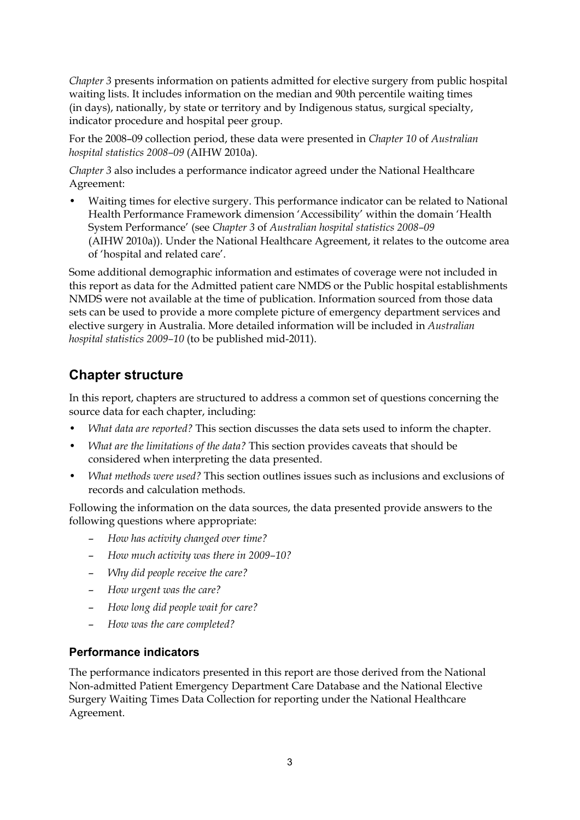*Chapter 3* presents information on patients admitted for elective surgery from public hospital waiting lists. It includes information on the median and 90th percentile waiting times (in days), nationally, by state or territory and by Indigenous status, surgical specialty, indicator procedure and hospital peer group.

For the 2008–09 collection period, these data were presented in *Chapter 10* of *Australian hospital statistics 2008–09* (AIHW 2010a).

*Chapter 3* also includes a performance indicator agreed under the National Healthcare Agreement:

• Waiting times for elective surgery. This performance indicator can be related to National Health Performance Framework dimension 'Accessibility' within the domain 'Health System Performance' (see *Chapter 3* of *Australian hospital statistics 2008–09*  (AIHW 2010a)). Under the National Healthcare Agreement, it relates to the outcome area of 'hospital and related care'.

Some additional demographic information and estimates of coverage were not included in this report as data for the Admitted patient care NMDS or the Public hospital establishments NMDS were not available at the time of publication. Information sourced from those data sets can be used to provide a more complete picture of emergency department services and elective surgery in Australia. More detailed information will be included in *Australian hospital statistics 2009–10* (to be published mid-2011).

# <span id="page-8-0"></span>**Chapter structure**

In this report, chapters are structured to address a common set of questions concerning the source data for each chapter, including:

- *What data are reported?* This section discusses the data sets used to inform the chapter.
- *What are the limitations of the data?* This section provides caveats that should be considered when interpreting the data presented.
- *What methods were used?* This section outlines issues such as inclusions and exclusions of records and calculation methods.

Following the information on the data sources, the data presented provide answers to the following questions where appropriate:

- *How has activity changed over time?*
- *How much activity was there in 2009–10?*
- *Why did people receive the care?*
- *How urgent was the care?*
- *How long did people wait for care?*
- *How was the care completed?*

#### **Performance indicators**

The performance indicators presented in this report are those derived from the National Non-admitted Patient Emergency Department Care Database and the National Elective Surgery Waiting Times Data Collection for reporting under the National Healthcare Agreement.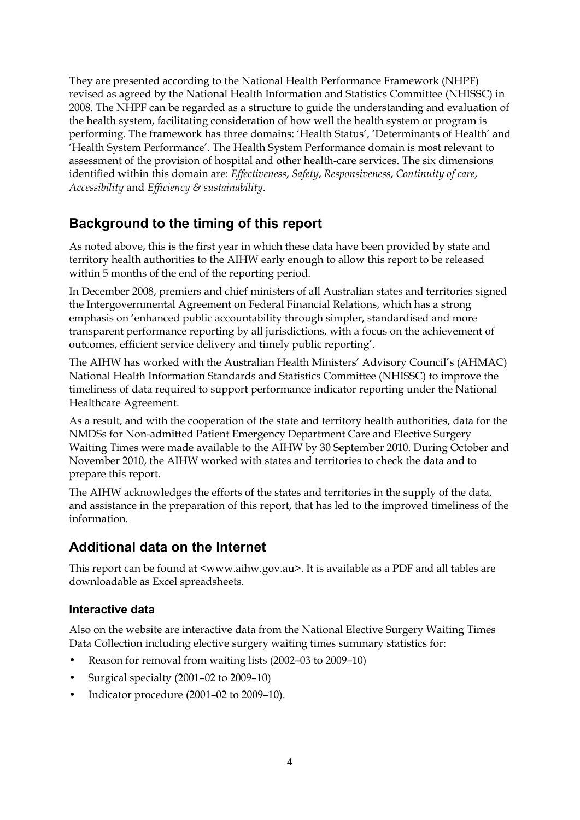They are presented according to the National Health Performance Framework (NHPF) revised as agreed by the National Health Information and Statistics Committee (NHISSC) in 2008. The NHPF can be regarded as a structure to guide the understanding and evaluation of the health system, facilitating consideration of how well the health system or program is performing. The framework has three domains: 'Health Status', 'Determinants of Health' and 'Health System Performance'. The Health System Performance domain is most relevant to assessment of the provision of hospital and other health-care services. The six dimensions identified within this domain are: *Effectiveness*, *Safety*, *Responsiveness*, *Continuity of care*, *Accessibility* and *Efficiency & sustainability*.

# <span id="page-9-0"></span>**Background to the timing of this report**

As noted above, this is the first year in which these data have been provided by state and territory health authorities to the AIHW early enough to allow this report to be released within 5 months of the end of the reporting period.

In December 2008, premiers and chief ministers of all Australian states and territories signed the Intergovernmental Agreement on Federal Financial Relations, which has a strong emphasis on 'enhanced public accountability through simpler, standardised and more transparent performance reporting by all jurisdictions, with a focus on the achievement of outcomes, efficient service delivery and timely public reporting'.

The AIHW has worked with the Australian Health Ministers' Advisory Council's (AHMAC) National Health Information Standards and Statistics Committee (NHISSC) to improve the timeliness of data required to support performance indicator reporting under the National Healthcare Agreement.

As a result, and with the cooperation of the state and territory health authorities, data for the NMDSs for Non-admitted Patient Emergency Department Care and Elective Surgery Waiting Times were made available to the AIHW by 30 September 2010. During October and November 2010, the AIHW worked with states and territories to check the data and to prepare this report.

The AIHW acknowledges the efforts of the states and territories in the supply of the data, and assistance in the preparation of this report, that has led to the improved timeliness of the information.

# **Additional data on the Internet**

This report can be found at <www.aihw.gov.au>. It is available as a PDF and all tables are downloadable as Excel spreadsheets.

## **Interactive data**

Also on the website are interactive data from the National Elective Surgery Waiting Times Data Collection including elective surgery waiting times summary statistics for:

- Reason for removal from waiting lists (2002–03 to 2009–10)
- Surgical specialty (2001–02 to 2009–10)
- Indicator procedure (2001–02 to 2009–10).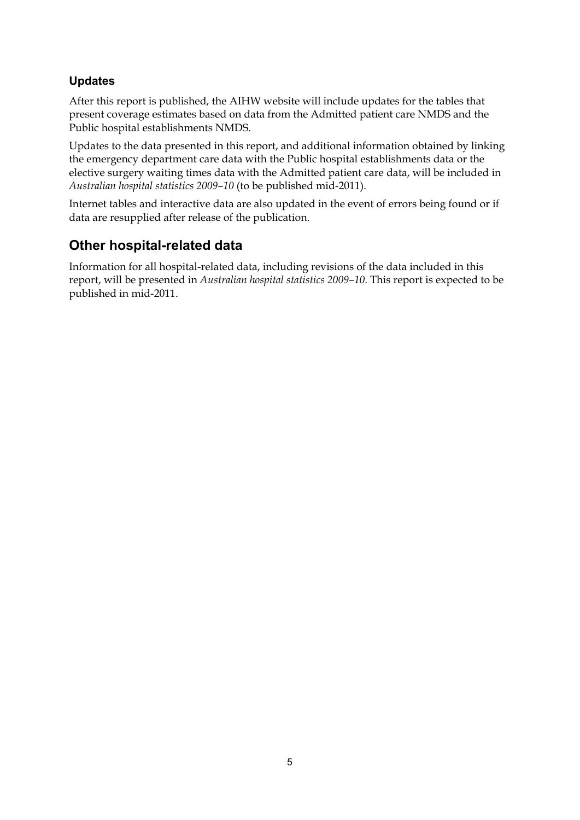## **Updates**

After this report is published, the AIHW website will include updates for the tables that present coverage estimates based on data from the Admitted patient care NMDS and the Public hospital establishments NMDS.

Updates to the data presented in this report, and additional information obtained by linking the emergency department care data with the Public hospital establishments data or the elective surgery waiting times data with the Admitted patient care data, will be included in *Australian hospital statistics 2009–10* (to be published mid-2011).

Internet tables and interactive data are also updated in the event of errors being found or if data are resupplied after release of the publication.

# **Other hospital-related data**

Information for all hospital-related data, including revisions of the data included in this report, will be presented in *Australian hospital statistics 2009–10*. This report is expected to be published in mid-2011.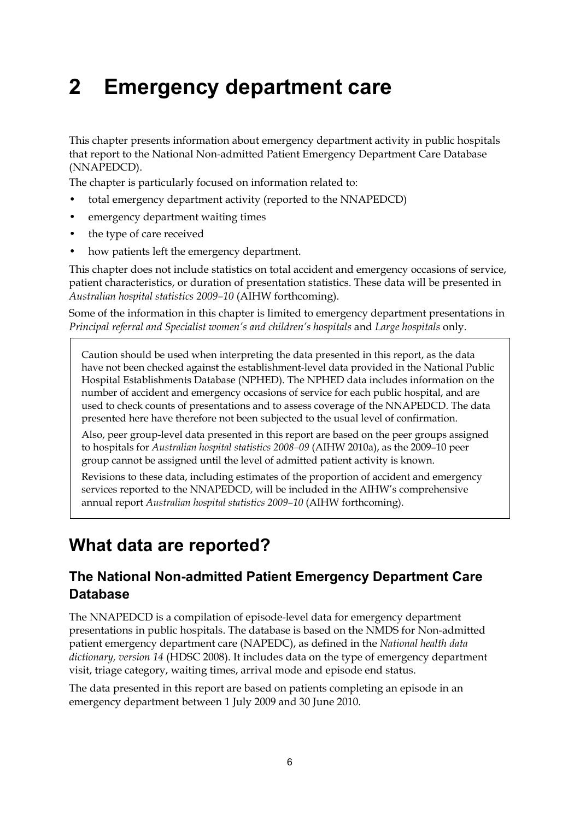# <span id="page-11-0"></span>**2 Emergency department care**

This chapter presents information about emergency department activity in public hospitals that report to the National Non-admitted Patient Emergency Department Care Database (NNAPEDCD).

The chapter is particularly focused on information related to:

- total emergency department activity (reported to the NNAPEDCD)
- emergency department waiting times
- the type of care received
- how patients left the emergency department.

This chapter does not include statistics on total accident and emergency occasions of service, patient characteristics, or duration of presentation statistics. These data will be presented in *Australian hospital statistics 2009–10* (AIHW forthcoming).

Some of the information in this chapter is limited to emergency department presentations in *Principal referral and Specialist women's and children's hospitals* and *Large hospitals* only.

Caution should be used when interpreting the data presented in this report, as the data have not been checked against the establishment-level data provided in the National Public Hospital Establishments Database (NPHED). The NPHED data includes information on the number of accident and emergency occasions of service for each public hospital, and are used to check counts of presentations and to assess coverage of the NNAPEDCD. The data presented here have therefore not been subjected to the usual level of confirmation.

Also, peer group-level data presented in this report are based on the peer groups assigned to hospitals for *Australian hospital statistics 2008–09* (AIHW 2010a), as the 2009–10 peer group cannot be assigned until the level of admitted patient activity is known.

Revisions to these data, including estimates of the proportion of accident and emergency services reported to the NNAPEDCD, will be included in the AIHW's comprehensive annual report *Australian hospital statistics 2009–10* (AIHW forthcoming).

# <span id="page-11-1"></span>**What data are reported?**

# <span id="page-11-2"></span>**The National Non-admitted Patient Emergency Department Care Database**

The NNAPEDCD is a compilation of episode-level data for emergency department presentations in public hospitals. The database is based on the NMDS for Non-admitted patient emergency department care (NAPEDC), as defined in the *National health data dictionary, version 14* (HDSC 2008). It includes data on the type of emergency department visit, triage category, waiting times, arrival mode and episode end status.

The data presented in this report are based on patients completing an episode in an emergency department between 1 July 2009 and 30 June 2010.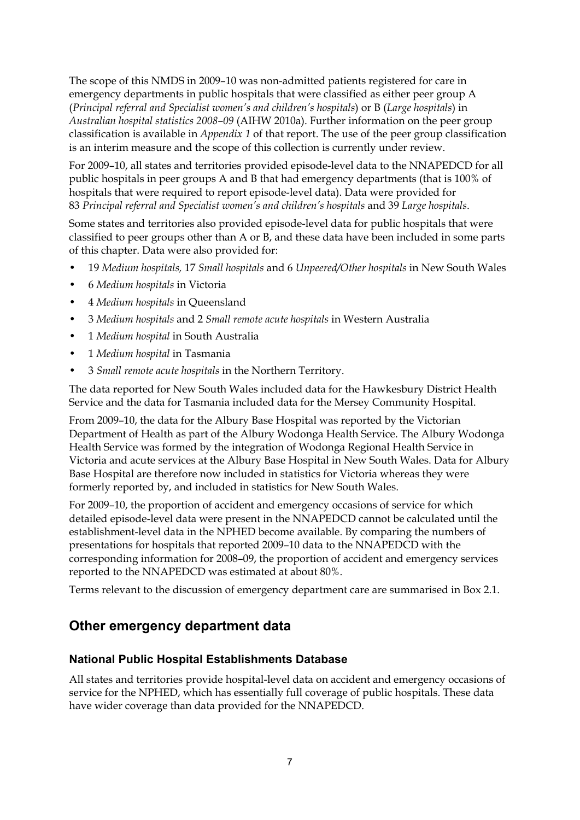The scope of this NMDS in 2009–10 was non-admitted patients registered for care in emergency departments in public hospitals that were classified as either peer group A (*Principal referral and Specialist women's and children's hospitals*) or B (*Large hospitals*) in *Australian hospital statistics 2008–09* (AIHW 2010a). Further information on the peer group classification is available in *Appendix 1* of that report. The use of the peer group classification is an interim measure and the scope of this collection is currently under review.

For 2009–10, all states and territories provided episode-level data to the NNAPEDCD for all public hospitals in peer groups A and B that had emergency departments (that is 100% of hospitals that were required to report episode-level data). Data were provided for 83 *Principal referral and Specialist women's and children's hospitals* and 39 *Large hospitals*.

Some states and territories also provided episode-level data for public hospitals that were classified to peer groups other than A or B, and these data have been included in some parts of this chapter. Data were also provided for:

- 19 *Medium hospitals,* 17 *Small hospitals* and 6 *Unpeered/Other hospitals* in New South Wales
- 6 *Medium hospitals* in Victoria
- 4 *Medium hospitals* in Queensland
- 3 *Medium hospitals* and 2 *Small remote acute hospitals* in Western Australia
- 1 *Medium hospital* in South Australia
- 1 *Medium hospital* in Tasmania
- 3 *Small remote acute hospitals* in the Northern Territory.

The data reported for New South Wales included data for the Hawkesbury District Health Service and the data for Tasmania included data for the Mersey Community Hospital.

From 2009–10, the data for the Albury Base Hospital was reported by the Victorian Department of Health as part of the Albury Wodonga Health Service. The Albury Wodonga Health Service was formed by the integration of Wodonga Regional Health Service in Victoria and acute services at the Albury Base Hospital in New South Wales. Data for Albury Base Hospital are therefore now included in statistics for Victoria whereas they were formerly reported by, and included in statistics for New South Wales.

For 2009–10, the proportion of accident and emergency occasions of service for which detailed episode-level data were present in the NNAPEDCD cannot be calculated until the establishment-level data in the NPHED become available. By comparing the numbers of presentations for hospitals that reported 2009–10 data to the NNAPEDCD with the corresponding information for 2008–09, the proportion of accident and emergency services reported to the NNAPEDCD was estimated at about 80%.

Terms relevant to the discussion of emergency department care are summarised in Box 2.1.

# <span id="page-12-0"></span>**Other emergency department data**

#### **National Public Hospital Establishments Database**

All states and territories provide hospital-level data on accident and emergency occasions of service for the NPHED, which has essentially full coverage of public hospitals. These data have wider coverage than data provided for the NNAPEDCD.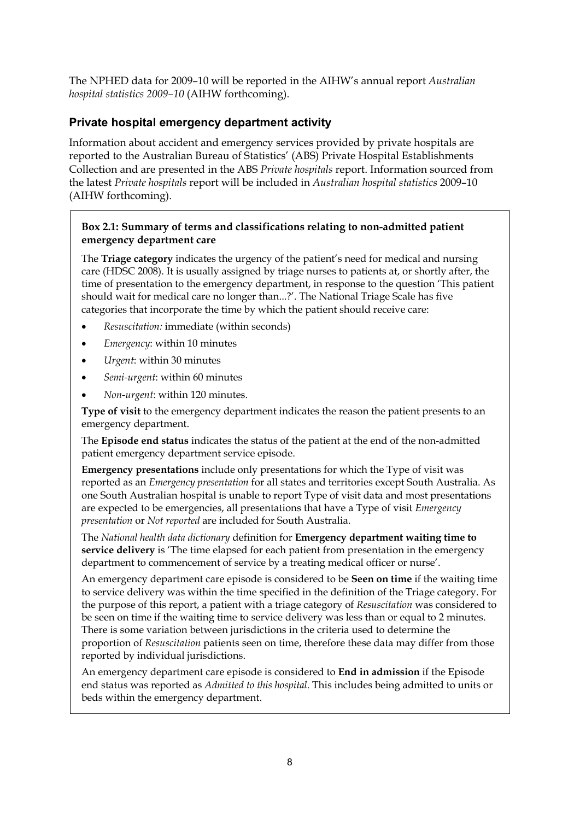The NPHED data for 2009–10 will be reported in the AIHW's annual report *Australian hospital statistics 2009–10* (AIHW forthcoming).

## **Private hospital emergency department activity**

Information about accident and emergency services provided by private hospitals are reported to the Australian Bureau of Statistics' (ABS) Private Hospital Establishments Collection and are presented in the ABS *Private hospitals* report. Information sourced from the latest *Private hospitals* report will be included in *Australian hospital statistics* 2009–10 (AIHW forthcoming).

#### **Box 2.1: Summary of terms and classifications relating to non-admitted patient emergency department care**

The **Triage category** indicates the urgency of the patient's need for medical and nursing care (HDSC 2008). It is usually assigned by triage nurses to patients at, or shortly after, the time of presentation to the emergency department, in response to the question 'This patient should wait for medical care no longer than...?'. The National Triage Scale has five categories that incorporate the time by which the patient should receive care:

- *Resuscitation:* immediate (within seconds)
- *Emergency*: within 10 minutes
- *Urgent*: within 30 minutes
- *Semi-urgent*: within 60 minutes
- *Non-urgent*: within 120 minutes.

**Type of visit** to the emergency department indicates the reason the patient presents to an emergency department.

The **Episode end status** indicates the status of the patient at the end of the non-admitted patient emergency department service episode.

**Emergency presentations** include only presentations for which the Type of visit was reported as an *Emergency presentation* for all states and territories except South Australia. As one South Australian hospital is unable to report Type of visit data and most presentations are expected to be emergencies, all presentations that have a Type of visit *Emergency presentation* or *Not reported* are included for South Australia.

The *National health data dictionary* definition for **Emergency department waiting time to service delivery** is 'The time elapsed for each patient from presentation in the emergency department to commencement of service by a treating medical officer or nurse'.

An emergency department care episode is considered to be **Seen on time** if the waiting time to service delivery was within the time specified in the definition of the Triage category. For the purpose of this report, a patient with a triage category of *Resuscitation* was considered to be seen on time if the waiting time to service delivery was less than or equal to 2 minutes. There is some variation between jurisdictions in the criteria used to determine the proportion of *Resuscitation* patients seen on time, therefore these data may differ from those reported by individual jurisdictions.

An emergency department care episode is considered to **End in admission** if the Episode end status was reported as *Admitted to this hospital*. This includes being admitted to units or beds within the emergency department.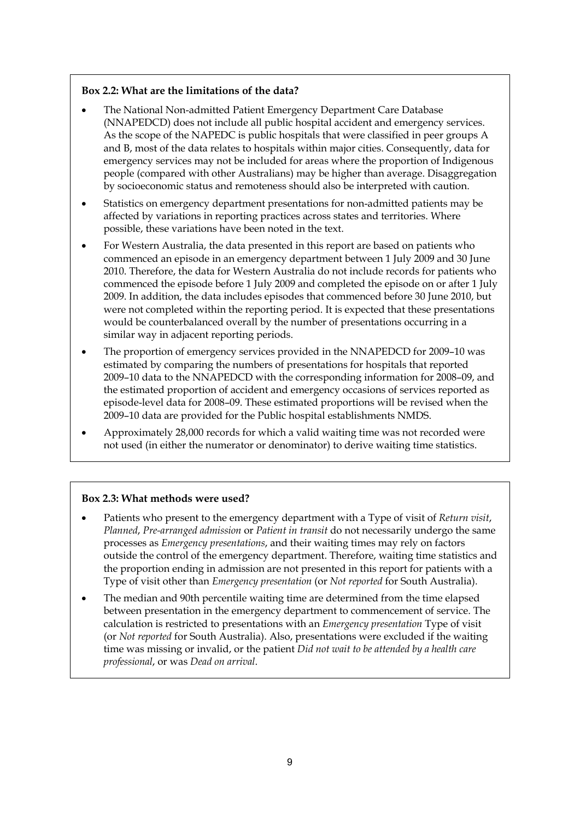#### **Box 2.2: What are the limitations of the data?**

- The National Non-admitted Patient Emergency Department Care Database (NNAPEDCD) does not include all public hospital accident and emergency services. As the scope of the NAPEDC is public hospitals that were classified in peer groups A and B, most of the data relates to hospitals within major cities. Consequently, data for emergency services may not be included for areas where the proportion of Indigenous people (compared with other Australians) may be higher than average. Disaggregation by socioeconomic status and remoteness should also be interpreted with caution.
- Statistics on emergency department presentations for non-admitted patients may be affected by variations in reporting practices across states and territories. Where possible, these variations have been noted in the text.
- For Western Australia, the data presented in this report are based on patients who commenced an episode in an emergency department between 1 July 2009 and 30 June 2010. Therefore, the data for Western Australia do not include records for patients who commenced the episode before 1 July 2009 and completed the episode on or after 1 July 2009. In addition, the data includes episodes that commenced before 30 June 2010, but were not completed within the reporting period. It is expected that these presentations would be counterbalanced overall by the number of presentations occurring in a similar way in adjacent reporting periods.
- The proportion of emergency services provided in the NNAPEDCD for 2009–10 was estimated by comparing the numbers of presentations for hospitals that reported 2009–10 data to the NNAPEDCD with the corresponding information for 2008–09, and the estimated proportion of accident and emergency occasions of services reported as episode-level data for 2008–09. These estimated proportions will be revised when the 2009–10 data are provided for the Public hospital establishments NMDS.
- Approximately 28,000 records for which a valid waiting time was not recorded were not used (in either the numerator or denominator) to derive waiting time statistics.

#### **Box 2.3: What methods were used?**

- Patients who present to the emergency department with a Type of visit of *Return visit*, *Planned*, *Pre-arranged admission* or *Patient in transit* do not necessarily undergo the same processes as *Emergency presentations*, and their waiting times may rely on factors outside the control of the emergency department. Therefore, waiting time statistics and the proportion ending in admission are not presented in this report for patients with a Type of visit other than *Emergency presentation* (or *Not reported* for South Australia).
- The median and 90th percentile waiting time are determined from the time elapsed between presentation in the emergency department to commencement of service. The calculation is restricted to presentations with an *Emergency presentation* Type of visit (or *Not reported* for South Australia). Also, presentations were excluded if the waiting time was missing or invalid, or the patient *Did not wait to be attended by a health care professional*, or was *Dead on arrival*.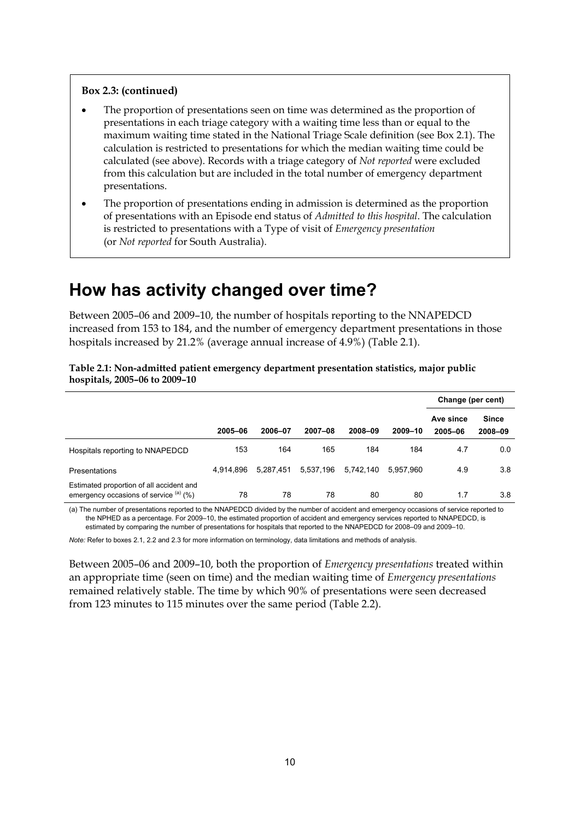#### **Box 2.3: (continued)**

- The proportion of presentations seen on time was determined as the proportion of presentations in each triage category with a waiting time less than or equal to the maximum waiting time stated in the National Triage Scale definition (see Box 2.1). The calculation is restricted to presentations for which the median waiting time could be calculated (see above). Records with a triage category of *Not reported* were excluded from this calculation but are included in the total number of emergency department presentations.
- The proportion of presentations ending in admission is determined as the proportion of presentations with an Episode end status of *Admitted to this hospital*. The calculation is restricted to presentations with a Type of visit of *Emergency presentation* (or *Not reported* for South Australia).

# <span id="page-15-0"></span>**How has activity changed over time?**

Between 2005–06 and 2009–10, the number of hospitals reporting to the NNAPEDCD increased from 153 to 184, and the number of emergency department presentations in those hospitals increased by 21.2% (average annual increase of 4.9%) (Table 2.1).

<span id="page-15-1"></span>**Table 2.1: Non-admitted patient emergency department presentation statistics, major public hospitals, 2005–06 to 2009–10** 

|                                                                                    |           |           |           |           |           | Change (per cent)    |                         |
|------------------------------------------------------------------------------------|-----------|-----------|-----------|-----------|-----------|----------------------|-------------------------|
|                                                                                    | 2005-06   | 2006-07   | 2007-08   | 2008-09   | 2009-10   | Ave since<br>2005-06 | <b>Since</b><br>2008-09 |
| Hospitals reporting to NNAPEDCD                                                    | 153       | 164       | 165       | 184       | 184       | 4.7                  | 0.0                     |
| <b>Presentations</b>                                                               | 4.914.896 | 5.287.451 | 5,537,196 | 5.742.140 | 5.957.960 | 4.9                  | 3.8                     |
| Estimated proportion of all accident and<br>emergency occasions of service (a) (%) | 78        | 78        | 78        | 80        | 80        | 1.7                  | 3.8                     |

(a) The number of presentations reported to the NNAPEDCD divided by the number of accident and emergency occasions of service reported to the NPHED as a percentage. For 2009–10, the estimated proportion of accident and emergency services reported to NNAPEDCD, is estimated by comparing the number of presentations for hospitals that reported to the NNAPEDCD for 2008–09 and 2009–10.

*Note:* Refer to boxes 2.1, 2.2 and 2.3 for more information on terminology, data limitations and methods of analysis.

Between 2005–06 and 2009–10, both the proportion of *Emergency presentations* treated within an appropriate time (seen on time) and the median waiting time of *Emergency presentations* remained relatively stable. The time by which 90% of presentations were seen decreased from 123 minutes to 115 minutes over the same period (Table 2.2).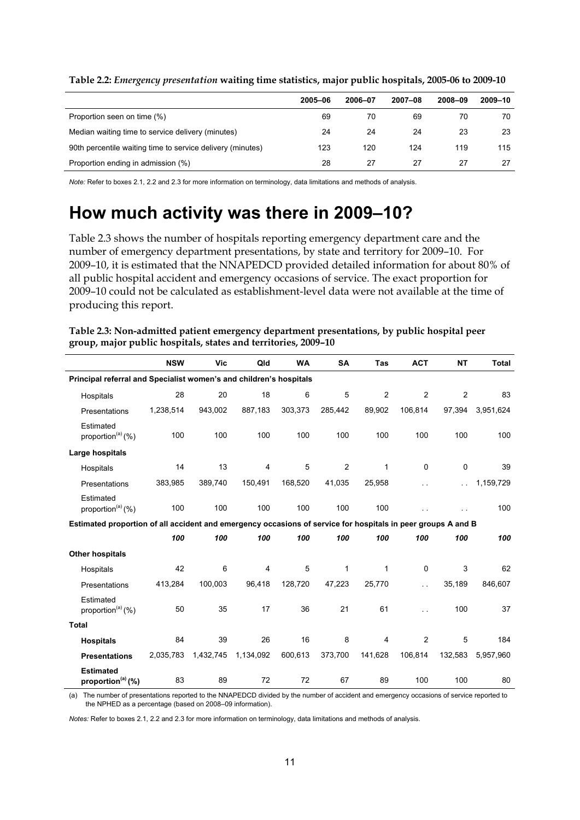|                                                            | 2005-06 | 2006-07 | 2007-08 | 2008-09 | 2009-10 |
|------------------------------------------------------------|---------|---------|---------|---------|---------|
| Proportion seen on time (%)                                | 69      | 70      | 69      | 70      | 70      |
| Median waiting time to service delivery (minutes)          | 24      | 24      | 24      | 23      | 23      |
| 90th percentile waiting time to service delivery (minutes) | 123     | 120     | 124     | 119     | 115     |
| Proportion ending in admission (%)                         | 28      | 27      | 27      | 27      | 27      |

<span id="page-16-1"></span>**Table 2.2:** *Emergency presentation* **waiting time statistics, major public hospitals, 2005-06 to 2009-10** 

*Note:* Refer to boxes 2.1, 2.2 and 2.3 for more information on terminology, data limitations and methods of analysis.

# <span id="page-16-0"></span>**How much activity was there in 2009–10?**

Table 2.3 shows the number of hospitals reporting emergency department care and the number of emergency department presentations, by state and territory for 2009–10. For 2009–10, it is estimated that the NNAPEDCD provided detailed information for about 80% of all public hospital accident and emergency occasions of service. The exact proportion for 2009–10 could not be calculated as establishment-level data were not available at the time of producing this report.

<span id="page-16-2"></span>

| Table 2.3: Non-admitted patient emergency department presentations, by public hospital peer |
|---------------------------------------------------------------------------------------------|
| group, major public hospitals, states and territories, 2009-10                              |

|                                                                                                              | <b>NSW</b> | Vic       | Qld       | <b>WA</b> | <b>SA</b>      | Tas            | <b>ACT</b>     | <b>NT</b>      | <b>Total</b> |
|--------------------------------------------------------------------------------------------------------------|------------|-----------|-----------|-----------|----------------|----------------|----------------|----------------|--------------|
| Principal referral and Specialist women's and children's hospitals                                           |            |           |           |           |                |                |                |                |              |
| Hospitals                                                                                                    | 28         | 20        | 18        | 6         | 5              | $\overline{2}$ | $\overline{2}$ | $\overline{2}$ | 83           |
| Presentations                                                                                                | 1,238,514  | 943,002   | 887,183   | 303,373   | 285,442        | 89,902         | 106,814        | 97,394         | 3,951,624    |
| Estimated<br>proportion <sup>(a)</sup> (%)                                                                   | 100        | 100       | 100       | 100       | 100            | 100            | 100            | 100            | 100          |
| Large hospitals                                                                                              |            |           |           |           |                |                |                |                |              |
| Hospitals                                                                                                    | 14         | 13        | 4         | 5         | $\overline{2}$ | 1              | 0              | 0              | 39           |
| Presentations                                                                                                | 383,985    | 389,740   | 150,491   | 168,520   | 41,035         | 25,958         |                | i.             | 1,159,729    |
| Estimated<br>proportion <sup>(a)</sup> (%)                                                                   | 100        | 100       | 100       | 100       | 100            | 100            |                |                | 100          |
| Estimated proportion of all accident and emergency occasions of service for hospitals in peer groups A and B |            |           |           |           |                |                |                |                |              |
|                                                                                                              | 100        | 100       | 100       | 100       | 100            | 100            | 100            | 100            | 100          |
| <b>Other hospitals</b>                                                                                       |            |           |           |           |                |                |                |                |              |
| Hospitals                                                                                                    | 42         | 6         | 4         | 5         | 1              | 1              | 0              | 3              | 62           |
| Presentations                                                                                                | 413,284    | 100,003   | 96,418    | 128,720   | 47,223         | 25,770         | с.             | 35,189         | 846,607      |
| Estimated<br>proportion <sup>(a)</sup> (%)                                                                   | 50         | 35        | 17        | 36        | 21             | 61             | L.             | 100            | 37           |
| <b>Total</b>                                                                                                 |            |           |           |           |                |                |                |                |              |
| <b>Hospitals</b>                                                                                             | 84         | 39        | 26        | 16        | 8              | 4              | 2              | 5              | 184          |
| <b>Presentations</b>                                                                                         | 2,035,783  | 1,432,745 | 1,134,092 | 600,613   | 373,700        | 141,628        | 106,814        | 132,583        | 5.957.960    |
| <b>Estimated</b><br>proportion <sup>(a)</sup> $(\%)$                                                         | 83         | 89        | 72        | 72        | 67             | 89             | 100            | 100            | 80           |

(a) The number of presentations reported to the NNAPEDCD divided by the number of accident and emergency occasions of service reported to the NPHED as a percentage (based on 2008–09 information).

*Notes:* Refer to boxes 2.1, 2.2 and 2.3 for more information on terminology, data limitations and methods of analysis.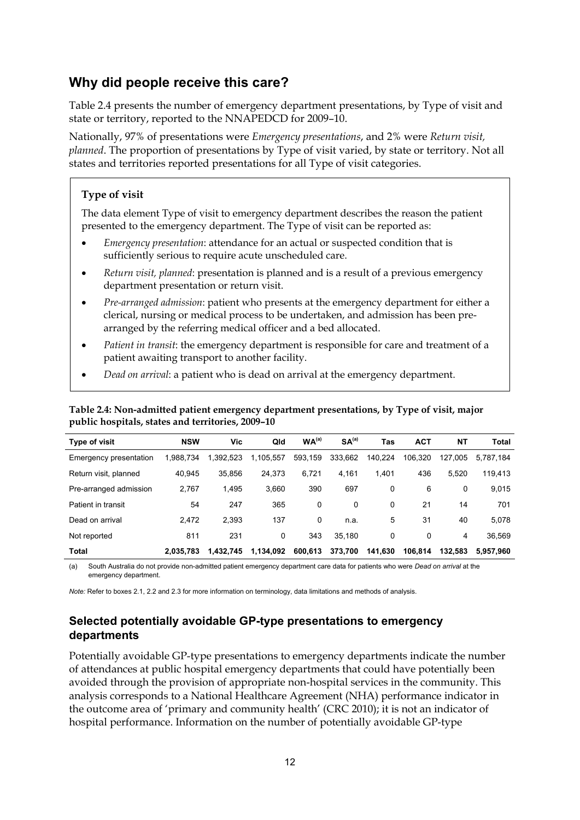# <span id="page-17-0"></span>**Why did people receive this care?**

Table 2.4 presents the number of emergency department presentations, by Type of visit and state or territory, reported to the NNAPEDCD for 2009–10.

Nationally, 97% of presentations were *Emergency presentations*, and 2% were *Return visit, planned*. The proportion of presentations by Type of visit varied, by state or territory. Not all states and territories reported presentations for all Type of visit categories.

### **Type of visit**

The data element Type of visit to emergency department describes the reason the patient presented to the emergency department. The Type of visit can be reported as:

- *Emergency presentation*: attendance for an actual or suspected condition that is sufficiently serious to require acute unscheduled care.
- *Return visit, planned*: presentation is planned and is a result of a previous emergency department presentation or return visit.
- *Pre-arranged admission*: patient who presents at the emergency department for either a clerical, nursing or medical process to be undertaken, and admission has been prearranged by the referring medical officer and a bed allocated.
- *Patient in transit*: the emergency department is responsible for care and treatment of a patient awaiting transport to another facility.
- *Dead on arrival*: a patient who is dead on arrival at the emergency department.

<span id="page-17-2"></span>**Table 2.4: Non-admitted patient emergency department presentations, by Type of visit, major public hospitals, states and territories, 2009–10** 

| <b>Type of visit</b>   | <b>NSW</b> | Vic       | Qld       | WA <sup>(a)</sup> | SA <sup>(a)</sup> | Tas     | <b>ACT</b> | NΤ      | <b>Total</b> |
|------------------------|------------|-----------|-----------|-------------------|-------------------|---------|------------|---------|--------------|
| Emergency presentation | 1.988.734  | 1,392,523 | 1,105,557 | 593,159           | 333.662           | 140.224 | 106.320    | 127.005 | 5,787,184    |
| Return visit, planned  | 40.945     | 35.856    | 24,373    | 6,721             | 4,161             | 1.401   | 436        | 5.520   | 119,413      |
| Pre-arranged admission | 2,767      | 1,495     | 3,660     | 390               | 697               | 0       | 6          | 0       | 9,015        |
| Patient in transit     | 54         | 247       | 365       | 0                 | 0                 | 0       | 21         | 14      | 701          |
| Dead on arrival        | 2.472      | 2.393     | 137       | 0                 | n.a.              | 5       | 31         | 40      | 5,078        |
| Not reported           | 811        | 231       | 0         | 343               | 35.180            | 0       | 0          | 4       | 36.569       |
| Total                  | 2.035.783  | 1.432.745 | 1.134.092 | 600,613           | 373.700           | 141.630 | 106.814    | 132.583 | 5.957.960    |

(a) South Australia do not provide non-admitted patient emergency department care data for patients who were *Dead on arrival* at the emergency department.

*Note:* Refer to boxes 2.1, 2.2 and 2.3 for more information on terminology, data limitations and methods of analysis.

## <span id="page-17-1"></span>**Selected potentially avoidable GP-type presentations to emergency departments**

Potentially avoidable GP-type presentations to emergency departments indicate the number of attendances at public hospital emergency departments that could have potentially been avoided through the provision of appropriate non-hospital services in the community. This analysis corresponds to a National Healthcare Agreement (NHA) performance indicator in the outcome area of 'primary and community health' (CRC 2010); it is not an indicator of hospital performance. Information on the number of potentially avoidable GP-type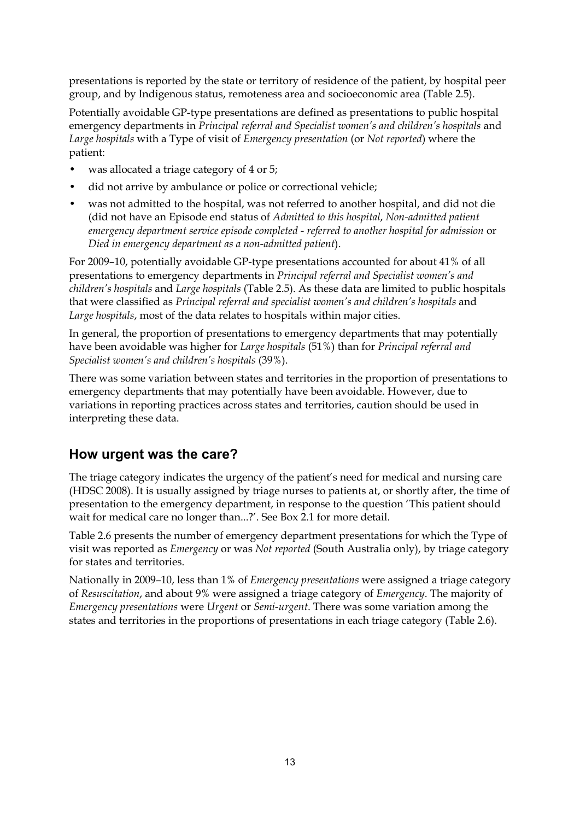presentations is reported by the state or territory of residence of the patient, by hospital peer group, and by Indigenous status, remoteness area and socioeconomic area (Table 2.5).

Potentially avoidable GP-type presentations are defined as presentations to public hospital emergency departments in *Principal referral and Specialist women's and children's hospitals* and *Large hospitals* with a Type of visit of *Emergency presentation* (or *Not reported*) where the patient:

- was allocated a triage category of 4 or 5;
- did not arrive by ambulance or police or correctional vehicle;
- was not admitted to the hospital, was not referred to another hospital, and did not die (did not have an Episode end status of *Admitted to this hospital*, *Non-admitted patient emergency department service episode completed - referred to another hospital for admission* or *Died in emergency department as a non-admitted patient*).

For 2009–10, potentially avoidable GP-type presentations accounted for about 41% of all presentations to emergency departments in *Principal referral and Specialist women's and children's hospitals* and *Large hospitals* (Table 2.5). As these data are limited to public hospitals that were classified as *Principal referral and specialist women's and children's hospitals* and *Large hospitals*, most of the data relates to hospitals within major cities.

In general, the proportion of presentations to emergency departments that may potentially have been avoidable was higher for *Large hospitals* (51%) than for *Principal referral and Specialist women's and children's hospitals* (39%).

There was some variation between states and territories in the proportion of presentations to emergency departments that may potentially have been avoidable. However, due to variations in reporting practices across states and territories, caution should be used in interpreting these data.

## <span id="page-18-0"></span>**How urgent was the care?**

The triage category indicates the urgency of the patient's need for medical and nursing care (HDSC 2008). It is usually assigned by triage nurses to patients at, or shortly after, the time of presentation to the emergency department, in response to the question 'This patient should wait for medical care no longer than...?'. See Box 2.1 for more detail.

Table 2.6 presents the number of emergency department presentations for which the Type of visit was reported as *Emergency* or was *Not reported* (South Australia only), by triage category for states and territories.

Nationally in 2009–10, less than 1% of *Emergency presentations* were assigned a triage category of *Resuscitation*, and about 9% were assigned a triage category of *Emergency*. The majority of *Emergency presentations* were *Urgent* or *Semi-urgent*. There was some variation among the states and territories in the proportions of presentations in each triage category (Table 2.6).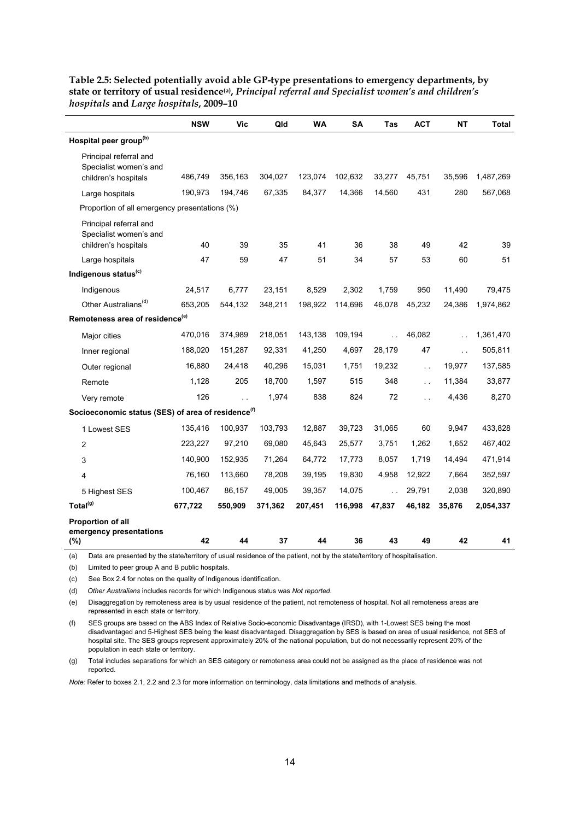|                                                                          | <b>NSW</b>                                                                                                                  | Vic     | Qld     | <b>WA</b> | SA      | Tas           | <b>ACT</b>           | <b>NT</b>     | Total     |
|--------------------------------------------------------------------------|-----------------------------------------------------------------------------------------------------------------------------|---------|---------|-----------|---------|---------------|----------------------|---------------|-----------|
| Hospital peer group <sup>(b)</sup>                                       |                                                                                                                             |         |         |           |         |               |                      |               |           |
| Principal referral and<br>Specialist women's and<br>children's hospitals | 486,749                                                                                                                     | 356,163 | 304,027 | 123,074   | 102,632 | 33,277        | 45,751               | 35,596        | 1,487,269 |
| Large hospitals                                                          | 190,973                                                                                                                     | 194,746 | 67,335  | 84,377    | 14,366  | 14,560        | 431                  | 280           | 567,068   |
| Proportion of all emergency presentations (%)                            |                                                                                                                             |         |         |           |         |               |                      |               |           |
| Principal referral and<br>Specialist women's and<br>children's hospitals | 40                                                                                                                          | 39      | 35      | 41        | 36      | 38            | 49                   | 42            | 39        |
| Large hospitals                                                          | 47                                                                                                                          | 59      | 47      | 51        | 34      | 57            | 53                   | 60            | 51        |
| Indigenous status <sup>(c)</sup>                                         |                                                                                                                             |         |         |           |         |               |                      |               |           |
| Indigenous                                                               | 24,517                                                                                                                      | 6,777   | 23,151  | 8,529     | 2,302   | 1,759         | 950                  | 11,490        | 79,475    |
| Other Australians <sup>(d)</sup>                                         | 653,205                                                                                                                     | 544,132 | 348,211 | 198,922   | 114,696 | 46,078        | 45,232               | 24,386        | 1,974,862 |
| Remoteness area of residence <sup>(e)</sup>                              |                                                                                                                             |         |         |           |         |               |                      |               |           |
| Major cities                                                             | 470,016                                                                                                                     | 374,989 | 218,051 | 143,138   | 109,194 |               | 46,082               |               | 1,361,470 |
| Inner regional                                                           | 188,020                                                                                                                     | 151,287 | 92,331  | 41,250    | 4,697   | 28,179        | 47                   | $\sim$ $\sim$ | 505,811   |
| Outer regional                                                           | 16,880                                                                                                                      | 24,418  | 40,296  | 15,031    | 1,751   | 19,232        | $\sim$ $\sim$        | 19,977        | 137,585   |
| Remote                                                                   | 1,128                                                                                                                       | 205     | 18,700  | 1,597     | 515     | 348           | $\sim$ $\sim$        | 11,384        | 33,877    |
| Very remote                                                              | 126                                                                                                                         |         | 1,974   | 838       | 824     | 72            | $\ddot{\phantom{a}}$ | 4,436         | 8,270     |
| Socioeconomic status (SES) of area of residence <sup>(f)</sup>           |                                                                                                                             |         |         |           |         |               |                      |               |           |
| 1 Lowest SES                                                             | 135,416                                                                                                                     | 100,937 | 103,793 | 12,887    | 39,723  | 31,065        | 60                   | 9,947         | 433,828   |
| $\overline{c}$                                                           | 223,227                                                                                                                     | 97,210  | 69,080  | 45,643    | 25,577  | 3,751         | 1,262                | 1,652         | 467,402   |
| 3                                                                        | 140,900                                                                                                                     | 152.935 | 71,264  | 64,772    | 17,773  | 8,057         | 1,719                | 14,494        | 471,914   |
| 4                                                                        | 76,160                                                                                                                      | 113,660 | 78,208  | 39,195    | 19,830  | 4,958         | 12,922               | 7,664         | 352,597   |
| 5 Highest SES                                                            | 100,467                                                                                                                     | 86,157  | 49,005  | 39,357    | 14,075  | $\sim$ $\sim$ | 29,791               | 2,038         | 320,890   |
| Total <sup>(g)</sup>                                                     | 677,722                                                                                                                     | 550,909 | 371,362 | 207,451   | 116,998 | 47,837        | 46,182               | 35,876        | 2,054,337 |
| <b>Proportion of all</b><br>emergency presentations                      |                                                                                                                             |         |         |           |         |               |                      |               |           |
| (%)                                                                      | 42                                                                                                                          | 44      | 37      | 44        | 36      | 43            | 49                   | 42            | 41        |
| (a)                                                                      | Data are presented by the state/territory of usual residence of the patient, not by the state/territory of hospitalisation. |         |         |           |         |               |                      |               |           |

<span id="page-19-0"></span>**Table 2.5: Selected potentially avoid able GP-type presentations to emergency departments, by state or territory of usual residence(a),** *Principal referral and Specialist women's and children's hospitals* **and** *Large hospitals***, 2009–10** 

(b) Limited to peer group A and B public hospitals.

(c) See Box 2.4 for notes on the quality of Indigenous identification.

(d) *Other Australians* includes records for which Indigenous status was *Not reported*.

(e) Disaggregation by remoteness area is by usual residence of the patient, not remoteness of hospital. Not all remoteness areas are represented in each state or territory.

(f) SES groups are based on the ABS Index of Relative Socio-economic Disadvantage (IRSD), with 1-Lowest SES being the most disadvantaged and 5-Highest SES being the least disadvantaged. Disaggregation by SES is based on area of usual residence, not SES of hospital site. The SES groups represent approximately 20% of the national population, but do not necessarily represent 20% of the population in each state or territory.

(g) Total includes separations for which an SES category or remoteness area could not be assigned as the place of residence was not reported.

*Note:* Refer to boxes 2.1, 2.2 and 2.3 for more information on terminology, data limitations and methods of analysis.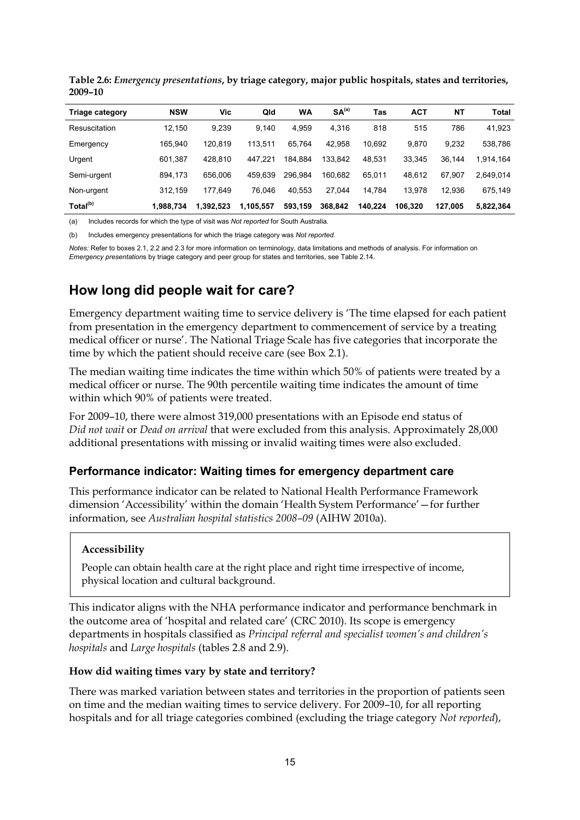| <b>Triage category</b> | <b>NSW</b> | Vic       | Qld       | WA      | SA <sup>(a)</sup> | Tas     | <b>ACT</b> | <b>NT</b> | <b>Total</b> |
|------------------------|------------|-----------|-----------|---------|-------------------|---------|------------|-----------|--------------|
| Resuscitation          | 12.150     | 9.239     | 9.140     | 4.959   | 4.316             | 818     | 515        | 786       | 41,923       |
| Emergency              | 165.940    | 120.819   | 113,511   | 65.764  | 42.958            | 10,692  | 9.870      | 9,232     | 538,786      |
| Urgent                 | 601,387    | 428.810   | 447.221   | 184,884 | 133.842           | 48.531  | 33.345     | 36.144    | 1,914,164    |
| Semi-urgent            | 894,173    | 656.006   | 459.639   | 296.984 | 160.682           | 65.011  | 48,612     | 67.907    | 2,649,014    |
| Non-urgent             | 312.159    | 177.649   | 76.046    | 40.553  | 27.044            | 14.784  | 13.978     | 12.936    | 675,149      |
| Total <sup>(b)</sup>   | 1,988,734  | 1.392.523 | 1,105,557 | 593,159 | 368.842           | 140.224 | 106.320    | 127.005   | 5,822,364    |

<span id="page-20-2"></span>**Table 2.6:** *Emergency presentations***, by triage category, major public hospitals, states and territories, 2009–10** 

(a) Includes records for which the type of visit was *Not reported* for South Australia.

(b) Includes emergency presentations for which the triage category was *Not reported*.

*Notes:* Refer to boxes 2.1, 2.2 and 2.3 for more information on terminology, data limitations and methods of analysis. For information on *Emergency presentation*s by triage category and peer group for states and territories, see Table 2.14.

# <span id="page-20-0"></span>**How long did people wait for care?**

Emergency department waiting time to service delivery is 'The time elapsed for each patient from presentation in the emergency department to commencement of service by a treating medical officer or nurse'. The National Triage Scale has five categories that incorporate the time by which the patient should receive care (see Box 2.1).

The median waiting time indicates the time within which 50% of patients were treated by a medical officer or nurse. The 90th percentile waiting time indicates the amount of time within which 90% of patients were treated.

For 2009–10, there were almost 319,000 presentations with an Episode end status of *Did not wait* or *Dead on arrival* that were excluded from this analysis. Approximately 28,000 additional presentations with missing or invalid waiting times were also excluded.

#### <span id="page-20-1"></span>**Performance indicator: Waiting times for emergency department care**

This performance indicator can be related to National Health Performance Framework dimension 'Accessibility' within the domain 'Health System Performance'—for further information, see *Australian hospital statistics 2008–09* (AIHW 2010a).

#### **Accessibility**

People can obtain health care at the right place and right time irrespective of income, physical location and cultural background.

This indicator aligns with the NHA performance indicator and performance benchmark in the outcome area of 'hospital and related care' (CRC 2010). Its scope is emergency departments in hospitals classified as *Principal referral and specialist women's and children's hospitals* and *Large hospitals* (tables 2.8 and 2.9).

#### **How did waiting times vary by state and territory?**

There was marked variation between states and territories in the proportion of patients seen on time and the median waiting times to service delivery. For 2009–10, for all reporting hospitals and for all triage categories combined (excluding the triage category *Not reported*),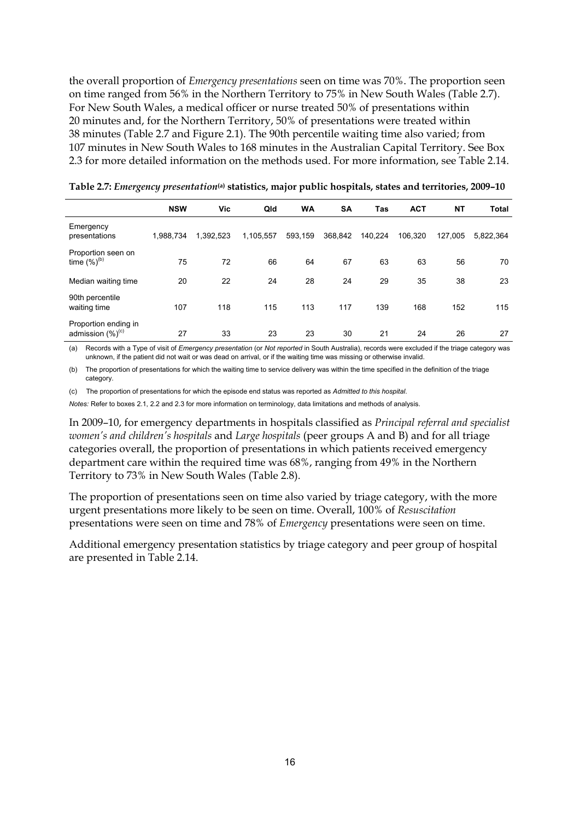the overall proportion of *Emergency presentations* seen on time was 70%. The proportion seen on time ranged from 56% in the Northern Territory to 75% in New South Wales (Table 2.7). For New South Wales, a medical officer or nurse treated 50% of presentations within 20 minutes and, for the Northern Territory, 50% of presentations were treated within 38 minutes (Table 2.7 and Figure 2.1). The 90th percentile waiting time also varied; from 107 minutes in New South Wales to 168 minutes in the Australian Capital Territory. See Box 2.3 for more detailed information on the methods used. For more information, see Table 2.14.

|                                                      | <b>NSW</b> | Vic       | Qld       | <b>WA</b> | <b>SA</b> | <b>Tas</b> | <b>ACT</b> | <b>NT</b> | <b>Total</b> |
|------------------------------------------------------|------------|-----------|-----------|-----------|-----------|------------|------------|-----------|--------------|
| Emergency<br>presentations                           | 1,988,734  | 1,392,523 | 1,105,557 | 593,159   | 368,842   | 140,224    | 106,320    | 127,005   | 5,822,364    |
| Proportion seen on<br>time $(\%)^{(b)}$              | 75         | 72        | 66        | 64        | 67        | 63         | 63         | 56        | 70           |
| Median waiting time                                  | 20         | 22        | 24        | 28        | 24        | 29         | 35         | 38        | 23           |
| 90th percentile<br>waiting time                      | 107        | 118       | 115       | 113       | 117       | 139        | 168        | 152       | 115          |
| Proportion ending in<br>admission (%) <sup>(c)</sup> | 27         | 33        | 23        | 23        | 30        | 21         | 24         | 26        | 27           |

<span id="page-21-0"></span>**Table 2.7:** *Emergency presentation***(a) statistics, major public hospitals, states and territories, 2009–10**

(a) Records with a Type of visit of *Emergency presentation* (or *Not reported* in South Australia), records were excluded if the triage category was unknown, if the patient did not wait or was dead on arrival, or if the waiting time was missing or otherwise invalid.

(b) The proportion of presentations for which the waiting time to service delivery was within the time specified in the definition of the triage category.

(c) The proportion of presentations for which the episode end status was reported as *Admitted to this hospital*.

*Notes:* Refer to boxes 2.1, 2.2 and 2.3 for more information on terminology, data limitations and methods of analysis.

In 2009–10, for emergency departments in hospitals classified as *Principal referral and specialist women's and children's hospitals* and *Large hospitals* (peer groups A and B) and for all triage categories overall, the proportion of presentations in which patients received emergency department care within the required time was 68%, ranging from 49% in the Northern Territory to 73% in New South Wales (Table 2.8).

The proportion of presentations seen on time also varied by triage category, with the more urgent presentations more likely to be seen on time. Overall, 100% of *Resuscitation* presentations were seen on time and 78% of *Emergency* presentations were seen on time.

Additional emergency presentation statistics by triage category and peer group of hospital are presented in Table 2.14.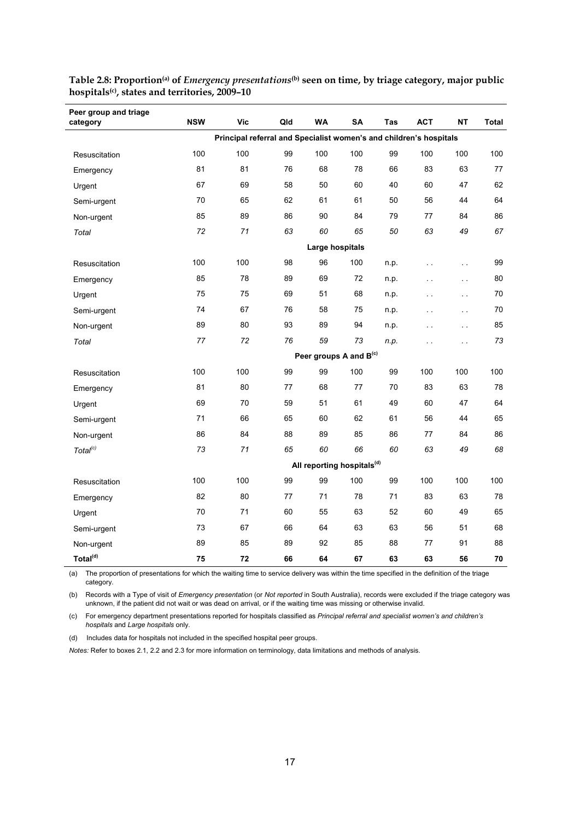| Peer group and triage<br>category | <b>NSW</b> | Vic                                                                | Qld | <b>WA</b> | <b>SA</b>                              | Tas  | <b>ACT</b>           | <b>NT</b>     | Total |  |  |
|-----------------------------------|------------|--------------------------------------------------------------------|-----|-----------|----------------------------------------|------|----------------------|---------------|-------|--|--|
|                                   |            | Principal referral and Specialist women's and children's hospitals |     |           |                                        |      |                      |               |       |  |  |
| Resuscitation                     | 100        | 100                                                                | 99  | 100       | 100                                    | 99   | 100                  | 100           | 100   |  |  |
| Emergency                         | 81         | 81                                                                 | 76  | 68        | 78                                     | 66   | 83                   | 63            | 77    |  |  |
| Urgent                            | 67         | 69                                                                 | 58  | 50        | 60                                     | 40   | 60                   | 47            | 62    |  |  |
| Semi-urgent                       | 70         | 65                                                                 | 62  | 61        | 61                                     | 50   | 56                   | 44            | 64    |  |  |
| Non-urgent                        | 85         | 89                                                                 | 86  | 90        | 84                                     | 79   | 77                   | 84            | 86    |  |  |
| Total                             | 72         | 71                                                                 | 63  | 60        | 65                                     | 50   | 63                   | 49            | 67    |  |  |
|                                   |            | Large hospitals                                                    |     |           |                                        |      |                      |               |       |  |  |
| Resuscitation                     | 100        | 100                                                                | 98  | 96        | 100                                    | n.p. | $\ddot{\phantom{a}}$ | $\sim$ .      | 99    |  |  |
| Emergency                         | 85         | 78                                                                 | 89  | 69        | 72                                     | n.p. | $\sim$ $\sim$        | $\sim$ $\sim$ | 80    |  |  |
| Urgent                            | 75         | 75                                                                 | 69  | 51        | 68                                     | n.p. | $\sim$ $\sim$        | $\bar{1}$ .   | 70    |  |  |
| Semi-urgent                       | 74         | 67                                                                 | 76  | 58        | 75                                     | n.p. | $\sim$               | $\sim$        | 70    |  |  |
| Non-urgent                        | 89         | 80                                                                 | 93  | 89        | 94                                     | n.p. | $\sim$ $\sim$        | $\sim$ .      | 85    |  |  |
| Total                             | 77         | 72                                                                 | 76  | 59        | 73                                     | n.p. | $\sim$ $\sim$        | $\sim$ $\sim$ | 73    |  |  |
|                                   |            |                                                                    |     |           | Peer groups A and B <sup>(c)</sup>     |      |                      |               |       |  |  |
| Resuscitation                     | 100        | 100                                                                | 99  | 99        | 100                                    | 99   | 100                  | 100           | 100   |  |  |
| Emergency                         | 81         | 80                                                                 | 77  | 68        | 77                                     | 70   | 83                   | 63            | 78    |  |  |
| Urgent                            | 69         | 70                                                                 | 59  | 51        | 61                                     | 49   | 60                   | 47            | 64    |  |  |
| Semi-urgent                       | 71         | 66                                                                 | 65  | 60        | 62                                     | 61   | 56                   | 44            | 65    |  |  |
| Non-urgent                        | 86         | 84                                                                 | 88  | 89        | 85                                     | 86   | 77                   | 84            | 86    |  |  |
| Total <sup>(c)</sup>              | 73         | 71                                                                 | 65  | 60        | 66                                     | 60   | 63                   | 49            | 68    |  |  |
|                                   |            |                                                                    |     |           | All reporting hospitals <sup>(d)</sup> |      |                      |               |       |  |  |
| Resuscitation                     | 100        | 100                                                                | 99  | 99        | 100                                    | 99   | 100                  | 100           | 100   |  |  |
| Emergency                         | 82         | 80                                                                 | 77  | 71        | 78                                     | 71   | 83                   | 63            | 78    |  |  |
| Urgent                            | 70         | 71                                                                 | 60  | 55        | 63                                     | 52   | 60                   | 49            | 65    |  |  |
| Semi-urgent                       | 73         | 67                                                                 | 66  | 64        | 63                                     | 63   | 56                   | 51            | 68    |  |  |
| Non-urgent                        | 89         | 85                                                                 | 89  | 92        | 85                                     | 88   | 77                   | 91            | 88    |  |  |
| Total <sup>(d)</sup>              | 75         | 72                                                                 | 66  | 64        | 67                                     | 63   | 63                   | 56            | 70    |  |  |

<span id="page-22-0"></span>**Table 2.8: Proportion(a) of** *Emergency presentations***(b) seen on time, by triage category, major public hospitals(c), states and territories, 2009–10** 

(a) The proportion of presentations for which the waiting time to service delivery was within the time specified in the definition of the triage category.

(b) Records with a Type of visit of *Emergency presentation* (or *Not reported* in South Australia), records were excluded if the triage category was unknown, if the patient did not wait or was dead on arrival, or if the waiting time was missing or otherwise invalid.

(c) For emergency department presentations reported for hospitals classified as *Principal referral and specialist women's and children's hospitals* and *Large hospitals* only.

(d) Includes data for hospitals not included in the specified hospital peer groups.

*Notes:* Refer to boxes 2.1, 2.2 and 2.3 for more information on terminology, data limitations and methods of analysis.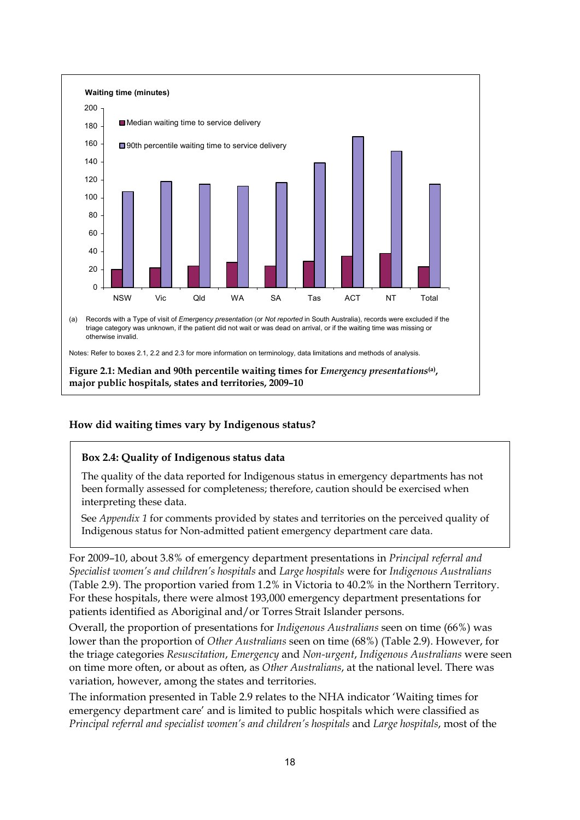

#### <span id="page-23-0"></span>**How did waiting times vary by Indigenous status?**

#### **Box 2.4: Quality of Indigenous status data**

The quality of the data reported for Indigenous status in emergency departments has not been formally assessed for completeness; therefore, caution should be exercised when interpreting these data.

See *Appendix 1* for comments provided by states and territories on the perceived quality of Indigenous status for Non-admitted patient emergency department care data.

For 2009–10, about 3.8% of emergency department presentations in *Principal referral and Specialist women's and children's hospitals* and *Large hospitals* were for *Indigenous Australians* (Table 2.9). The proportion varied from 1.2% in Victoria to 40.2% in the Northern Territory. For these hospitals, there were almost 193,000 emergency department presentations for patients identified as Aboriginal and/or Torres Strait Islander persons.

Overall, the proportion of presentations for *Indigenous Australians* seen on time (66%) was lower than the proportion of *Other Australians* seen on time (68%) (Table 2.9). However, for the triage categories *Resuscitation*, *Emergency* and *Non-urgent*, *Indigenous Australians* were seen on time more often, or about as often, as *Other Australians*, at the national level. There was variation, however, among the states and territories.

The information presented in Table 2.9 relates to the NHA indicator 'Waiting times for emergency department care' and is limited to public hospitals which were classified as *Principal referral and specialist women's and children's hospitals* and *Large hospitals*, most of the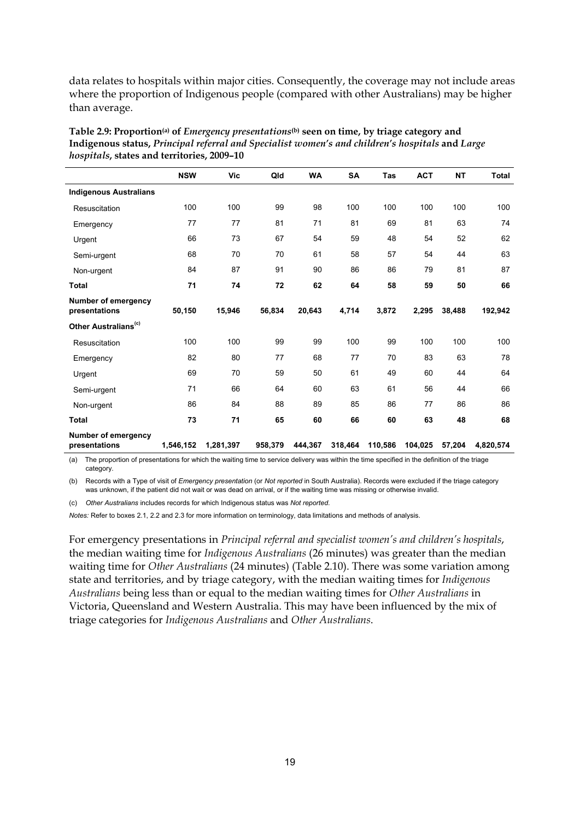data relates to hospitals within major cities. Consequently, the coverage may not include areas where the proportion of Indigenous people (compared with other Australians) may be higher than average.

|                                             | <b>NSW</b> | Vic       | Qld     | <b>WA</b> | <b>SA</b> | Tas     | <b>ACT</b> | <b>NT</b> | <b>Total</b> |
|---------------------------------------------|------------|-----------|---------|-----------|-----------|---------|------------|-----------|--------------|
| <b>Indigenous Australians</b>               |            |           |         |           |           |         |            |           |              |
| Resuscitation                               | 100        | 100       | 99      | 98        | 100       | 100     | 100        | 100       | 100          |
| Emergency                                   | 77         | 77        | 81      | 71        | 81        | 69      | 81         | 63        | 74           |
| Urgent                                      | 66         | 73        | 67      | 54        | 59        | 48      | 54         | 52        | 62           |
| Semi-urgent                                 | 68         | 70        | 70      | 61        | 58        | 57      | 54         | 44        | 63           |
| Non-urgent                                  | 84         | 87        | 91      | 90        | 86        | 86      | 79         | 81        | 87           |
| <b>Total</b>                                | 71         | 74        | 72      | 62        | 64        | 58      | 59         | 50        | 66           |
| <b>Number of emergency</b><br>presentations | 50,150     | 15,946    | 56,834  | 20,643    | 4,714     | 3,872   | 2,295      | 38,488    | 192,942      |
| Other Australians <sup>(c)</sup>            |            |           |         |           |           |         |            |           |              |
| Resuscitation                               | 100        | 100       | 99      | 99        | 100       | 99      | 100        | 100       | 100          |
| Emergency                                   | 82         | 80        | 77      | 68        | 77        | 70      | 83         | 63        | 78           |
| Urgent                                      | 69         | 70        | 59      | 50        | 61        | 49      | 60         | 44        | 64           |
| Semi-urgent                                 | 71         | 66        | 64      | 60        | 63        | 61      | 56         | 44        | 66           |
| Non-urgent                                  | 86         | 84        | 88      | 89        | 85        | 86      | 77         | 86        | 86           |
| Total                                       | 73         | 71        | 65      | 60        | 66        | 60      | 63         | 48        | 68           |
| Number of emergency<br>presentations        | 1,546,152  | 1,281,397 | 958,379 | 444,367   | 318,464   | 110,586 | 104,025    | 57,204    | 4,820,574    |

<span id="page-24-0"></span>**Table 2.9: Proportion(a) of** *Emergency presentations***(b) seen on time, by triage category and Indigenous status,** *Principal referral and Specialist women's and children's hospitals* **and** *Large hospitals***, states and territories, 2009–10** 

(a) The proportion of presentations for which the waiting time to service delivery was within the time specified in the definition of the triage category.

(b) Records with a Type of visit of *Emergency presentation* (or *Not reported* in South Australia). Records were excluded if the triage category was unknown, if the patient did not wait or was dead on arrival, or if the waiting time was missing or otherwise invalid.

(c) *Other Australians* includes records for which Indigenous status was *Not reported*.

*Notes:* Refer to boxes 2.1, 2.2 and 2.3 for more information on terminology, data limitations and methods of analysis.

For emergency presentations in *Principal referral and specialist women's and children's hospitals*, the median waiting time for *Indigenous Australians* (26 minutes) was greater than the median waiting time for *Other Australians* (24 minutes) (Table 2.10). There was some variation among state and territories, and by triage category, with the median waiting times for *Indigenous Australians* being less than or equal to the median waiting times for *Other Australians* in Victoria, Queensland and Western Australia. This may have been influenced by the mix of triage categories for *Indigenous Australians* and *Other Australians*.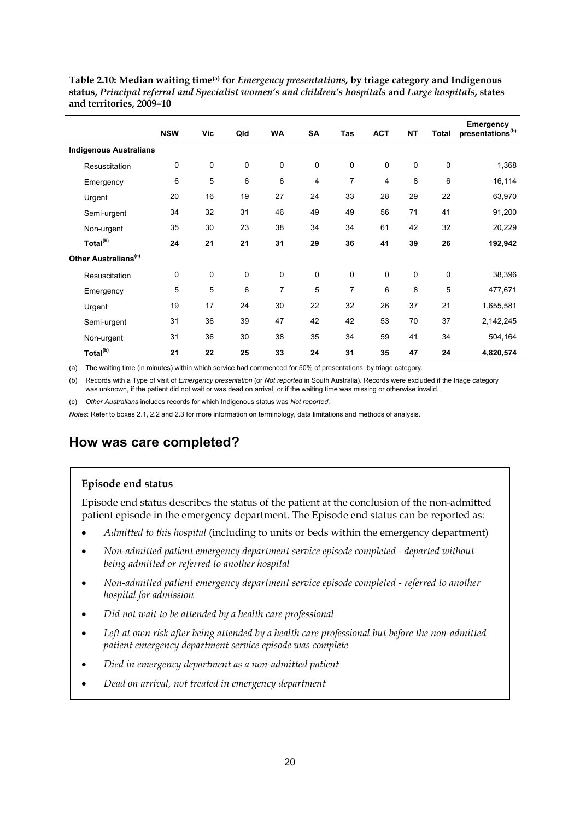|                                  | <b>NSW</b> | Vic         | Qld | <b>WA</b>      | SA | Tas | <b>ACT</b> | <b>NT</b>   | <b>Total</b> | <b>Emergency</b><br>presentations <sup>(b)</sup> |
|----------------------------------|------------|-------------|-----|----------------|----|-----|------------|-------------|--------------|--------------------------------------------------|
| <b>Indigenous Australians</b>    |            |             |     |                |    |     |            |             |              |                                                  |
| Resuscitation                    | 0          | 0           | 0   | 0              | 0  | 0   | 0          | 0           | 0            | 1,368                                            |
| Emergency                        | 6          | 5           | 6   | 6              | 4  | 7   | 4          | 8           | 6            | 16,114                                           |
| Urgent                           | 20         | 16          | 19  | 27             | 24 | 33  | 28         | 29          | 22           | 63,970                                           |
| Semi-urgent                      | 34         | 32          | 31  | 46             | 49 | 49  | 56         | 71          | 41           | 91,200                                           |
| Non-urgent                       | 35         | 30          | 23  | 38             | 34 | 34  | 61         | 42          | 32           | 20,229                                           |
| Total <sup>(b)</sup>             | 24         | 21          | 21  | 31             | 29 | 36  | 41         | 39          | 26           | 192,942                                          |
| Other Australians <sup>(c)</sup> |            |             |     |                |    |     |            |             |              |                                                  |
| Resuscitation                    | 0          | $\mathbf 0$ | 0   | $\mathbf 0$    | 0  | 0   | 0          | $\mathbf 0$ | 0            | 38,396                                           |
| Emergency                        | 5          | 5           | 6   | $\overline{7}$ | 5  | 7   | 6          | 8           | 5            | 477,671                                          |
| Urgent                           | 19         | 17          | 24  | 30             | 22 | 32  | 26         | 37          | 21           | 1,655,581                                        |
| Semi-urgent                      | 31         | 36          | 39  | 47             | 42 | 42  | 53         | 70          | 37           | 2,142,245                                        |
| Non-urgent                       | 31         | 36          | 30  | 38             | 35 | 34  | 59         | 41          | 34           | 504,164                                          |
| Total <sup>(b)</sup>             | 21         | 22          | 25  | 33             | 24 | 31  | 35         | 47          | 24           | 4,820,574                                        |

<span id="page-25-1"></span>**Table 2.10: Median waiting time(a) for** *Emergency presentations,* **by triage category and Indigenous status,** *Principal referral and Specialist women's and children's hospitals* **and** *Large hospitals***, states and territories, 2009–10** 

(a) The waiting time (in minutes) within which service had commenced for 50% of presentations, by triage category.

(b) Records with a Type of visit of *Emergency presentation* (or *Not reported* in South Australia). Records were excluded if the triage category was unknown, if the patient did not wait or was dead on arrival, or if the waiting time was missing or otherwise invalid.

(c) *Other Australians* includes records for which Indigenous status was *Not reported*.

*Notes*: Refer to boxes 2.1, 2.2 and 2.3 for more information on terminology, data limitations and methods of analysis.

## <span id="page-25-0"></span>**How was care completed?**

#### **Episode end status**

Episode end status describes the status of the patient at the conclusion of the non-admitted patient episode in the emergency department. The Episode end status can be reported as:

- *Admitted to this hospital* (including to units or beds within the emergency department)
- *Non-admitted patient emergency department service episode completed departed without being admitted or referred to another hospital*
- *Non-admitted patient emergency department service episode completed referred to another hospital for admission*
- *Did not wait to be attended by a health care professional*
- *Left at own risk after being attended by a health care professional but before the non-admitted patient emergency department service episode was complete*
- *Died in emergency department as a non-admitted patient*
- *Dead on arrival, not treated in emergency department*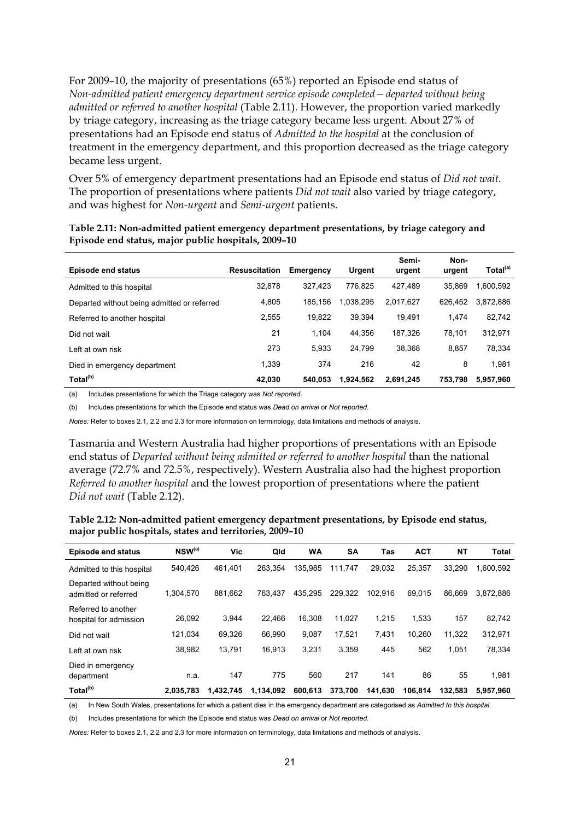For 2009–10, the majority of presentations (65%) reported an Episode end status of *Non-admitted patient emergency department service episode completed—departed without being admitted or referred to another hospital* (Table 2.11). However, the proportion varied markedly by triage category, increasing as the triage category became less urgent. About 27% of presentations had an Episode end status of *Admitted to the hospital* at the conclusion of treatment in the emergency department, and this proportion decreased as the triage category became less urgent.

Over 5% of emergency department presentations had an Episode end status of *Did not wait*. The proportion of presentations where patients *Did not wait* also varied by triage category, and was highest for *Non-urgent* and *Semi-urgent* patients.

| Episode end status                          | <b>Resuscitation</b> | <b>Emergency</b> | Urgent    | Semi-<br>urgent | Non-<br>urgent | Total <sup>(a)</sup> |
|---------------------------------------------|----------------------|------------------|-----------|-----------------|----------------|----------------------|
| Admitted to this hospital                   | 32,878               | 327.423          | 776.825   | 427.489         | 35.869         | 1,600,592            |
| Departed without being admitted or referred | 4,805                | 185.156          | 1.038.295 | 2.017.627       | 626,452        | 3,872,886            |
| Referred to another hospital                | 2,555                | 19.822           | 39.394    | 19.491          | 1.474          | 82,742               |
| Did not wait                                | 21                   | 1.104            | 44.356    | 187.326         | 78.101         | 312,971              |
| Left at own risk                            | 273                  | 5.933            | 24.799    | 38.368          | 8.857          | 78,334               |
| Died in emergency department                | 1.339                | 374              | 216       | 42              | 8              | 1.981                |
| Total <sup>(b)</sup>                        | 42.030               | 540.053          | 1,924,562 | 2.691.245       | 753.798        | 5,957,960            |

<span id="page-26-0"></span>**Table 2.11: Non-admitted patient emergency department presentations, by triage category and Episode end status, major public hospitals, 2009–10** 

(a) Includes presentations for which the Triage category was *Not reported*.

(b) Includes presentations for which the Episode end status was *Dead on arrival* or *Not reported*.

*Notes:* Refer to boxes 2.1, 2.2 and 2.3 for more information on terminology, data limitations and methods of analysis.

Tasmania and Western Australia had higher proportions of presentations with an Episode end status of *Departed without being admitted or referred to another hospital* than the national average (72.7% and 72.5%, respectively). Western Australia also had the highest proportion *Referred to another hospital* and the lowest proportion of presentations where the patient *Did not wait* (Table 2.12).

<span id="page-26-1"></span>**Table 2.12: Non-admitted patient emergency department presentations, by Episode end status, major public hospitals, states and territories, 2009–10** 

| <b>Episode end status</b>                      | $NSW^{(a)}$ | Vic       | Qld       | WA      | <b>SA</b> | Tas     | <b>ACT</b> | NΤ      | <b>Total</b> |
|------------------------------------------------|-------------|-----------|-----------|---------|-----------|---------|------------|---------|--------------|
| Admitted to this hospital                      | 540.426     | 461.401   | 263.354   | 135.985 | 111.747   | 29.032  | 25,357     | 33.290  | 1,600,592    |
| Departed without being<br>admitted or referred | 1.304.570   | 881.662   | 763.437   | 435.295 | 229.322   | 102.916 | 69.015     | 86.669  | 3.872.886    |
| Referred to another<br>hospital for admission  | 26.092      | 3,944     | 22.466    | 16.308  | 11.027    | 1.215   | 1.533      | 157     | 82,742       |
| Did not wait                                   | 121.034     | 69,326    | 66.990    | 9,087   | 17,521    | 7,431   | 10.260     | 11,322  | 312,971      |
| Left at own risk                               | 38,982      | 13,791    | 16.913    | 3.231   | 3,359     | 445     | 562        | 1,051   | 78,334       |
| Died in emergency<br>department                | n.a.        | 147       | 775       | 560     | 217       | 141     | 86         | 55      | 1.981        |
| Total <sup>(b)</sup>                           | 2.035.783   | 1.432.745 | 1.134.092 | 600.613 | 373.700   | 141.630 | 106.814    | 132.583 | 5.957.960    |

(a) In New South Wales, presentations for which a patient dies in the emergency department are categorised as *Admitted to this hospital*.

(b) Includes presentations for which the Episode end status was *Dead on arrival* or *Not reported*.

*Notes:* Refer to boxes 2.1, 2.2 and 2.3 for more information on terminology, data limitations and methods of analysis.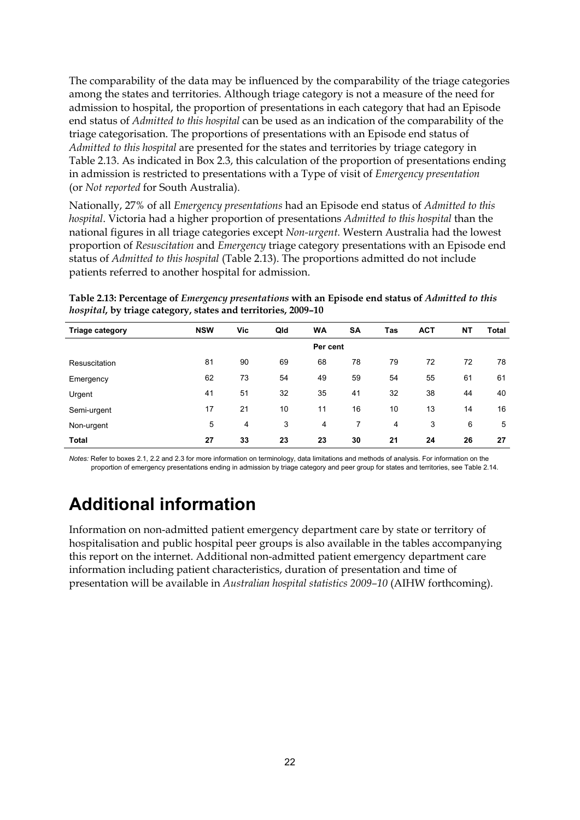The comparability of the data may be influenced by the comparability of the triage categories among the states and territories. Although triage category is not a measure of the need for admission to hospital, the proportion of presentations in each category that had an Episode end status of *Admitted to this hospital* can be used as an indication of the comparability of the triage categorisation. The proportions of presentations with an Episode end status of *Admitted to this hospital* are presented for the states and territories by triage category in Table 2.13. As indicated in Box 2.3, this calculation of the proportion of presentations ending in admission is restricted to presentations with a Type of visit of *Emergency presentation* (or *Not reported* for South Australia).

Nationally, 27% of all *Emergency presentations* had an Episode end status of *Admitted to this hospital*. Victoria had a higher proportion of presentations *Admitted to this hospital* than the national figures in all triage categories except *Non-urgent.* Western Australia had the lowest proportion of *Resuscitation* and *Emergency* triage category presentations with an Episode end status of *Admitted to this hospital* (Table 2.13). The proportions admitted do not include patients referred to another hospital for admission.

| <b>Triage category</b> | <b>NSW</b> | Vic. | Qld | WA       | <b>SA</b> | Tas | <b>ACT</b> | NΤ | Total |
|------------------------|------------|------|-----|----------|-----------|-----|------------|----|-------|
|                        |            |      |     | Per cent |           |     |            |    |       |
| Resuscitation          | 81         | 90   | 69  | 68       | 78        | 79  | 72         | 72 | 78    |
| Emergency              | 62         | 73   | 54  | 49       | 59        | 54  | 55         | 61 | 61    |
| Urgent                 | 41         | 51   | 32  | 35       | 41        | 32  | 38         | 44 | 40    |
| Semi-urgent            | 17         | 21   | 10  | 11       | 16        | 10  | 13         | 14 | 16    |
| Non-urgent             | 5          | 4    | 3   | 4        | 7         | 4   | 3          | 6  | 5     |
| <b>Total</b>           | 27         | 33   | 23  | 23       | 30        | 21  | 24         | 26 | 27    |

<span id="page-27-1"></span>**Table 2.13: Percentage of** *Emergency presentations* **with an Episode end status of** *Admitted to this hospital***, by triage category, states and territories, 2009–10** 

*Notes:* Refer to boxes 2.1, 2.2 and 2.3 for more information on terminology, data limitations and methods of analysis. For information on the proportion of emergency presentations ending in admission by triage category and peer group for states and territories, see Table 2.14.

# <span id="page-27-0"></span>**Additional information**

Information on non-admitted patient emergency department care by state or territory of hospitalisation and public hospital peer groups is also available in the tables accompanying this report on the internet. Additional non-admitted patient emergency department care information including patient characteristics, duration of presentation and time of presentation will be available in *Australian hospital statistics 2009–10* (AIHW forthcoming).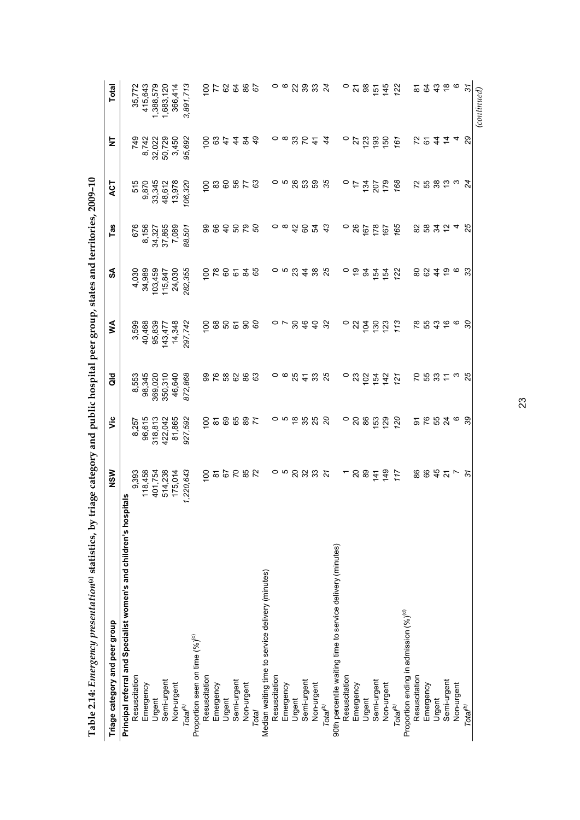<span id="page-28-0"></span>

| Table 2.14: Emergency presentation <sup>(a)</sup> statistics, by triage category and public hospital peer group, states and territories, 2009-10 |                             |                               |                      |                  |                             |                 |                |                 |                  |
|--------------------------------------------------------------------------------------------------------------------------------------------------|-----------------------------|-------------------------------|----------------------|------------------|-----------------------------|-----------------|----------------|-----------------|------------------|
| Triage category and peer group                                                                                                                   | NSW                         | νiς                           | $\frac{d}{d}$        | ≶                | న్                          | Tas             | ACT            | 눋               | Total            |
| Principal referral and Specialist women's and children's hospit                                                                                  | als                         |                               |                      |                  |                             |                 |                |                 |                  |
| Resuscitation                                                                                                                                    | 9,393                       | 8,257                         | 8,553                | 3,599            | 4,030                       | 676             | 515            | 749             | 35,772           |
| Emergency                                                                                                                                        | 118,458                     | 96,615                        | 98,345               | 40,468           | 34,989                      | 8,156           | 9,870          | 8,742           | 415,643          |
| Urgent                                                                                                                                           | 401,754                     | 318,813                       | 369,020              | 95,839           | 103,459                     | 34,327          | 33,345         | 32,022          | 1,388,579        |
| Semi-urgent                                                                                                                                      | 514,238                     | 422,042                       | 350,310              | 143,477          | 115,847                     | 37,865          | 48,612         | 50,729          | 1,683,120        |
| Non-urgent                                                                                                                                       | 175,014                     | 81,865                        | 46,640               | 14,348           | 24,030                      | 7,089           | 13,978         | 3,450           | 366,414          |
| $\mathsf{Total}^{(b)}$                                                                                                                           | 1,220,643                   | 927,592                       | 872,868              | 297,742          | 282,355                     | 88,501          | 106,320        | 95,692          | 3,891,713        |
| Proportion seen on time (%) <sup>(c)</sup>                                                                                                       |                             |                               |                      |                  |                             |                 |                |                 |                  |
| Resuscitation                                                                                                                                    | $\frac{0}{1}$               | $\overline{5}$                |                      | $\frac{00}{2}$   | $\frac{0}{100}$             |                 | $\frac{00}{2}$ | $\frac{00}{2}$  | $\overline{5}$   |
| Emergency                                                                                                                                        |                             |                               | 98                   | 89               | 78                          | 888             | 83             |                 |                  |
| Urgent                                                                                                                                           | 28225                       | $50^{\circ}$                  | 58                   | 50               | 60                          |                 | 60             | $rac{4}{5}$     | 28282            |
| Semi-urgent                                                                                                                                      |                             |                               | 82                   | 67               | 67                          |                 | 58             | $\frac{4}{4}$   |                  |
| Non-urgent                                                                                                                                       |                             | 65                            | 86                   | 80               |                             | <b>828</b>      | 52             | $\overline{a}$  |                  |
| Total                                                                                                                                            |                             | 71                            | 63                   | 60               | 84<br>65                    |                 |                | 49              |                  |
| Median waiting time to service delivery (minutes)                                                                                                |                             |                               |                      |                  |                             |                 |                |                 |                  |
| Resuscitation                                                                                                                                    |                             | 0                             |                      |                  |                             | 0               |                | 0               | 0                |
| Emergency                                                                                                                                        | ၀ ဖ                         | ഗ                             | ၀ ဖ                  | $\circ$ $\sim$   | ດ ທ                         | $\infty$        | ၀ ဖ            | $\infty$        | ဖ                |
| Urgent                                                                                                                                           |                             |                               | 25                   | $\boldsymbol{S}$ | 23                          |                 | 26             |                 |                  |
| Semi-urgent                                                                                                                                      | ន ន ន                       | $\frac{8}{5}$ % $\frac{8}{5}$ | $\frac{1}{4}$        | 46               | $\frac{4}{4}$               | 48              | 53             | 32              |                  |
| Non-urgent                                                                                                                                       |                             |                               | 33                   | $\overline{4}$   | 38                          | 54              | 59             | $\ddot{t}$      | 2332             |
| Total <sup>(b)</sup>                                                                                                                             | $\tilde{z}$                 | SO                            | 25                   | 32               | 25                          | 43              | 35             | 44              |                  |
| 90th percentile waiting time to service delivery (minutes)                                                                                       |                             |                               |                      |                  |                             |                 |                |                 |                  |
| Resuscitation                                                                                                                                    |                             | $\circ$                       | 0                    | 0                | 0                           | 0               | 0              | 0               | $\circ$          |
| Emergency                                                                                                                                        | $\overline{c}$              | $\overline{20}$               | 23                   | 22               | ္                           | 26              | $\ddot{ }$     | 27              | $\overline{2}$   |
| Urgent                                                                                                                                           | 89                          | 86                            | 102                  | 104              | 34                          | 167             | 134            | $\overline{23}$ | 88               |
| Semi-urgent                                                                                                                                      | $\frac{4}{1}$               | 53                            | 154                  | 130              |                             | 178             | 207            | 193             | $\overline{5}$   |
| Non-urgent                                                                                                                                       | $\frac{9}{4}$               | <b>29</b>                     | 142                  | 123              | $\frac{1}{2}$ $\frac{1}{2}$ | $\frac{167}{2}$ | 179            | $\overline{50}$ | 145              |
| Total <sup>(b)</sup>                                                                                                                             | 117                         | 120                           | 121                  | 113              | 122                         | 165             | 168            | 161             | 122              |
| Proportion ending in admission (%) <sup>(d)</sup>                                                                                                |                             |                               |                      |                  |                             |                 |                |                 |                  |
| Resuscitation                                                                                                                                    |                             |                               |                      | $\frac{8}{3}$    | 80                          |                 |                |                 |                  |
| Emergency                                                                                                                                        | <b>884</b>                  | <b>5 K H X</b>                | <b>253</b>           | 55<br>43         | 84                          | 28 28 29 4      | 25823          | 524             | 523466           |
| Urgent                                                                                                                                           |                             |                               |                      |                  |                             |                 |                |                 |                  |
| Semi-urgent                                                                                                                                      | $\frac{1}{2}$ $\frac{1}{2}$ |                               | $\tilde{r}$ $\omega$ | $\frac{6}{6}$    | စ္ ဖ                        |                 |                | $\tilde{a}$ 4   |                  |
| Non-urgent                                                                                                                                       |                             | O                             |                      |                  |                             |                 |                |                 |                  |
| Total <sup>(b)</sup>                                                                                                                             | $\tilde{\mathcal{E}}$       | 39                            | 25                   | SO               | 33                          | 25              | 24             | $\overline{8}$  | $\overline{3}$   |
|                                                                                                                                                  |                             |                               |                      |                  |                             |                 |                |                 | $_{(continued)}$ |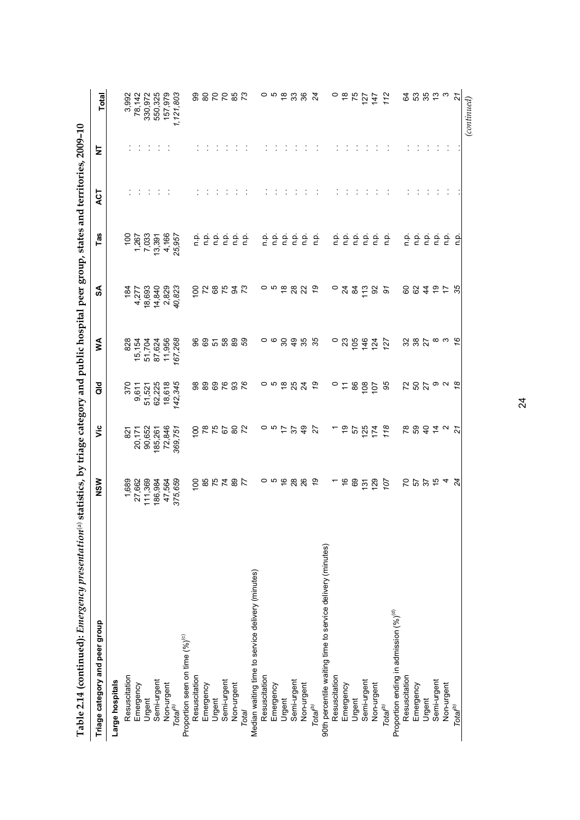| Table 2.14 (continued): Emergency presentation(a)          | statistics, by triage category and public hospital peer group, states and territories, 2009-10 |                                                                |              |                |                           |                                                                                                                              |           |   |                                                          |
|------------------------------------------------------------|------------------------------------------------------------------------------------------------|----------------------------------------------------------------|--------------|----------------|---------------------------|------------------------------------------------------------------------------------------------------------------------------|-----------|---|----------------------------------------------------------|
| Triage category and peer group                             | NSW                                                                                            | έ                                                              | ă            | ⋚              | SA                        | Tas                                                                                                                          | <b>LS</b> | ₫ | Total                                                    |
| Large hospitals                                            |                                                                                                |                                                                |              |                |                           |                                                                                                                              |           |   |                                                          |
| Resuscitation                                              |                                                                                                | $\overline{8}$                                                 |              | 828            | 184                       | $\frac{100}{20}$                                                                                                             |           |   | 3,992                                                    |
| Emergency                                                  | 1,689<br>27,662                                                                                | 20,171                                                         | 370<br>9,611 | 15,154         |                           |                                                                                                                              |           |   | 78,142                                                   |
| Urgent                                                     | 111,369                                                                                        | 90,652                                                         | 51,521       | 51,704         | 4,277<br>18,693<br>14,840 | 1,267<br>7,033                                                                                                               |           |   | 330,972<br>550,325                                       |
| Semi-urgent                                                | 186,984                                                                                        | 185,261                                                        | 62,225       | 87,624         |                           | 13,391                                                                                                                       |           |   |                                                          |
|                                                            | 47,564                                                                                         | 72,846                                                         | 18,618       | 11,956         | 2,829                     | 4,166                                                                                                                        |           |   | 157,979                                                  |
| Non-urgent<br>Total <sup>(b)</sup>                         | 375,659                                                                                        | 369,751                                                        | 142,345      | 167,268        | 40,823                    | 25,957                                                                                                                       |           |   | 1,121,803                                                |
| Proportion seen on time (%) <sup>(c)</sup>                 |                                                                                                |                                                                |              |                |                           |                                                                                                                              |           |   |                                                          |
| Resuscitation                                              |                                                                                                |                                                                |              |                |                           |                                                                                                                              |           |   |                                                          |
| Emergency                                                  |                                                                                                | 29<br>28<br>20<br>20<br>20<br>20<br>20<br>20<br>20<br>20<br>20 |              | 8 S            |                           |                                                                                                                              |           |   | 88228                                                    |
| Urgent                                                     |                                                                                                |                                                                |              |                |                           |                                                                                                                              |           |   |                                                          |
| Semi-urgent                                                |                                                                                                |                                                                |              |                |                           |                                                                                                                              |           |   |                                                          |
| Non-urgent                                                 | 282787                                                                                         | $\rm ^{\rm o}$                                                 | 8888288      | 5888           | 50852                     |                                                                                                                              |           |   |                                                          |
| Total                                                      |                                                                                                | $\overline{72}$                                                |              |                | $\overline{73}$           | $\begin{array}{ccc}\n0 & 0 \\ 0 & 1\n\end{array}$                                                                            |           |   | $\mathcal{L}$                                            |
| Median waiting time to service delivery (minutes)          |                                                                                                |                                                                |              |                |                           |                                                                                                                              |           |   |                                                          |
| Resuscitation                                              |                                                                                                |                                                                |              |                |                           | n p.                                                                                                                         |           |   |                                                          |
| Emergency                                                  |                                                                                                | $\frac{1}{2}$ a $\circ$                                        |              | ၀ ဖ            | ၀ ဖ                       | n p.                                                                                                                         |           |   |                                                          |
| Urgent                                                     |                                                                                                |                                                                |              | 30             | $\frac{\infty}{\infty}$   | $\frac{\mathsf{o}}{\mathsf{c}}$                                                                                              |           |   |                                                          |
| Semi-urgent                                                |                                                                                                | 57                                                             |              | $\frac{9}{4}$  |                           | ρ.<br>Γ                                                                                                                      |           |   | 0 10 10 10 10                                            |
| Non-urgent                                                 | o n e g g                                                                                      | $\frac{9}{4}$                                                  | ០១ខ្នង       | 35             | <b>882</b>                | $\frac{\alpha}{\alpha}$                                                                                                      |           |   |                                                          |
| Total <sup>(b)</sup>                                       | 67                                                                                             | 27                                                             | 67           | 35             | 67                        | ف<br>م                                                                                                                       |           |   | 24                                                       |
| 90th percentile waiting time to service delivery (minutes) |                                                                                                |                                                                |              |                |                           |                                                                                                                              |           |   |                                                          |
| Resuscitation                                              |                                                                                                |                                                                | 0            | 0              | $\circ$                   | $\frac{a}{c}$                                                                                                                |           |   |                                                          |
| Emergency                                                  | $\frac{6}{5}$                                                                                  | ٥Ļ                                                             | $\tilde{t}$  | 23             | 44                        |                                                                                                                              |           |   | $\circ$ $\stackrel{\sim}{\circ}$ $\stackrel{\sim}{\sim}$ |
| Urgent                                                     | 69                                                                                             | 57                                                             | 86           | 105            |                           |                                                                                                                              |           |   |                                                          |
| Semi-urgent                                                | $\frac{5}{13}$                                                                                 | 125                                                            | 108          | 146            | 113                       | $\begin{array}{ccc}\n 2 & 2 & 3 \\  3 & 4 & 5\n \end{array}$                                                                 |           |   | 127                                                      |
| Non-urgent                                                 | 129                                                                                            | 174                                                            | 107          | 124            | 92                        | n p.                                                                                                                         |           |   | 147                                                      |
| Total <sup>(b)</sup>                                       | 107                                                                                            | 118                                                            | 95           | 127            | $\tilde{e}$               | $\frac{a}{c}$                                                                                                                |           |   | 112                                                      |
| Proportion ending in admission (%) <sup>(d)</sup>          |                                                                                                |                                                                |              |                |                           |                                                                                                                              |           |   |                                                          |
| Resuscitation                                              |                                                                                                | $\frac{8}{3}$                                                  |              |                | 8                         | ن<br>ء                                                                                                                       |           |   |                                                          |
| Emergency                                                  | ひいがちょ                                                                                          |                                                                |              | 38<br>38<br>27 | 9455                      | ρ.<br>Γ                                                                                                                      |           |   | ទីដូងដុ                                                  |
| Urgent                                                     |                                                                                                |                                                                |              |                |                           |                                                                                                                              |           |   |                                                          |
| Semi-urgent                                                |                                                                                                |                                                                |              |                |                           | $\begin{array}{ccc}\n\bullet & \bullet & \bullet \\ \bullet & \bullet & \bullet \\ \bullet & \bullet & \bullet\n\end{array}$ |           |   |                                                          |
| Non-urgent                                                 |                                                                                                | 394792                                                         | 2002 a d 20  | $\frac{8}{6}$  |                           |                                                                                                                              |           |   |                                                          |
| <b>Total<sup>(b)</sup></b>                                 | 24                                                                                             |                                                                |              |                | 35                        | ءِ<br>ء                                                                                                                      |           |   | 21                                                       |
|                                                            |                                                                                                |                                                                |              |                |                           |                                                                                                                              |           |   | $_{(continued)}$                                         |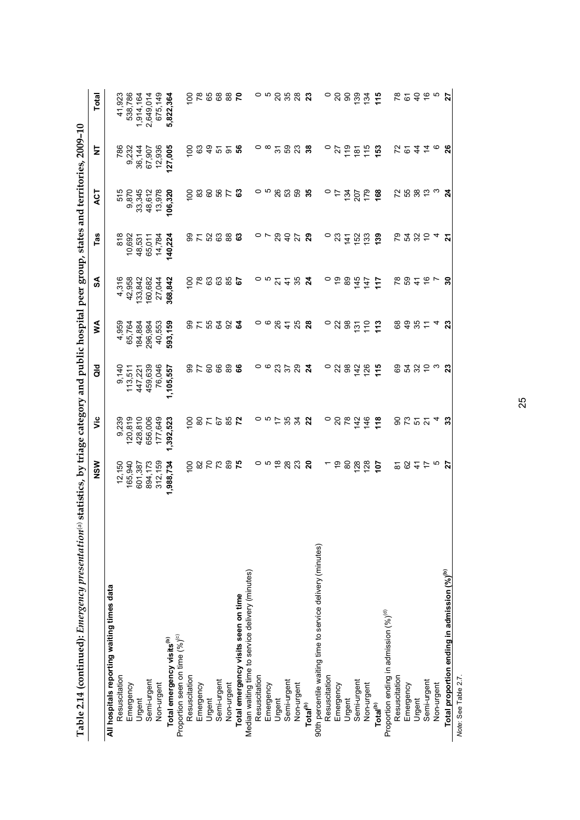| Table 2.14 (continued): Emergency presentation® statistics, by triage category and public hospital peer group, states and territories, 2009-10 |                                                                |                 |                  |                  |                          |                |         |                                      |                  |
|------------------------------------------------------------------------------------------------------------------------------------------------|----------------------------------------------------------------|-----------------|------------------|------------------|--------------------------|----------------|---------|--------------------------------------|------------------|
|                                                                                                                                                | NSW                                                            | έ               | ă                | ≸                | SA                       | Tas            | ACT     | ₹                                    | Total            |
| All hospitals reporting waiting times data                                                                                                     |                                                                |                 |                  |                  |                          |                |         |                                      |                  |
| Resuscitation                                                                                                                                  | 12,150<br>165,940                                              | 9,239           | 9,140            | 4,959            | 4,316                    | 818<br>10,692  | 515     | 786                                  | 41,923           |
| Emergency                                                                                                                                      |                                                                | 120,819         | 113,511          | 65,764           | 42,958                   |                | 9,870   | 9,232                                | 538,786          |
| Urgent                                                                                                                                         | 601,387                                                        | 428,810         | 447,221          | 184,884          | 133,842                  | 48,531         | 33,345  | 36,144                               | 1,914,164        |
| Semi-urgent                                                                                                                                    | 894,173                                                        | 656,006         | 459,639          | 296,984          | 160,682                  | 65,011         | 48,612  | 67,907                               | 2,649,014        |
| Non-urgent                                                                                                                                     | 312,159                                                        | 177,649         | 76,046           | 40,553           | 27,044                   | 14,784         | 13,978  | 12,936                               | 675,149          |
| Total emergency visits <sup>(b)</sup>                                                                                                          | 1,988,734                                                      | 1,392,523       | 1,105,557        | 593,159          | 368,842                  | 140,224        | 106,320 | 127,005                              | 5,822,364        |
| Proportion seen on time (%) <sup>(c)</sup>                                                                                                     |                                                                |                 |                  |                  |                          |                |         |                                      |                  |
| Resuscitation                                                                                                                                  | 8                                                              | 8               |                  |                  | 8                        |                | 8       | 8                                    | 8                |
| Emergency                                                                                                                                      | 872                                                            |                 | 5<br>2<br>8      | <b>8753</b>      | 78                       | 2523           | 83      | 63                                   | $\frac{8}{2}$    |
| Urgent                                                                                                                                         |                                                                | $\frac{1}{2}$   | 60               |                  | 63                       |                | 60      | ą,                                   | 65               |
| Semi-urgent                                                                                                                                    |                                                                | 67              | 89               |                  | 63                       |                | 56      | 57                                   | 68               |
| Non-urgent                                                                                                                                     | 89                                                             |                 | 89               | 92               | 85                       | 88             | 77      | $\overline{5}$                       | 88               |
| Total emergency visits seen on time                                                                                                            | $\mathbf{r}$                                                   | <b>85</b><br>72 | ဖိ               | 3                | 57                       | ය              | යි      | 56                                   | $\mathsf{R}$     |
| Median waiting time to service delivery (minutes)                                                                                              |                                                                |                 |                  |                  |                          |                |         |                                      |                  |
| Resuscitation                                                                                                                                  |                                                                |                 |                  |                  |                          |                |         |                                      |                  |
| Emergency                                                                                                                                      | ၀ ဖ                                                            | ၀ ဖ             | ၀ ဖ              | ၀ ဖ              | ດ ທ                      | $\sim$ $\sim$  | ၀ ဖ     | ⇔ ∞                                  | ດ ທ              |
| Urgent                                                                                                                                         | $\frac{8}{1}$                                                  | $\overline{1}$  | 23               |                  | $\overline{\mathcal{S}}$ | 29             | 26      | $\overline{\widetilde{\mathcal{C}}}$ |                  |
| Semi-urgent                                                                                                                                    | 28                                                             | 35              | 57               | 84               | $\frac{4}{3}$            | $\overline{4}$ | S3      | 59                                   | <b>25</b>        |
| Non-urgent                                                                                                                                     | 23                                                             | 34              | 29               | 25               | 35                       | 27             | S9      | 23                                   | 28               |
| Total <sup>(b)</sup>                                                                                                                           | $\boldsymbol{5}$                                               | 22              | $\boldsymbol{z}$ | $\overline{28}$  | $\boldsymbol{z}$         | 29             | 35      | 38                                   | 23               |
| 90th percentile waiting time to service delivery (minutes)                                                                                     |                                                                |                 |                  |                  |                          |                |         |                                      |                  |
| Resuscitation                                                                                                                                  |                                                                | 0               | 0                | 0                | 0                        | 0              | 0       | 0                                    | 0                |
| Emergency                                                                                                                                      | é,                                                             | $\overline{c}$  | $\overline{2}$   |                  | e,                       | 23             | 4       | 27                                   | 20               |
| Urgent                                                                                                                                         | 80                                                             | 78              | 88               | $\frac{2}{9}$    | 89                       | 141            | 134     | 119                                  | 8                |
| Semi-urgent                                                                                                                                    | 128                                                            | 142             | 142              | 131              | 145                      | 152            | 207     | 181                                  | 139              |
| Non-urgent                                                                                                                                     | 128                                                            | 146             | 126              | $\frac{0}{1}$    | $\overline{47}$          | 133            | 179     | 115                                  | 134              |
| Total <sup>(b)</sup>                                                                                                                           | 707                                                            | 118             | 115              | 113              | $\frac{1}{1}$            | 139            | 168     | 153                                  | $\frac{16}{16}$  |
| Proportion ending in admission (%) <sup>(d)</sup>                                                                                              |                                                                |                 |                  |                  |                          |                |         |                                      |                  |
| Resuscitation                                                                                                                                  | $\overline{\infty}$                                            |                 | 89               | 89               | $\frac{8}{3}$            | 67             | 22      |                                      | 78               |
| Emergency                                                                                                                                      | 62                                                             |                 | 54               | $\frac{9}{4}$    | 59                       | 54             | 55      | 72<br>61                             | 67               |
| Urgent                                                                                                                                         | $\stackrel{4}{\sim}$ $\stackrel{1}{\sim}$ $\stackrel{1}{\sim}$ | ទី ដូ ១ ម       | 32               | 35               | $\ddot{4}$               | 354            | 80 se   | $\frac{4}{3}$                        | $\overline{4}$   |
| Semi-urgent                                                                                                                                    |                                                                |                 |                  | $\tilde{t}$      | $\frac{6}{5}$            |                |         | $\frac{1}{4}$ $\circ$                | $\frac{6}{6}$ ro |
| Non-urgent                                                                                                                                     |                                                                | 4               | ო                |                  | $\overline{ }$           |                | ო       |                                      |                  |
| Total proportion ending in admission (%) <sup>(b)</sup>                                                                                        | 27                                                             | 33              | 23               | $\boldsymbol{z}$ | వి                       | 21             | 24      | 26                                   | 27               |
| Note: See Table 2.7                                                                                                                            |                                                                |                 |                  |                  |                          |                |         |                                      |                  |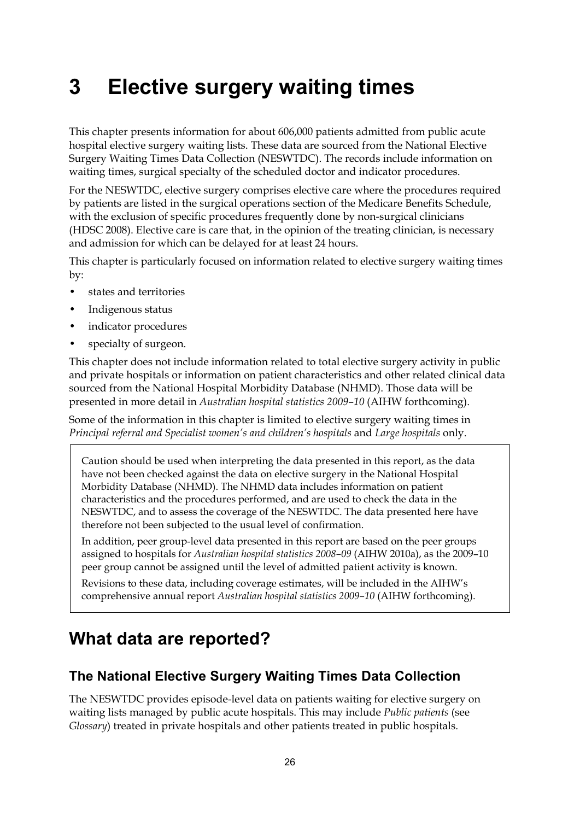# <span id="page-31-0"></span>**3 Elective surgery waiting times**

This chapter presents information for about 606,000 patients admitted from public acute hospital elective surgery waiting lists. These data are sourced from the National Elective Surgery Waiting Times Data Collection (NESWTDC). The records include information on waiting times, surgical specialty of the scheduled doctor and indicator procedures.

For the NESWTDC, elective surgery comprises elective care where the procedures required by patients are listed in the surgical operations section of the Medicare Benefits Schedule, with the exclusion of specific procedures frequently done by non-surgical clinicians (HDSC 2008). Elective care is care that, in the opinion of the treating clinician, is necessary and admission for which can be delayed for at least 24 hours.

This chapter is particularly focused on information related to elective surgery waiting times by:

- states and territories
- Indigenous status
- indicator procedures
- specialty of surgeon.

This chapter does not include information related to total elective surgery activity in public and private hospitals or information on patient characteristics and other related clinical data sourced from the National Hospital Morbidity Database (NHMD). Those data will be presented in more detail in *Australian hospital statistics 2009–10* (AIHW forthcoming).

Some of the information in this chapter is limited to elective surgery waiting times in *Principal referral and Specialist women's and children's hospitals* and *Large hospitals* only.

Caution should be used when interpreting the data presented in this report, as the data have not been checked against the data on elective surgery in the National Hospital Morbidity Database (NHMD). The NHMD data includes information on patient characteristics and the procedures performed, and are used to check the data in the NESWTDC, and to assess the coverage of the NESWTDC. The data presented here have therefore not been subjected to the usual level of confirmation.

In addition, peer group-level data presented in this report are based on the peer groups assigned to hospitals for *Australian hospital statistics 2008–09* (AIHW 2010a), as the 2009–10 peer group cannot be assigned until the level of admitted patient activity is known.

Revisions to these data, including coverage estimates, will be included in the AIHW's comprehensive annual report *Australian hospital statistics 2009–10* (AIHW forthcoming).

# <span id="page-31-1"></span>**What data are reported?**

# <span id="page-31-2"></span>**The National Elective Surgery Waiting Times Data Collection**

The NESWTDC provides episode-level data on patients waiting for elective surgery on waiting lists managed by public acute hospitals. This may include *Public patients* (see *Glossary*) treated in private hospitals and other patients treated in public hospitals.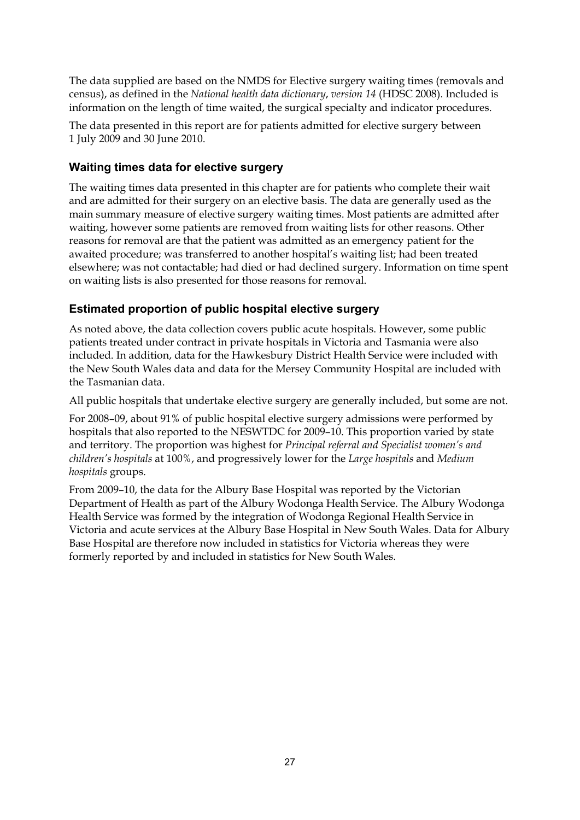The data supplied are based on the NMDS for Elective surgery waiting times (removals and census), as defined in the *National health data dictionary*, *version 14* (HDSC 2008). Included is information on the length of time waited, the surgical specialty and indicator procedures.

The data presented in this report are for patients admitted for elective surgery between 1 July 2009 and 30 June 2010.

## **Waiting times data for elective surgery**

The waiting times data presented in this chapter are for patients who complete their wait and are admitted for their surgery on an elective basis. The data are generally used as the main summary measure of elective surgery waiting times. Most patients are admitted after waiting, however some patients are removed from waiting lists for other reasons. Other reasons for removal are that the patient was admitted as an emergency patient for the awaited procedure; was transferred to another hospital's waiting list; had been treated elsewhere; was not contactable; had died or had declined surgery. Information on time spent on waiting lists is also presented for those reasons for removal.

## **Estimated proportion of public hospital elective surgery**

As noted above, the data collection covers public acute hospitals. However, some public patients treated under contract in private hospitals in Victoria and Tasmania were also included. In addition, data for the Hawkesbury District Health Service were included with the New South Wales data and data for the Mersey Community Hospital are included with the Tasmanian data.

All public hospitals that undertake elective surgery are generally included, but some are not.

For 2008–09, about 91% of public hospital elective surgery admissions were performed by hospitals that also reported to the NESWTDC for 2009–10. This proportion varied by state and territory. The proportion was highest for *Principal referral and Specialist women's and children's hospitals* at 100%, and progressively lower for the *Large hospitals* and *Medium hospitals* groups.

From 2009–10, the data for the Albury Base Hospital was reported by the Victorian Department of Health as part of the Albury Wodonga Health Service. The Albury Wodonga Health Service was formed by the integration of Wodonga Regional Health Service in Victoria and acute services at the Albury Base Hospital in New South Wales. Data for Albury Base Hospital are therefore now included in statistics for Victoria whereas they were formerly reported by and included in statistics for New South Wales.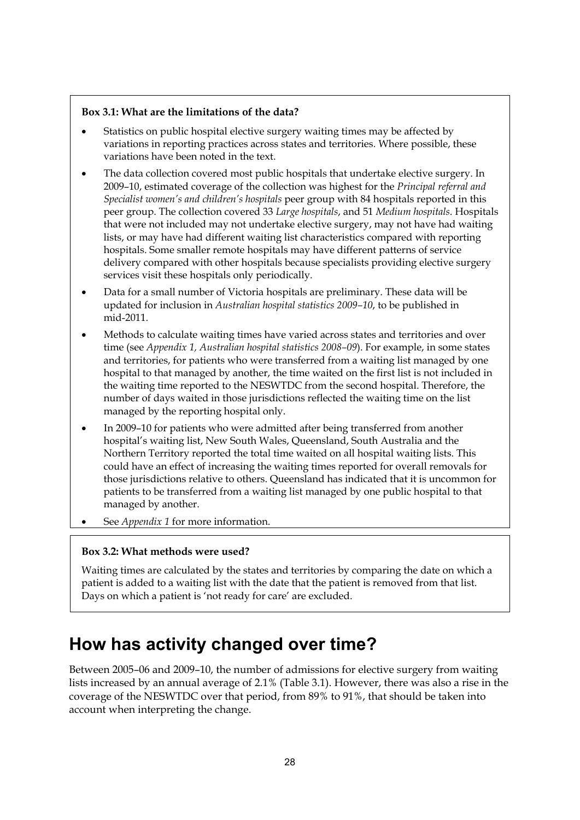#### **Box 3.1: What are the limitations of the data?**

- Statistics on public hospital elective surgery waiting times may be affected by variations in reporting practices across states and territories. Where possible, these variations have been noted in the text.
- The data collection covered most public hospitals that undertake elective surgery. In 2009–10, estimated coverage of the collection was highest for the *Principal referral and Specialist women's and children's hospitals* peer group with 84 hospitals reported in this peer group. The collection covered 33 *Large hospitals*, and 51 *Medium hospitals*. Hospitals that were not included may not undertake elective surgery, may not have had waiting lists, or may have had different waiting list characteristics compared with reporting hospitals. Some smaller remote hospitals may have different patterns of service delivery compared with other hospitals because specialists providing elective surgery services visit these hospitals only periodically.
- Data for a small number of Victoria hospitals are preliminary. These data will be updated for inclusion in *Australian hospital statistics 2009–10*, to be published in mid-2011.
- Methods to calculate waiting times have varied across states and territories and over time (see *Appendix 1, Australian hospital statistics 2008–09*). For example, in some states and territories, for patients who were transferred from a waiting list managed by one hospital to that managed by another, the time waited on the first list is not included in the waiting time reported to the NESWTDC from the second hospital. Therefore, the number of days waited in those jurisdictions reflected the waiting time on the list managed by the reporting hospital only.
- In 2009–10 for patients who were admitted after being transferred from another hospital's waiting list, New South Wales, Queensland, South Australia and the Northern Territory reported the total time waited on all hospital waiting lists. This could have an effect of increasing the waiting times reported for overall removals for those jurisdictions relative to others. Queensland has indicated that it is uncommon for patients to be transferred from a waiting list managed by one public hospital to that managed by another.
- See *Appendix 1* for more information.

#### **Box 3.2: What methods were used?**

Waiting times are calculated by the states and territories by comparing the date on which a patient is added to a waiting list with the date that the patient is removed from that list. Days on which a patient is 'not ready for care' are excluded.

# <span id="page-33-0"></span>**How has activity changed over time?**

Between 2005–06 and 2009–10, the number of admissions for elective surgery from waiting lists increased by an annual average of 2.1% (Table 3.1). However, there was also a rise in the coverage of the NESWTDC over that period, from 89% to 91%, that should be taken into account when interpreting the change.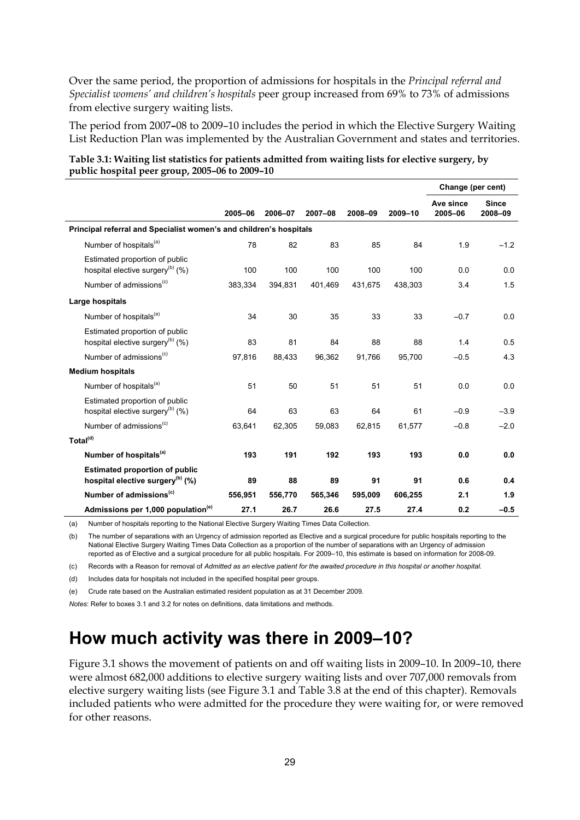Over the same period, the proportion of admissions for hospitals in the *Principal referral and Specialist womens' and children's hospitals* peer group increased from 69% to 73% of admissions from elective surgery waiting lists.

The period from 2007**–**08 to 2009–10 includes the period in which the Elective Surgery Waiting List Reduction Plan was implemented by the Australian Government and states and territories.

|                                                                                       |         |         |         |         |         | Change (per cent)    |                         |
|---------------------------------------------------------------------------------------|---------|---------|---------|---------|---------|----------------------|-------------------------|
|                                                                                       | 2005-06 | 2006-07 | 2007-08 | 2008-09 | 2009-10 | Ave since<br>2005-06 | <b>Since</b><br>2008-09 |
| Principal referral and Specialist women's and children's hospitals                    |         |         |         |         |         |                      |                         |
| Number of hospitals <sup>(a)</sup>                                                    | 78      | 82      | 83      | 85      | 84      | 1.9                  | $-1.2$                  |
| Estimated proportion of public<br>hospital elective surgery <sup>(b)</sup> (%)        | 100     | 100     | 100     | 100     | 100     | 0.0                  | 0.0                     |
| Number of admissions <sup>(c)</sup>                                                   | 383,334 | 394,831 | 401,469 | 431,675 | 438,303 | 3.4                  | 1.5                     |
| Large hospitals                                                                       |         |         |         |         |         |                      |                         |
| Number of hospitals <sup>(a)</sup>                                                    | 34      | 30      | 35      | 33      | 33      | $-0.7$               | 0.0                     |
| Estimated proportion of public<br>hospital elective surgery <sup>(b)</sup> $(\%)$     | 83      | 81      | 84      | 88      | 88      | 1.4                  | 0.5                     |
| Number of admissions <sup>(c)</sup>                                                   | 97,816  | 88,433  | 96,362  | 91,766  | 95,700  | $-0.5$               | 4.3                     |
| <b>Medium hospitals</b>                                                               |         |         |         |         |         |                      |                         |
| Number of hospitals <sup>(a)</sup>                                                    | 51      | 50      | 51      | 51      | 51      | 0.0                  | 0.0                     |
| Estimated proportion of public<br>hospital elective surgery <sup>(b)</sup> $(\%)$     | 64      | 63      | 63      | 64      | 61      | $-0.9$               | $-3.9$                  |
| Number of admissions <sup>(c)</sup>                                                   | 63,641  | 62,305  | 59,083  | 62,815  | 61,577  | $-0.8$               | $-2.0$                  |
| Total <sup>(d)</sup>                                                                  |         |         |         |         |         |                      |                         |
| Number of hospitals <sup>(a)</sup>                                                    | 193     | 191     | 192     | 193     | 193     | 0.0                  | 0.0                     |
| <b>Estimated proportion of public</b><br>hospital elective surgery <sup>(b)</sup> (%) | 89      | 88      | 89      | 91      | 91      | 0.6                  | 0.4                     |
| Number of admissions <sup>(c)</sup>                                                   | 556,951 | 556,770 | 565,346 | 595,009 | 606,255 | 2.1                  | 1.9                     |
| Admissions per 1,000 population <sup>(e)</sup>                                        | 27.1    | 26.7    | 26.6    | 27.5    | 27.4    | 0.2                  | $-0.5$                  |

#### <span id="page-34-1"></span>**Table 3.1: Waiting list statistics for patients admitted from waiting lists for elective surgery, by public hospital peer group, 2005–06 to 2009–10**

(a) Number of hospitals reporting to the National Elective Surgery Waiting Times Data Collection.

(b) The number of separations with an Urgency of admission reported as Elective and a surgical procedure for public hospitals reporting to the National Elective Surgery Waiting Times Data Collection as a proportion of the number of separations with an Urgency of admission reported as of Elective and a surgical procedure for all public hospitals. For 2009–10, this estimate is based on information for 2008-09.

(c) Records with a Reason for removal of *Admitted as an elective patient for the awaited procedure in this hospital or another hospital*.

(d) Includes data for hospitals not included in the specified hospital peer groups.

(e) Crude rate based on the Australian estimated resident population as at 31 December 2009.

*Notes*: Refer to boxes 3.1 and 3.2 for notes on definitions, data limitations and methods.

# <span id="page-34-0"></span>**How much activity was there in 2009–10?**

Figure 3.1 shows the movement of patients on and off waiting lists in 2009–10. In 2009–10, there were almost 682,000 additions to elective surgery waiting lists and over 707,000 removals from elective surgery waiting lists (see Figure 3.1 and Table 3.8 at the end of this chapter). Removals included patients who were admitted for the procedure they were waiting for, or were removed for other reasons.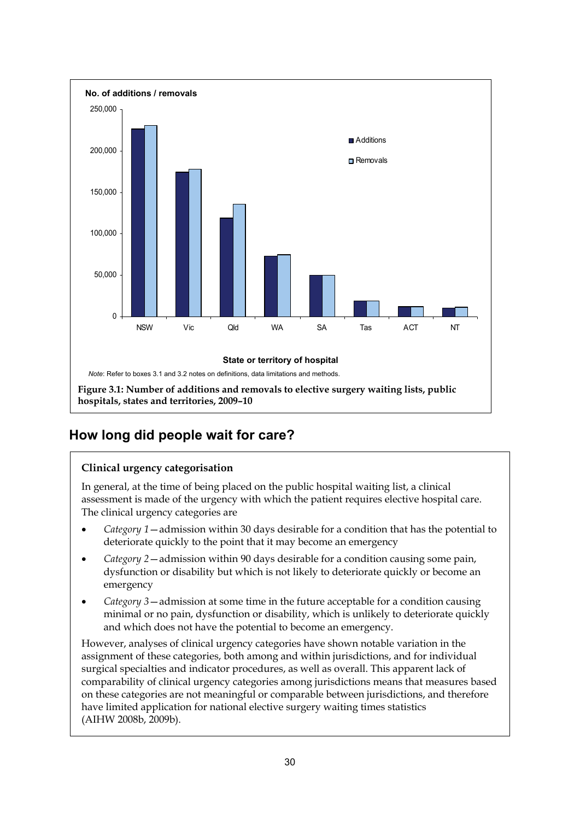

# <span id="page-35-1"></span><span id="page-35-0"></span>**How long did people wait for care?**

#### **Clinical urgency categorisation**

In general, at the time of being placed on the public hospital waiting list, a clinical assessment is made of the urgency with which the patient requires elective hospital care. The clinical urgency categories are

- *Category 1*—admission within 30 days desirable for a condition that has the potential to deteriorate quickly to the point that it may become an emergency
- *Category 2*—admission within 90 days desirable for a condition causing some pain, dysfunction or disability but which is not likely to deteriorate quickly or become an emergency
- *Category 3*—admission at some time in the future acceptable for a condition causing minimal or no pain, dysfunction or disability, which is unlikely to deteriorate quickly and which does not have the potential to become an emergency.

However, analyses of clinical urgency categories have shown notable variation in the assignment of these categories, both among and within jurisdictions, and for individual surgical specialties and indicator procedures, as well as overall. This apparent lack of comparability of clinical urgency categories among jurisdictions means that measures based on these categories are not meaningful or comparable between jurisdictions, and therefore have limited application for national elective surgery waiting times statistics (AIHW 2008b, 2009b).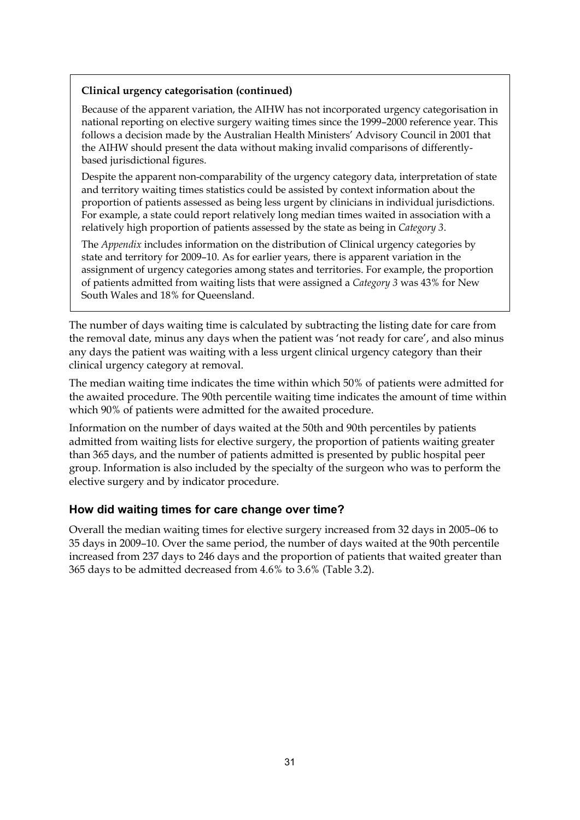#### **Clinical urgency categorisation (continued)**

Because of the apparent variation, the AIHW has not incorporated urgency categorisation in national reporting on elective surgery waiting times since the 1999–2000 reference year. This follows a decision made by the Australian Health Ministers' Advisory Council in 2001 that the AIHW should present the data without making invalid comparisons of differentlybased jurisdictional figures.

Despite the apparent non-comparability of the urgency category data, interpretation of state and territory waiting times statistics could be assisted by context information about the proportion of patients assessed as being less urgent by clinicians in individual jurisdictions. For example, a state could report relatively long median times waited in association with a relatively high proportion of patients assessed by the state as being in *Category 3*.

The *Appendix* includes information on the distribution of Clinical urgency categories by state and territory for 2009–10. As for earlier years, there is apparent variation in the assignment of urgency categories among states and territories. For example, the proportion of patients admitted from waiting lists that were assigned a *Category 3* was 43% for New South Wales and 18% for Queensland.

The number of days waiting time is calculated by subtracting the listing date for care from the removal date, minus any days when the patient was 'not ready for care', and also minus any days the patient was waiting with a less urgent clinical urgency category than their clinical urgency category at removal.

The median waiting time indicates the time within which 50% of patients were admitted for the awaited procedure. The 90th percentile waiting time indicates the amount of time within which 90% of patients were admitted for the awaited procedure.

Information on the number of days waited at the 50th and 90th percentiles by patients admitted from waiting lists for elective surgery, the proportion of patients waiting greater than 365 days, and the number of patients admitted is presented by public hospital peer group. Information is also included by the specialty of the surgeon who was to perform the elective surgery and by indicator procedure.

#### **How did waiting times for care change over time?**

Overall the median waiting times for elective surgery increased from 32 days in 2005–06 to 35 days in 2009–10. Over the same period, the number of days waited at the 90th percentile increased from 237 days to 246 days and the proportion of patients that waited greater than 365 days to be admitted decreased from 4.6% to 3.6% (Table 3.2).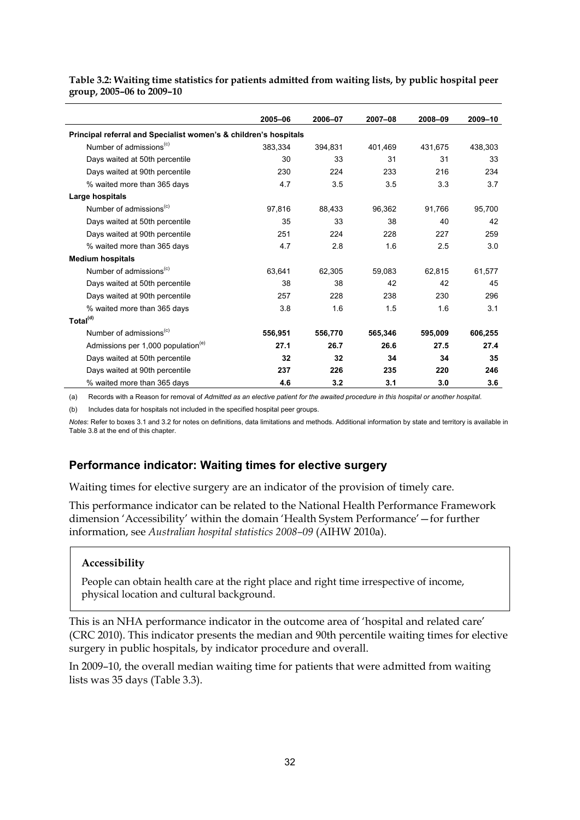|                                                                  | 2005-06 | 2006-07 | 2007-08 | 2008-09 | 2009-10 |
|------------------------------------------------------------------|---------|---------|---------|---------|---------|
| Principal referral and Specialist women's & children's hospitals |         |         |         |         |         |
| Number of admissions <sup>(c)</sup>                              | 383,334 | 394,831 | 401,469 | 431,675 | 438,303 |
| Days waited at 50th percentile                                   | 30      | 33      | 31      | 31      | 33      |
| Days waited at 90th percentile                                   | 230     | 224     | 233     | 216     | 234     |
| % waited more than 365 days                                      | 4.7     | 3.5     | 3.5     | 3.3     | 3.7     |
| Large hospitals                                                  |         |         |         |         |         |
| Number of admissions <sup>(c)</sup>                              | 97,816  | 88,433  | 96,362  | 91,766  | 95,700  |
| Days waited at 50th percentile                                   | 35      | 33      | 38      | 40      | 42      |
| Days waited at 90th percentile                                   | 251     | 224     | 228     | 227     | 259     |
| % waited more than 365 days                                      | 4.7     | 2.8     | 1.6     | 2.5     | 3.0     |
| <b>Medium hospitals</b>                                          |         |         |         |         |         |
| Number of admissions <sup>(c)</sup>                              | 63,641  | 62,305  | 59,083  | 62,815  | 61,577  |
| Days waited at 50th percentile                                   | 38      | 38      | 42      | 42      | 45      |
| Days waited at 90th percentile                                   | 257     | 228     | 238     | 230     | 296     |
| % waited more than 365 days                                      | 3.8     | 1.6     | 1.5     | 1.6     | 3.1     |
| Total <sup>(d)</sup>                                             |         |         |         |         |         |
| Number of admissions <sup>(c)</sup>                              | 556,951 | 556,770 | 565,346 | 595,009 | 606,255 |
| Admissions per 1,000 population <sup>(e)</sup>                   | 27.1    | 26.7    | 26.6    | 27.5    | 27.4    |
| Days waited at 50th percentile                                   | 32      | 32      | 34      | 34      | 35      |
| Days waited at 90th percentile                                   | 237     | 226     | 235     | 220     | 246     |
| % waited more than 365 days                                      | 4.6     | 3.2     | 3.1     | 3.0     | 3.6     |

<span id="page-37-1"></span>**Table 3.2: Waiting time statistics for patients admitted from waiting lists, by public hospital peer group, 2005–06 to 2009–10** 

(a) Records with a Reason for removal of *Admitted as an elective patient for the awaited procedure in this hospital or another hospital*.

(b) Includes data for hospitals not included in the specified hospital peer groups.

*Notes*: Refer to boxes 3.1 and 3.2 for notes on definitions, data limitations and methods. Additional information by state and territory is available in Table 3.8 at the end of this chapter.

#### <span id="page-37-0"></span>**Performance indicator: Waiting times for elective surgery**

Waiting times for elective surgery are an indicator of the provision of timely care.

This performance indicator can be related to the National Health Performance Framework dimension 'Accessibility' within the domain 'Health System Performance'—for further information, see *Australian hospital statistics 2008–09* (AIHW 2010a).

#### **Accessibility**

People can obtain health care at the right place and right time irrespective of income, physical location and cultural background.

This is an NHA performance indicator in the outcome area of 'hospital and related care' (CRC 2010). This indicator presents the median and 90th percentile waiting times for elective surgery in public hospitals, by indicator procedure and overall.

In 2009–10, the overall median waiting time for patients that were admitted from waiting lists was 35 days (Table 3.3).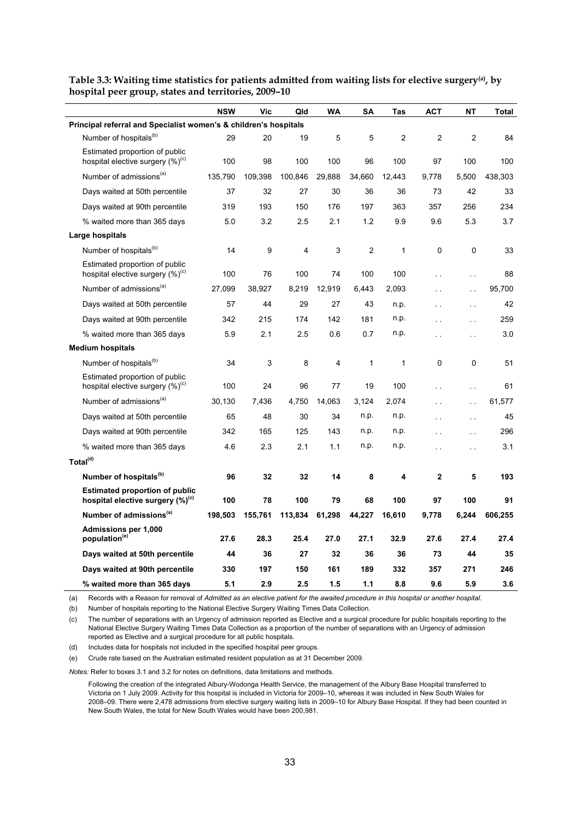|                                                                                       | <b>NSW</b> | Vic     | Qld     | <b>WA</b> | SΑ             | Tas            | <b>ACT</b>           | NΤ                   | Total   |
|---------------------------------------------------------------------------------------|------------|---------|---------|-----------|----------------|----------------|----------------------|----------------------|---------|
| Principal referral and Specialist women's & children's hospitals                      |            |         |         |           |                |                |                      |                      |         |
| Number of hospitals <sup>(b)</sup>                                                    | 29         | 20      | 19      | 5         | 5              | $\overline{c}$ | 2                    | $\overline{c}$       | 84      |
| Estimated proportion of public<br>hospital elective surgery (%) <sup>(c)</sup>        | 100        | 98      | 100     | 100       | 96             | 100            | 97                   | 100                  | 100     |
| Number of admissions <sup>(a)</sup>                                                   | 135.790    | 109,398 | 100,846 | 29,888    | 34,660         | 12.443         | 9.778                | 5.500                | 438.303 |
| Days waited at 50th percentile                                                        | 37         | 32      | 27      | 30        | 36             | 36             | 73                   | 42                   | 33      |
| Days waited at 90th percentile                                                        | 319        | 193     | 150     | 176       | 197            | 363            | 357                  | 256                  | 234     |
| % waited more than 365 days                                                           | 5.0        | 3.2     | 2.5     | 2.1       | 1.2            | 9.9            | 9.6                  | 5.3                  | 3.7     |
| Large hospitals                                                                       |            |         |         |           |                |                |                      |                      |         |
| Number of hospitals <sup>(b)</sup>                                                    | 14         | 9       | 4       | 3         | $\overline{2}$ | $\mathbf{1}$   | 0                    | 0                    | 33      |
| Estimated proportion of public<br>hospital elective surgery (%) <sup>(c)</sup>        | 100        | 76      | 100     | 74        | 100            | 100            | $\sim$               | $\sim$ $\sim$        | 88      |
| Number of admissions <sup>(a)</sup>                                                   | 27,099     | 38,927  | 8,219   | 12,919    | 6,443          | 2,093          |                      | $\ddot{\phantom{a}}$ | 95,700  |
| Days waited at 50th percentile                                                        | 57         | 44      | 29      | 27        | 43             | n.p.           |                      | i.                   | 42      |
| Days waited at 90th percentile                                                        | 342        | 215     | 174     | 142       | 181            | n.p.           |                      | $\ddot{\phantom{a}}$ | 259     |
| % waited more than 365 days                                                           | 5.9        | 2.1     | 2.5     | 0.6       | 0.7            | n.p.           | $\sim$               | $\mathbf{r}$         | 3.0     |
| <b>Medium hospitals</b>                                                               |            |         |         |           |                |                |                      |                      |         |
| Number of hospitals <sup>(b)</sup>                                                    | 34         | 3       | 8       | 4         | 1              | 1              | 0                    | 0                    | 51      |
| Estimated proportion of public<br>hospital elective surgery $(\%)^{\text{(c)}}$       | 100        | 24      | 96      | 77        | 19             | 100            | $\ddot{\phantom{a}}$ | $\sim$ $\sim$        | 61      |
| Number of admissions <sup>(a)</sup>                                                   | 30,130     | 7,436   | 4,750   | 14,063    | 3.124          | 2,074          |                      | . .                  | 61,577  |
| Days waited at 50th percentile                                                        | 65         | 48      | 30      | 34        | n.p.           | n.p.           |                      | $\ddot{\phantom{0}}$ | 45      |
| Days waited at 90th percentile                                                        | 342        | 165     | 125     | 143       | n.p.           | n.p.           |                      | $\ddot{\phantom{a}}$ | 296     |
| % waited more than 365 days                                                           | 4.6        | 2.3     | 2.1     | 1.1       | n.p.           | n.p.           |                      |                      | 3.1     |
| Total <sup>(d)</sup>                                                                  |            |         |         |           |                |                |                      |                      |         |
| Number of hospitals <sup>(b)</sup>                                                    | 96         | 32      | 32      | 14        | 8              | 4              | 2                    | 5                    | 193     |
| <b>Estimated proportion of public</b><br>hospital elective surgery (%) <sup>(c)</sup> | 100        | 78      | 100     | 79        | 68             | 100            | 97                   | 100                  | 91      |
| Number of admissions <sup>(a)</sup>                                                   | 198,503    | 155,761 | 113,834 | 61,298    | 44,227         | 16,610         | 9,778                | 6,244                | 606,255 |
| <b>Admissions per 1,000</b><br>population <sup>(e)</sup>                              | 27.6       | 28.3    | 25.4    | 27.0      | 27.1           | 32.9           | 27.6                 | 27.4                 | 27.4    |
| Days waited at 50th percentile                                                        | 44         | 36      | 27      | 32        | 36             | 36             | 73                   | 44                   | 35      |
| Days waited at 90th percentile                                                        | 330        | 197     | 150     | 161       | 189            | 332            | 357                  | 271                  | 246     |
| % waited more than 365 days                                                           | 5.1        | 2.9     | 2.5     | 1.5       | 1.1            | 8.8            | 9.6                  | 5.9                  | 3.6     |

<span id="page-38-0"></span>**Table 3.3: Waiting time statistics for patients admitted from waiting lists for elective surgery(a), by hospital peer group, states and territories, 2009–10** 

(a) Records with a Reason for removal of *Admitted as an elective patient for the awaited procedure in this hospital or another hospital*.

(b) Number of hospitals reporting to the National Elective Surgery Waiting Times Data Collection.

(c) The number of separations with an Urgency of admission reported as Elective and a surgical procedure for public hospitals reporting to the National Elective Surgery Waiting Times Data Collection as a proportion of the number of separations with an Urgency of admission reported as Elective and a surgical procedure for all public hospitals.

(d) Includes data for hospitals not included in the specified hospital peer groups.

(e) Crude rate based on the Australian estimated resident population as at 31 December 2009.

*Notes:* Refer to boxes 3.1 and 3.2 for notes on definitions, data limitations and methods.

Following the creation of the integrated Albury-Wodonga Health Service, the management of the Albury Base Hospital transferred to Victoria on 1 July 2009. Activity for this hospital is included in Victoria for 2009–10, whereas it was included in New South Wales for 2008–09. There were 2,478 admissions from elective surgery waiting lists in 2009–10 for Albury Base Hospital. If they had been counted in New South Wales, the total for New South Wales would have been 200,981.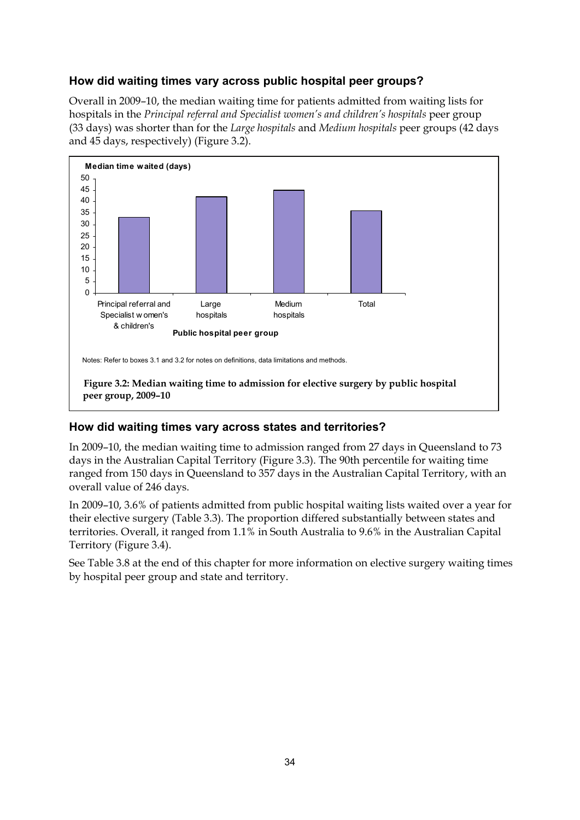## **How did waiting times vary across public hospital peer groups?**

Overall in 2009–10, the median waiting time for patients admitted from waiting lists for hospitals in the *Principal referral and Specialist women's and children's hospitals* peer group (33 days) was shorter than for the *Large hospitals* and *Medium hospitals* peer groups (42 days and 45 days, respectively) (Figure 3.2).



## <span id="page-39-0"></span>**How did waiting times vary across states and territories?**

In 2009–10, the median waiting time to admission ranged from 27 days in Queensland to 73 days in the Australian Capital Territory (Figure 3.3). The 90th percentile for waiting time ranged from 150 days in Queensland to 357 days in the Australian Capital Territory, with an overall value of 246 days.

In 2009–10, 3.6% of patients admitted from public hospital waiting lists waited over a year for their elective surgery (Table 3.3). The proportion differed substantially between states and territories. Overall, it ranged from 1.1% in South Australia to 9.6% in the Australian Capital Territory (Figure 3.4).

See Table 3.8 at the end of this chapter for more information on elective surgery waiting times by hospital peer group and state and territory.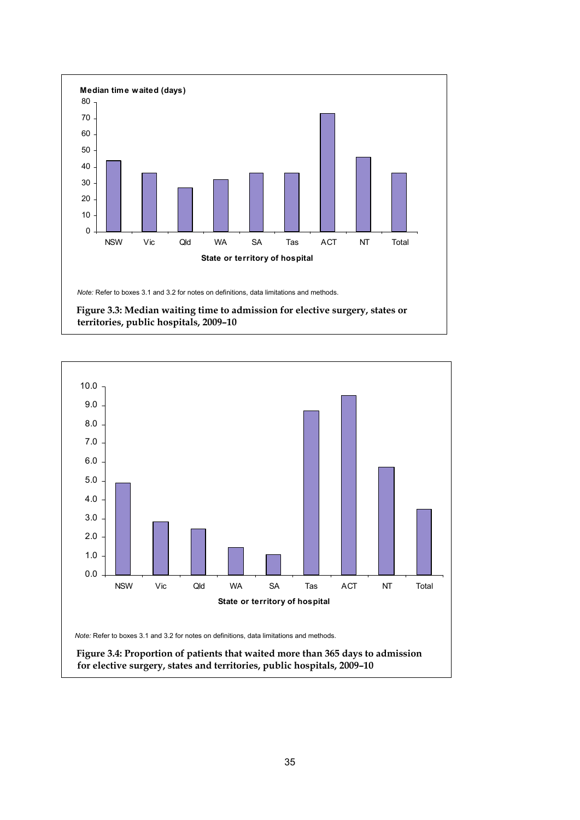

<span id="page-40-1"></span><span id="page-40-0"></span>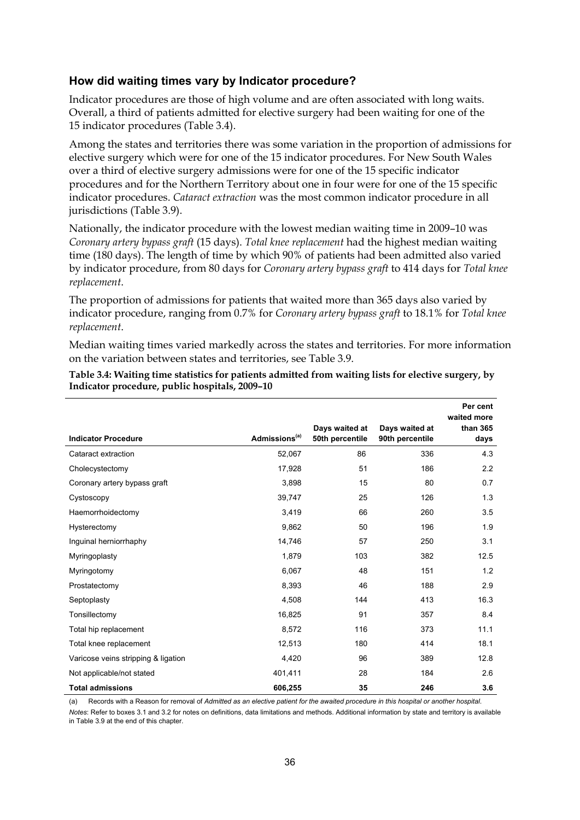#### **How did waiting times vary by Indicator procedure?**

Indicator procedures are those of high volume and are often associated with long waits. Overall, a third of patients admitted for elective surgery had been waiting for one of the 15 indicator procedures (Table 3.4).

Among the states and territories there was some variation in the proportion of admissions for elective surgery which were for one of the 15 indicator procedures. For New South Wales over a third of elective surgery admissions were for one of the 15 specific indicator procedures and for the Northern Territory about one in four were for one of the 15 specific indicator procedures. *Cataract extraction* was the most common indicator procedure in all jurisdictions (Table 3.9).

Nationally, the indicator procedure with the lowest median waiting time in 2009–10 was *Coronary artery bypass graft* (15 days). *Total knee replacement* had the highest median waiting time (180 days). The length of time by which 90% of patients had been admitted also varied by indicator procedure, from 80 days for *Coronary artery bypass graft* to 414 days for *Total knee replacement*.

The proportion of admissions for patients that waited more than 365 days also varied by indicator procedure, ranging from 0.7% for *Coronary artery bypass graft* to 18.1% for *Total knee replacement*.

Median waiting times varied markedly across the states and territories. For more information on the variation between states and territories, see Table 3.9.

|                                     |                           | Days waited at  | Days waited at  | Per cent<br>waited more<br>than 365 |
|-------------------------------------|---------------------------|-----------------|-----------------|-------------------------------------|
| <b>Indicator Procedure</b>          | Admissions <sup>(a)</sup> | 50th percentile | 90th percentile | days                                |
| Cataract extraction                 | 52,067                    | 86              | 336             | 4.3                                 |
| Cholecystectomy                     | 17,928                    | 51              | 186             | 2.2                                 |
| Coronary artery bypass graft        | 3,898                     | 15              | 80              | 0.7                                 |
| Cystoscopy                          | 39,747                    | 25              | 126             | 1.3                                 |
| Haemorrhoidectomy                   | 3,419                     | 66              | 260             | 3.5                                 |
| Hysterectomy                        | 9,862                     | 50              | 196             | 1.9                                 |
| Inguinal herniorrhaphy              | 14,746                    | 57              | 250             | 3.1                                 |
| Myringoplasty                       | 1,879                     | 103             | 382             | 12.5                                |
| Myringotomy                         | 6,067                     | 48              | 151             | 1.2                                 |
| Prostatectomy                       | 8,393                     | 46              | 188             | 2.9                                 |
| Septoplasty                         | 4,508                     | 144             | 413             | 16.3                                |
| Tonsillectomy                       | 16,825                    | 91              | 357             | 8.4                                 |
| Total hip replacement               | 8,572                     | 116             | 373             | 11.1                                |
| Total knee replacement              | 12,513                    | 180             | 414             | 18.1                                |
| Varicose veins stripping & ligation | 4,420                     | 96              | 389             | 12.8                                |
| Not applicable/not stated           | 401,411                   | 28              | 184             | 2.6                                 |
| <b>Total admissions</b>             | 606,255                   | 35              | 246             | 3.6                                 |

#### <span id="page-41-0"></span>**Table 3.4: Waiting time statistics for patients admitted from waiting lists for elective surgery, by Indicator procedure, public hospitals, 2009–10**

(a) Records with a Reason for removal of *Admitted as an elective patient for the awaited procedure in this hospital or another hospital*.

*Notes*: Refer to boxes 3.1 and 3.2 for notes on definitions, data limitations and methods. Additional information by state and territory is available in Table 3.9 at the end of this chapter.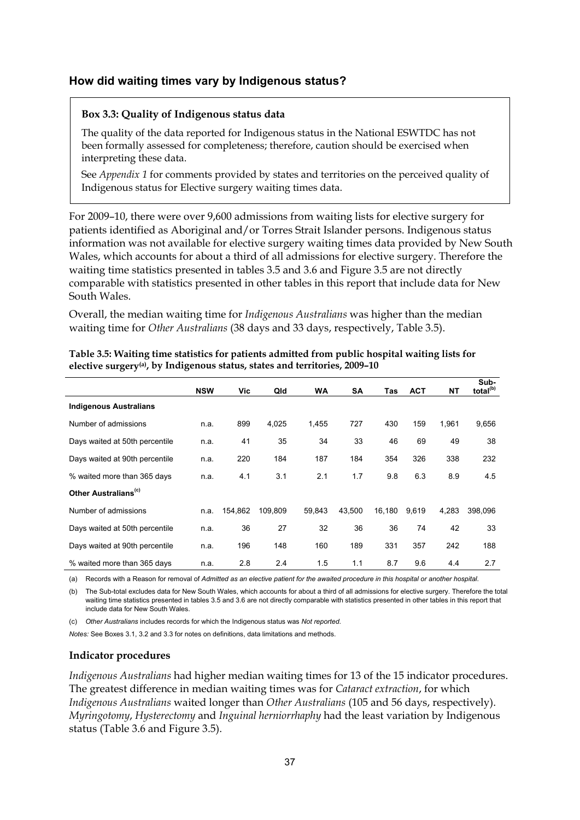#### **How did waiting times vary by Indigenous status?**

#### **Box 3.3: Quality of Indigenous status data**

The quality of the data reported for Indigenous status in the National ESWTDC has not been formally assessed for completeness; therefore, caution should be exercised when interpreting these data.

See *Appendix 1* for comments provided by states and territories on the perceived quality of Indigenous status for Elective surgery waiting times data.

For 2009–10, there were over 9,600 admissions from waiting lists for elective surgery for patients identified as Aboriginal and/or Torres Strait Islander persons. Indigenous status information was not available for elective surgery waiting times data provided by New South Wales, which accounts for about a third of all admissions for elective surgery. Therefore the waiting time statistics presented in tables 3.5 and 3.6 and Figure 3.5 are not directly comparable with statistics presented in other tables in this report that include data for New South Wales.

Overall, the median waiting time for *Indigenous Australians* was higher than the median waiting time for *Other Australians* (38 days and 33 days, respectively, Table 3.5).

|                                  | <b>NSW</b> | Vic     | Qld     | WA     | <b>SA</b> | Tas    | <b>ACT</b> | NΤ    | Sub-<br>total <sup>(b)</sup> |
|----------------------------------|------------|---------|---------|--------|-----------|--------|------------|-------|------------------------------|
| <b>Indigenous Australians</b>    |            |         |         |        |           |        |            |       |                              |
| Number of admissions             | n.a.       | 899     | 4,025   | 1,455  | 727       | 430    | 159        | 1.961 | 9,656                        |
| Days waited at 50th percentile   | n.a.       | 41      | 35      | 34     | 33        | 46     | 69         | 49    | 38                           |
| Days waited at 90th percentile   | n.a.       | 220     | 184     | 187    | 184       | 354    | 326        | 338   | 232                          |
| % waited more than 365 days      | n.a.       | 4.1     | 3.1     | 2.1    | 1.7       | 9.8    | 6.3        | 8.9   | 4.5                          |
| Other Australians <sup>(c)</sup> |            |         |         |        |           |        |            |       |                              |
| Number of admissions             | n.a.       | 154,862 | 109.809 | 59.843 | 43.500    | 16,180 | 9.619      | 4.283 | 398.096                      |
| Days waited at 50th percentile   | n.a.       | 36      | 27      | 32     | 36        | 36     | 74         | 42    | 33                           |
| Days waited at 90th percentile   | n.a.       | 196     | 148     | 160    | 189       | 331    | 357        | 242   | 188                          |
| % waited more than 365 days      | n.a.       | 2.8     | 2.4     | 1.5    | 1.1       | 8.7    | 9.6        | 4.4   | 2.7                          |

<span id="page-42-0"></span>**Table 3.5: Waiting time statistics for patients admitted from public hospital waiting lists for elective surgery(a), by Indigenous status, states and territories, 2009–10** 

(a) Records with a Reason for removal of *Admitted as an elective patient for the awaited procedure in this hospital or another hospital*.

(b) The Sub-total excludes data for New South Wales, which accounts for about a third of all admissions for elective surgery. Therefore the total waiting time statistics presented in tables 3.5 and 3.6 are not directly comparable with statistics presented in other tables in this report that include data for New South Wales.

(c) *Other Australians* includes records for which the Indigenous status was *Not reported*.

*Notes:* See Boxes 3.1, 3.2 and 3.3 for notes on definitions, data limitations and methods.

#### **Indicator procedures**

*Indigenous Australians* had higher median waiting times for 13 of the 15 indicator procedures. The greatest difference in median waiting times was for *Cataract extraction*, for which *Indigenous Australians* waited longer than *Other Australians* (105 and 56 days, respectively). *Myringotomy*, *Hysterectomy* and *Inguinal herniorrhaphy* had the least variation by Indigenous status (Table 3.6 and Figure 3.5).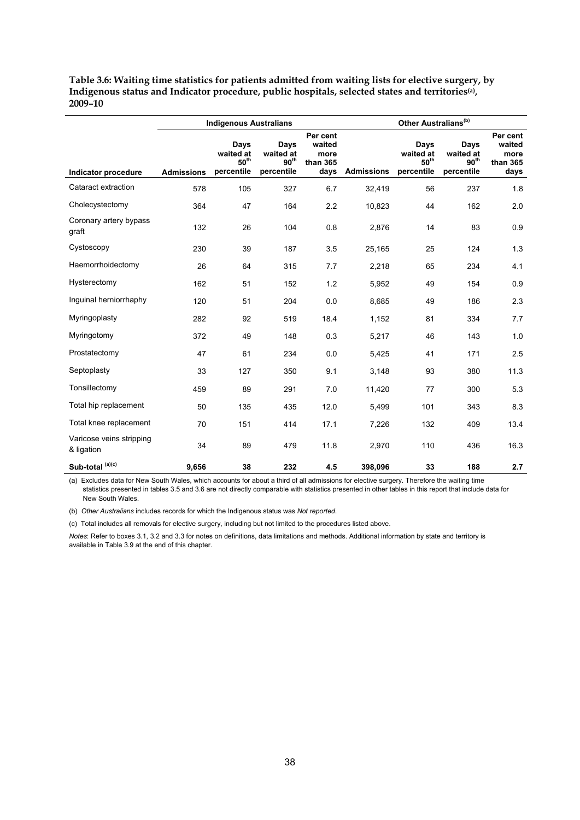<span id="page-43-0"></span>**Table 3.6: Waiting time statistics for patients admitted from waiting lists for elective surgery, by Indigenous status and Indicator procedure, public hospitals, selected states and territories(a), 2009–10** 

|                                        |                   | <b>Indigenous Australians</b>                       |                                                     |                                                |                   | Other Australians <sup>(b)</sup>                    |                                                     |                                                |
|----------------------------------------|-------------------|-----------------------------------------------------|-----------------------------------------------------|------------------------------------------------|-------------------|-----------------------------------------------------|-----------------------------------------------------|------------------------------------------------|
| Indicator procedure                    | <b>Admissions</b> | Days<br>waited at<br>$50^{\text{th}}$<br>percentile | Days<br>waited at<br>90 <sup>th</sup><br>percentile | Per cent<br>waited<br>more<br>than 365<br>days | <b>Admissions</b> | Days<br>waited at<br>$50^{\text{th}}$<br>percentile | Days<br>waited at<br>90 <sup>th</sup><br>percentile | Per cent<br>waited<br>more<br>than 365<br>days |
| Cataract extraction                    | 578               | 105                                                 | 327                                                 | 6.7                                            | 32,419            | 56                                                  | 237                                                 | 1.8                                            |
| Cholecystectomy                        | 364               | 47                                                  | 164                                                 | 2.2                                            | 10,823            | 44                                                  | 162                                                 | 2.0                                            |
| Coronary artery bypass<br>graft        | 132               | 26                                                  | 104                                                 | 0.8                                            | 2,876             | 14                                                  | 83                                                  | 0.9                                            |
| Cystoscopy                             | 230               | 39                                                  | 187                                                 | 3.5                                            | 25,165            | 25                                                  | 124                                                 | 1.3                                            |
| Haemorrhoidectomy                      | 26                | 64                                                  | 315                                                 | 7.7                                            | 2,218             | 65                                                  | 234                                                 | 4.1                                            |
| Hysterectomy                           | 162               | 51                                                  | 152                                                 | 1.2                                            | 5,952             | 49                                                  | 154                                                 | 0.9                                            |
| Inquinal herniorrhaphy                 | 120               | 51                                                  | 204                                                 | 0.0                                            | 8,685             | 49                                                  | 186                                                 | 2.3                                            |
| Myringoplasty                          | 282               | 92                                                  | 519                                                 | 18.4                                           | 1,152             | 81                                                  | 334                                                 | 7.7                                            |
| Myringotomy                            | 372               | 49                                                  | 148                                                 | 0.3                                            | 5,217             | 46                                                  | 143                                                 | 1.0                                            |
| Prostatectomy                          | 47                | 61                                                  | 234                                                 | 0.0                                            | 5,425             | 41                                                  | 171                                                 | 2.5                                            |
| Septoplasty                            | 33                | 127                                                 | 350                                                 | 9.1                                            | 3,148             | 93                                                  | 380                                                 | 11.3                                           |
| Tonsillectomy                          | 459               | 89                                                  | 291                                                 | 7.0                                            | 11,420            | 77                                                  | 300                                                 | 5.3                                            |
| Total hip replacement                  | 50                | 135                                                 | 435                                                 | 12.0                                           | 5,499             | 101                                                 | 343                                                 | 8.3                                            |
| Total knee replacement                 | 70                | 151                                                 | 414                                                 | 17.1                                           | 7,226             | 132                                                 | 409                                                 | 13.4                                           |
| Varicose veins stripping<br>& ligation | 34                | 89                                                  | 479                                                 | 11.8                                           | 2,970             | 110                                                 | 436                                                 | 16.3                                           |
| Sub-total <sup>(a)(c)</sup>            | 9,656             | 38                                                  | 232                                                 | 4.5                                            | 398,096           | 33                                                  | 188                                                 | 2.7                                            |

(a) Excludes data for New South Wales, which accounts for about a third of all admissions for elective surgery. Therefore the waiting time statistics presented in tables 3.5 and 3.6 are not directly comparable with statistics presented in other tables in this report that include data for New South Wales.

(b) *Other Australians* includes records for which the Indigenous status was *Not reported*.

(c) Total includes all removals for elective surgery, including but not limited to the procedures listed above.

*Notes*: Refer to boxes 3.1, 3.2 and 3.3 for notes on definitions, data limitations and methods. Additional information by state and territory is available in Table 3.9 at the end of this chapter.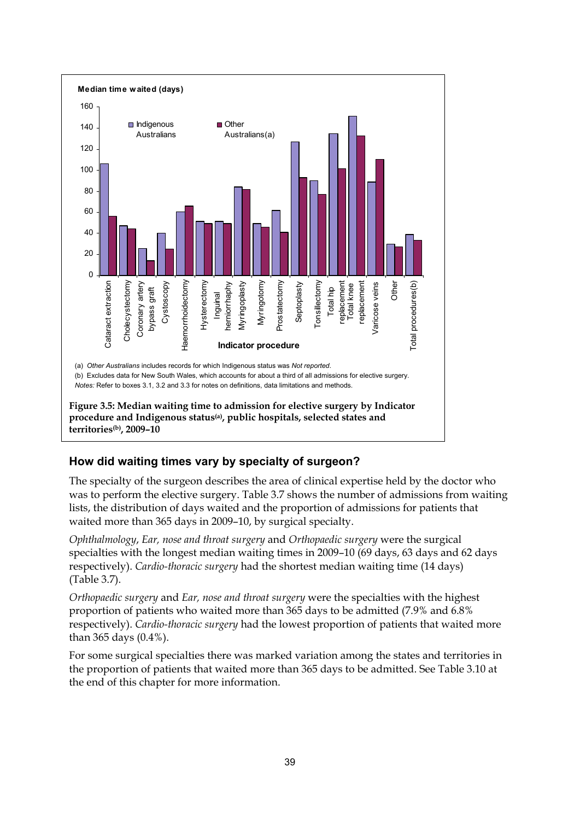

## <span id="page-44-0"></span>**How did waiting times vary by specialty of surgeon?**

The specialty of the surgeon describes the area of clinical expertise held by the doctor who was to perform the elective surgery. Table 3.7 shows the number of admissions from waiting lists, the distribution of days waited and the proportion of admissions for patients that waited more than 365 days in 2009–10, by surgical specialty.

*Ophthalmology*, *Ear, nose and throat surgery* and *Orthopaedic surgery* were the surgical specialties with the longest median waiting times in 2009–10 (69 days, 63 days and 62 days respectively). *Cardio-thoracic surgery* had the shortest median waiting time (14 days) (Table 3.7).

*Orthopaedic surgery* and *Ear, nose and throat surgery* were the specialties with the highest proportion of patients who waited more than 365 days to be admitted (7.9% and 6.8% respectively). *Cardio-thoracic surgery* had the lowest proportion of patients that waited more than 365 days (0.4%).

For some surgical specialties there was marked variation among the states and territories in the proportion of patients that waited more than 365 days to be admitted. See Table 3.10 at the end of this chapter for more information.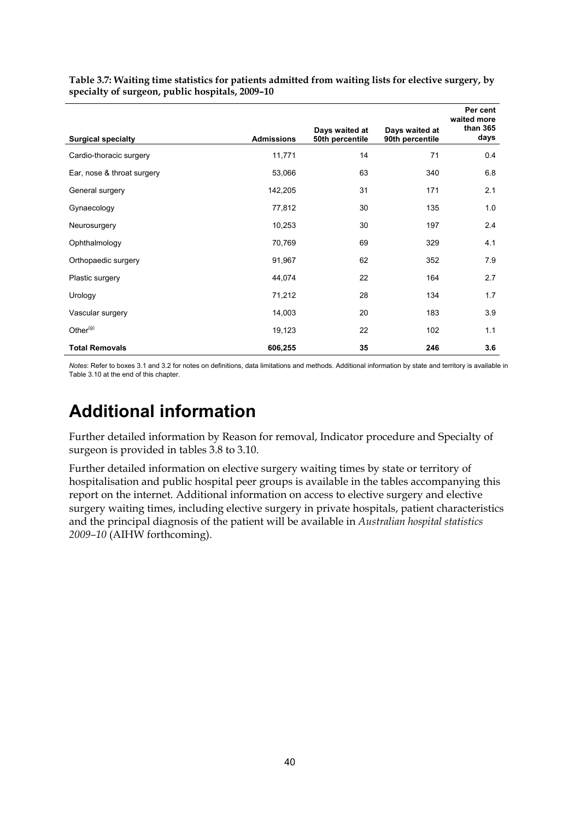|                            |                   | Days waited at  | Days waited at  | Per cent<br>waited more<br>than 365 |
|----------------------------|-------------------|-----------------|-----------------|-------------------------------------|
| <b>Surgical specialty</b>  | <b>Admissions</b> | 50th percentile | 90th percentile | days                                |
| Cardio-thoracic surgery    | 11,771            | 14              | 71              | 0.4                                 |
| Ear, nose & throat surgery | 53,066            | 63              | 340             | 6.8                                 |
| General surgery            | 142,205           | 31              | 171             | 2.1                                 |
| Gynaecology                | 77,812            | 30              | 135             | 1.0                                 |
| Neurosurgery               | 10,253            | 30              | 197             | 2.4                                 |
| Ophthalmology              | 70,769            | 69              | 329             | 4.1                                 |
| Orthopaedic surgery        | 91,967            | 62              | 352             | 7.9                                 |
| Plastic surgery            | 44,074            | 22              | 164             | 2.7                                 |
| Urology                    | 71,212            | 28              | 134             | 1.7                                 |
| Vascular surgery           | 14,003            | 20              | 183             | 3.9                                 |
| Other $(g)$                | 19,123            | 22              | 102             | 1.1                                 |
| <b>Total Removals</b>      | 606,255           | 35              | 246             | 3.6                                 |

<span id="page-45-1"></span>**Table 3.7: Waiting time statistics for patients admitted from waiting lists for elective surgery, by specialty of surgeon, public hospitals, 2009–10** 

*Notes*: Refer to boxes 3.1 and 3.2 for notes on definitions, data limitations and methods. Additional information by state and territory is available in Table 3.10 at the end of this chapter.

# <span id="page-45-0"></span>**Additional information**

Further detailed information by Reason for removal, Indicator procedure and Specialty of surgeon is provided in tables 3.8 to 3.10.

Further detailed information on elective surgery waiting times by state or territory of hospitalisation and public hospital peer groups is available in the tables accompanying this report on the internet. Additional information on access to elective surgery and elective surgery waiting times, including elective surgery in private hospitals, patient characteristics and the principal diagnosis of the patient will be available in *Australian hospital statistics 2009–10* (AIHW forthcoming).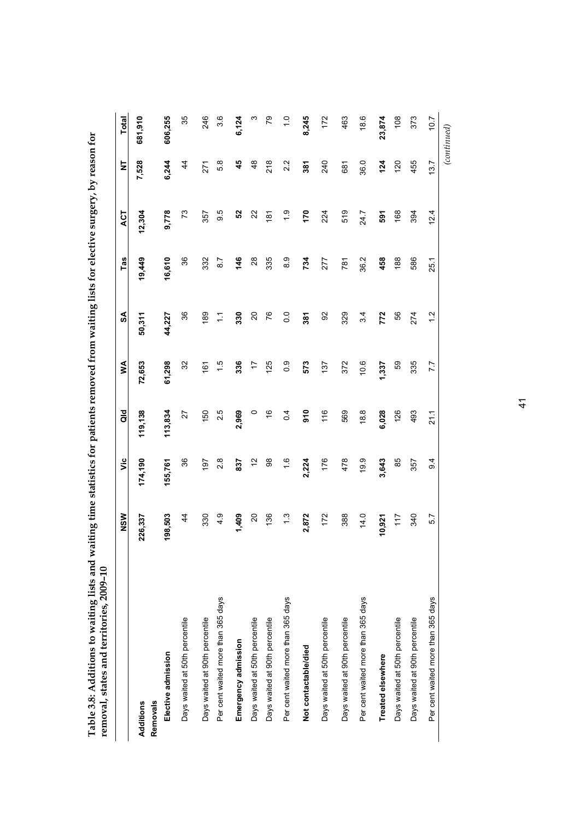<span id="page-46-0"></span>

| removal, states and territories, 2009-10 |                |                 |               |                  |                |               |               |               |               |
|------------------------------------------|----------------|-----------------|---------------|------------------|----------------|---------------|---------------|---------------|---------------|
|                                          | NSW            | έ               | aid           | ≸                | SA             | Tas           | ACT           | ₹             | Total         |
| Additions                                | 226,337        | 174,190         | 119,138       | 72,653           | 50,311         | 19,449        | 12,304        | 7,528         | 681,910       |
| Elective admission<br>Removals           | 198,503        | 155,761         | 113,834       | 61,298           | 44,227         | 16,610        | 9,778         | 6,244         | 606,255       |
| Days waited at 50th percentile           | $\frac{4}{3}$  | 36              | 27            | 32               | 86             | 86            | 73            | $\frac{4}{3}$ | 35            |
| Days waited at 90th percentile           | 330            | 197             | 150           | $\frac{6}{16}$   | 189            | 332           | 357           | 271           | 246           |
| Per cent waited more than 365 days       | $\frac{9}{4}$  | 2.8             | 2.5           | $\frac{5}{1}$    | Ξ              | 8.7           | 9.5           | 5.8           | 3.6           |
| Emergency admission                      | 1,409          | 837             | 2,969         | 336              | 330            | 146           | 52            | 45            | 6,124         |
| Days waited at 50th percentile           | $\overline{c}$ | 5               | $\circ$       | 17               | $\overline{c}$ | 28            | 22            | $\frac{8}{3}$ | ო             |
| Days waited at 90th percentile           | 136            | 88              | $\frac{6}{5}$ | 125              | 76             | 335           | 181           | 218           | 54            |
| Per cent waited more than 365 days       | $\frac{3}{2}$  | $\frac{6}{1}$   | 0.4           | $0.\overline{0}$ | 0.0            | $\frac{0}{8}$ | $\frac{0}{1}$ | 2.2           | $\frac{0}{1}$ |
| Not contactable/died                     | 2,872          | 2,224           | 910           | 573              | 381            | 734           | 170           | 381           | 8,245         |
| Days waited at 50th percentile           | 172            | 176             | 116           | 137              | 92             | 277           | 224           | 240           | 172           |
| Days waited at 90th percentile           | 388            | 478             | 569           | 372              | 329            | 781           | 519           | 681           | 463           |
| Per cent waited more than 365 days       | 14.0           | 19.9            | 18.8          | 10.6             | 3.4            | 36.2          | 24.7          | 36.0          | 18.6          |
| Treated elsewhere                        | 10,921         | 3,643           | 6,028         | 1,337            | 772            | 458           | 591           | 124           | 23,874        |
| Days waited at 50th percentile           | 117            | 85              | 126           | 59               | SS             | 188           | 168           | 120           | 108           |
| Days waited at 90th percentile           | 340            | 357             | 493           | 335              | 274            | 586           | 394           | 455           | 373           |
| Per cent waited more than 365 days       | 5.7            | $9\overline{4}$ | 211           | 7.7              | 1.2            | 25.1          | 12.4          | 137           | 10.7          |

Table 3.8: Additions to waiting lists and waiting time statistics for patients removed from waiting lists for elective surgery, by reason for **Table 3.8: Additions to waiting lists and waiting time statistics for patients removed from waiting lists for elective surgery, by reason for** 

41

 $(continued)$  *(continued)*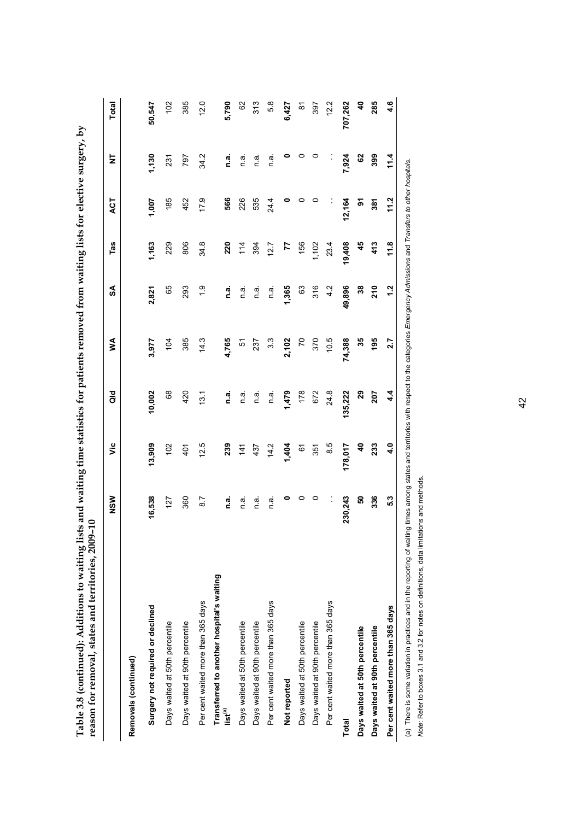|                                                                  | NSW         | υã                       | aio         | ⋚              | SA            | Tas    | ACT    | ż       | <b>Total</b>            |
|------------------------------------------------------------------|-------------|--------------------------|-------------|----------------|---------------|--------|--------|---------|-------------------------|
| Removals (continued)                                             |             |                          |             |                |               |        |        |         |                         |
| Surgery not required or declined                                 | 16,538      | 13,909                   | 10,002      | 3,977          | 2,821         | 1,163  | 1,007  | 1,130   | 50,547                  |
| Days waited at 50th percentile                                   | 127         | 102                      | 68          | 104            | 65            | 229    | 185    | 231     | 102                     |
| Days waited at 90th percentile                                   | 360         | 401                      | 420         | 385            | 293           | 806    | 452    | 797     | 385                     |
| Per cent waited more than 365 days                               | 8.7         | 12.5                     | 13.1        | 14.3           | $\frac{0}{1}$ | 34.8   | 17.9   | 34.2    | 12.0                    |
| Transferred to another hospital's waiting<br>list <sup>(a)</sup> | <u>ក្នុ</u> | 239                      | <u>ក្នុ</u> | 4,765          | ี<br>ด.ส      | 220    | 566    | n.a.    | 5,790                   |
| Days waited at 50th percentile                                   | n a         | 141                      | n a         | 5              | n a           | 114    | 226    | n a     | 62                      |
| Days waited at 90th percentile                                   | n a         | 437                      | n.a         | 237            | n.a           | 394    | 535    | n a     | 313                     |
| Per cent waited more than 365 days                               | n.ai        | 14.2                     | ື່<br>⊂     | 33             | n.ai          | 12.7   | 24.4   | ື່<br>⊂ | 5.8                     |
| Not reported                                                     |             | 1,404                    | 1,479       | 2,102          | 1,365         | 77     |        |         | 6,427                   |
| Days waited at 50th percentile                                   | 0           | 6                        | 178         | $\overline{z}$ | 63            | 156    | 0      |         | $\approx$               |
| Days waited at 90th percentile                                   | 0           | 351                      | 672         | 370            | 316           | 1,102  | 0      | 0       | 397                     |
| Per cent waited more than 365 days                               |             | 8.5                      | 24.8        | 10.5           | 4.2           | 23.4   |        |         | 12.2                    |
| <b>Total</b>                                                     | 230,243     | 178,017                  | 135,222     | 74,388         | 49,896        | 19,408 | 12,164 | 7,924   | 707,262                 |
| Days waited at 50th percentile                                   | ន           | $\boldsymbol{\vartheta}$ | 29          | 35             | 38            | 45     | ᢌ      | 3       | $\overline{\mathbf{a}}$ |
| Days waited at 90th percentile                                   | 336         | 233                      | 207         | 195            | 210           | 413    | 381    | 399     | 285                     |
| Per cent waited more than 365 days                               | 5.3         | 4.0                      | 4.4         | 2.7            | 1.2           | 11.8   | 11.2   | 11.4    | 4.6                     |
|                                                                  |             |                          |             |                |               |        |        |         |                         |

Table 3.8 (continued): Additions to waiting lists and waiting time statistics for patients removed from waiting lists for elective surgery, by **Table 3.8 (continued): Additions to waiting lists and waiting time statistics for patients removed from waiting lists for elective surgery, by** 

(a) There is some variation in practices and in the reporting of waiting times among states and territories with respect to the categories E*rnergency Admissions* and Tran*sfers to other hospitals.*<br>Note: Refer to boxes 3. (a) There is some variation in practices and in the reporting of waiting times among states and territories with respect to the categories *Emergency Admissions* and *Transfers to other hospitals*.

*Note*: Refer to boxes 3.1 and 3.2 for notes on definitions, data limitations and methods.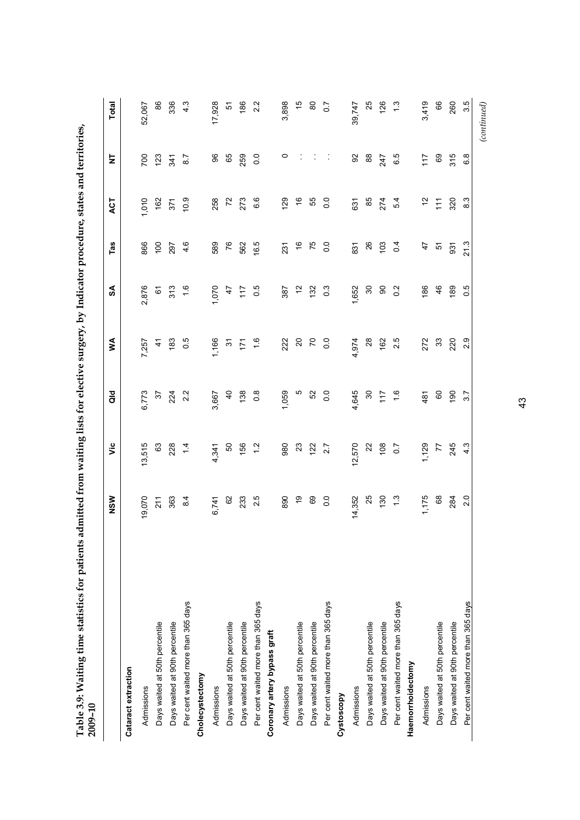<span id="page-48-0"></span>

| 2009-10                            |                                          |                  |                  |                                           |                  |                |                |                |        |
|------------------------------------|------------------------------------------|------------------|------------------|-------------------------------------------|------------------|----------------|----------------|----------------|--------|
|                                    | NSW                                      | έ                | $\frac{6}{5}$    | Š                                         | SA               | Tas            | ACT            | Ż              | Total  |
| Cataract extraction                |                                          |                  |                  |                                           |                  |                |                |                |        |
| Admissions                         | 19,070                                   | 13,515           | 6,773            | 7,257                                     | 2,876            | 866            | 0.010          | 700            | 52,067 |
| Days waited at 50th percentile     |                                          |                  |                  | $\frac{4}{7}$                             |                  | $100$<br>297   | 162            | 123            | 86     |
| Days waited at 90th percentile     | $\begin{array}{c} 21 \\ 263 \end{array}$ | 63<br>228        | $rac{37}{224}$   | 183                                       | <b>6</b> 29      |                | 371            | 341            | 336    |
| Per cent waited more than 365 days | 8.4                                      | $\overline{4}$   | 2.2              | 0.5                                       | $\ddot{.}6$      | 4.6            | 10.9           | 8.7            | 4.3    |
| Cholecystectomy                    |                                          |                  |                  |                                           |                  |                |                |                |        |
| Admissions                         | 6,741                                    | 4,341            | 3,667            | 1,166                                     | 1,070            | 589            | 258            | 96             | 17,928 |
| Days waited at 50th percentile     | 62                                       | 50               | $\overline{a}$   | 9                                         | 47               | 76             | $\overline{r}$ | 65             | 5      |
| Days waited at 90th percentile     | 233                                      | 156              | 138              | $\ddot{z}$                                | 117              | 562            | 273            | 259            | 186    |
| Per cent waited more than 365 days | 2.5                                      | $\frac{2}{1}$    | $0.\overline{8}$ | $\frac{6}{1}$                             | 0.5              | 16.5           | 6.6            | $\overline{0}$ | 2.2    |
| Coronary artery bypass graft       |                                          |                  |                  |                                           |                  |                |                |                |        |
| Admissions                         | 890                                      | 980              | 1,059            | 222                                       | 387              | 231            | 129            | $\circ$        | 3,898  |
| Days waited at 50th percentile     | ٥P                                       | $23$ $12$        | ю                | $\begin{matrix} 0 \\ 2 \\ 0 \end{matrix}$ | $\tilde{c}$      | $\frac{6}{5}$  | $\frac{6}{5}$  |                | 15     |
| Days waited at 90th percentile     | 69                                       |                  | 52               |                                           | 132              | 75             | 55             |                | 80     |
| Per cent waited more than 365 days | $\overline{0}$                           | 2.7              | $\overline{0}$   | 0.0                                       | $0.\overline{3}$ | $\overline{0}$ | $\overline{0}$ | Ĵ,             | $\sim$ |
| Cystoscopy                         |                                          |                  |                  |                                           |                  |                |                |                |        |
| Admissions                         | 14,352                                   | 12,570           | 4,645            | 4,974                                     | 1,652            | 831            | 631            | 92             | 39,747 |
| Days waited at 50th percentile     | 25                                       | $22\,$           | $\boldsymbol{S}$ | $28$                                      | $\rm ^{50}$      | 26             | 85             | $_{88}$        | 25     |
| Days waited at 90th percentile     | 130                                      | 108              | $\frac{17}{2}$   | 162                                       | 8                | 103            | 274            | 247            | 126    |
| Per cent waited more than 365 days | $\frac{3}{2}$                            | $\overline{0.7}$ | $\frac{6}{1}$    | 2.5                                       | $0.\overline{2}$ | $\overline{0}$ | 5.4            | 6.5            | ಼      |
| Haemorrhoidectomy                  |                                          |                  |                  |                                           |                  |                |                |                |        |
| Admissions                         | 1,175                                    | 1,129            | 481              | 272                                       | 186              | $\ddot{t}$     | $\frac{1}{2}$  | 117            | 3,419  |
| Days waited at 50th percentile     | $^{\rm 68}$                              | $77$<br>$245$    | $\mbox{6}$       | $33\,$                                    | 46               | <u>ی</u>       | $\frac{1}{11}$ | 69             | 66     |
| Days waited at 90th percentile     | 284                                      |                  | $\frac{60}{2}$   | 220                                       | 189              | 931            | 320            | 315            | 260    |
| Per cent waited more than 365 days | 2.0                                      | 4.3              | 3.7              | 2.9                                       | 0.5              | 21.3           | 8.3            | 6.8            | 35     |

Table 3.9: Waiting time statistics for patients admitted from waiting lists for elective surgery, by Indicator procedure, states and territories, **Table 3.9: Waiting time statistics for patients admitted from waiting lists for elective surgery, by Indicator procedure, states and territories,** 

43

 $\left( {continued} \right)$  *(continued)*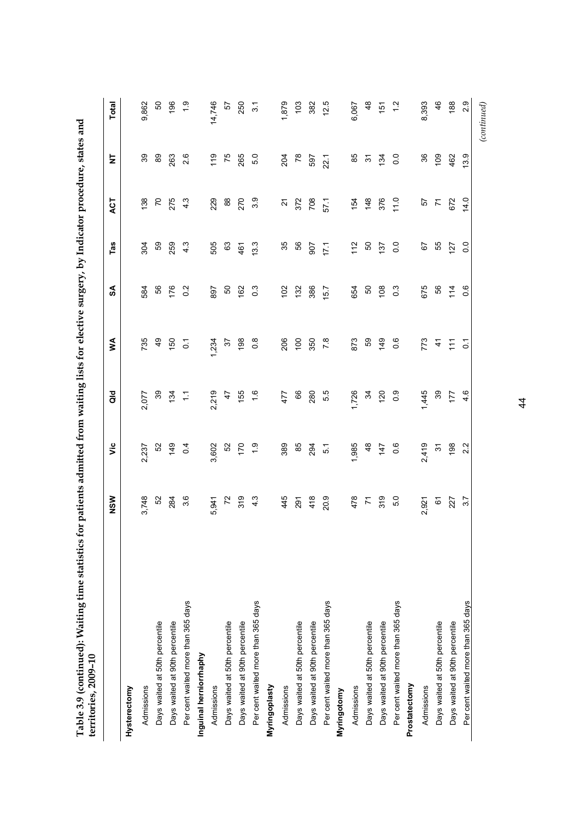| es for patients admitted from waiting lists for elective surgery, by Indicator procedure, states and |  |
|------------------------------------------------------------------------------------------------------|--|
|                                                                                                      |  |
|                                                                                                      |  |
|                                                                                                      |  |
| $\sim$ and $\sim$ $\sim$ $\sim$ $\sim$ $\sim$ $\sim$                                                 |  |
|                                                                                                      |  |
|                                                                                                      |  |
|                                                                                                      |  |
|                                                                                                      |  |
|                                                                                                      |  |
|                                                                                                      |  |
|                                                                                                      |  |
|                                                                                                      |  |
|                                                                                                      |  |
|                                                                                                      |  |
|                                                                                                      |  |
|                                                                                                      |  |

|                                    | NSW                                                 | ۊ              | $\frac{6}{9}$                  | ≸                | SA               | Tas              | ACT               | ₹                     | Total            |
|------------------------------------|-----------------------------------------------------|----------------|--------------------------------|------------------|------------------|------------------|-------------------|-----------------------|------------------|
| Hysterectomy                       |                                                     |                |                                |                  |                  |                  |                   |                       |                  |
| Admissions                         | 3,748                                               | 2,237          | 2,077                          | 735              | 584              | 304              | 138               | 39                    | 9,862            |
| Days waited at 50th percentile     |                                                     |                |                                | $\frac{4}{9}$    |                  |                  |                   | 89                    | SO               |
| Days waited at 90th percentile     | 52<br>284                                           | $\frac{6}{4}$  | $33 \frac{1}{2}$ $\frac{1}{2}$ | 150              | 56<br>176        | 59<br>259        | 775               | 263                   | 196              |
| Per cent waited more than 365 days | 3.6                                                 | 0.4            |                                | $\overline{c}$   | 0.2              | $4.\overline{3}$ | 4.3               | 2.6                   |                  |
| Inguinal herniorrhaphy             |                                                     |                |                                |                  |                  |                  |                   |                       |                  |
| Admissions                         | 5,941                                               | 3,602          | 2,219                          | 1,234            | 897              | 505              | 229               | $\frac{6}{10}$        | 14,746           |
| Days waited at 50th percentile     |                                                     |                |                                | 57               | 50               | 63               | 88<br>270         | 75                    | 57               |
| Days waited at 90th percentile     | $72$ $\frac{9}{2}$ $\frac{3}{4}$                    | 52<br>170      | $45$<br>$47$                   | 198              | 162              | 461              |                   | 265                   | 250              |
| Per cent waited more than 365 days |                                                     | ق<br>ب         | $\frac{6}{1}$                  | $0.\overline{8}$ | $\overline{0}$   | 13.3             | 3.9               | 5.0                   | $\overline{3}$ . |
| Myringoplasty                      |                                                     |                |                                |                  |                  |                  |                   |                       |                  |
| Admissions                         | 445                                                 | 389            | 477                            | 206              | 102              | 35               | $\overline{a}$    | 204                   | 1,879            |
| Days waited at 50th percentile     |                                                     | 85<br>294      | <sup>66</sup><br>ខ             | $\frac{8}{350}$  | 132              | 56<br>307        | 372<br>708        | <b>78</b><br>87       | $\frac{2}{3}$    |
| Days waited at 90th percentile     | $291$<br>418                                        |                |                                |                  | 386              |                  |                   |                       | 382              |
| Per cent waited more than 365 days | 20.9                                                | $\overline{5}$ | 5.5                            | 7.8              | 15.7             | 17.1             | 57.1              | 22.1                  | 12.5             |
| Myringotomy                        |                                                     |                |                                |                  |                  |                  |                   |                       |                  |
| Admissions                         |                                                     | 1,985          | 1,726                          | 873              | 654              | $\frac{2}{11}$   |                   | 85                    | 6,067            |
| Days waited at 50th percentile     | $\begin{array}{c} 62 \\ 24 \\ 54 \\ 64 \end{array}$ | $48$<br>47     |                                | 59               | <u>ទី ១</u>      | 50               | 154<br>148<br>156 | $\tilde{\mathcal{E}}$ | 48               |
| Days waited at 90th percentile     |                                                     |                | $34$ $20$                      | 149              |                  | 137              |                   | 134                   | $\frac{15}{2}$   |
| Per cent waited more than 365 days | 5.0                                                 | 0.6            | $\overline{0}$ .               | 0.6              | $0.\overline{3}$ | $\overline{0}$ . | 11.0              | $\rm ^{0.0}$          | $\frac{2}{1}$    |
| Prostatectomy                      |                                                     |                |                                |                  |                  |                  |                   |                       |                  |
| Admissions                         | 2,921                                               | 2,419          | 1,445                          |                  |                  | 67<br>55         |                   |                       | 8,393            |
| Days waited at 50th percentile     | $\overline{6}$                                      | $\frac{1}{2}$  | 39                             | 773<br>41        | 675<br>56        |                  | 229<br>24<br>25   | 8 g                   | 46               |
| Days waited at 90th percentile     | 227                                                 | စ္က            | 177                            | $\tilde{z}$      | $\frac{4}{1}$    | 127              |                   | 462                   | 188              |
| Per cent waited more than 365 days | 3.7                                                 | 2.2            | 4.6                            | $\overline{c}$   | 0.6              | $\overline{0}$   | 14.0              | 3.9                   | 2.9              |
|                                    |                                                     |                |                                |                  |                  |                  |                   |                       | (continued)      |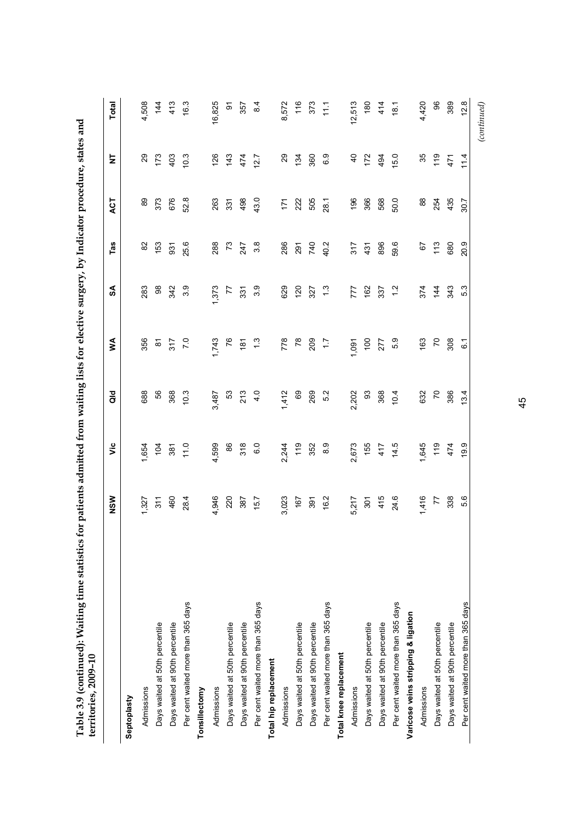| Table 3.9 (continued): Waiting time statistics for patients admitted from waiting lists for elective surgery, by Indicator procedure, states and<br>territories, 2009-10 |       |                |                |                  |                  |                  |         |                |        |
|--------------------------------------------------------------------------------------------------------------------------------------------------------------------------|-------|----------------|----------------|------------------|------------------|------------------|---------|----------------|--------|
|                                                                                                                                                                          | NSW   | š              | $\frac{d}{d}$  | Š                | રુ               | Tas              | ACT     | 눈              | Total  |
| Septoplasty                                                                                                                                                              |       |                |                |                  |                  |                  |         |                |        |
| Admissions                                                                                                                                                               | 1,327 | 1,654          | 688            | 356              | 283              | $\rm 82$         | 89      | 29             | 4,508  |
| Days waited at 50th percentile                                                                                                                                           | 311   | 104            | 56             | ᇮ                | $_{\rm 98}$      | 153              | 373     | 173            | 144    |
| Days waited at 90th percentile                                                                                                                                           | 460   | 381            | 368            | 317              | 342              | 931              | 676     | 403            | 413    |
| Per cent waited more than 365 days                                                                                                                                       | 28.4  | 11.0           | 10.3           | $\overline{7.0}$ | 3.9              | 25.6             | 52.8    | 10.3           | 16.3   |
| Tonsillectomy                                                                                                                                                            |       |                |                |                  |                  |                  |         |                |        |
| Admissions                                                                                                                                                               | 4,946 | 4,599          | 3,487          | 1,743            | 373              | 288              | 263     | 126            | 16,825 |
| Days waited at 50th percentile                                                                                                                                           | 220   | 86             | 53             | 76               | 77               | $\mathcal{L}$    | 331     | 143            | 5      |
| Days waited at 90th percentile                                                                                                                                           | 387   | 318            | 213            | $\frac{5}{18}$   | 331              | 247              | 498     | 474            | 357    |
| Per cent waited more than 365 days                                                                                                                                       | 15.7  | 6.0            | 4.0            |                  | 3.9              | $3.\overline{8}$ | 43.0    | 12.7           | 8.4    |
| Total hip replacement                                                                                                                                                    |       |                |                |                  |                  |                  |         |                |        |
| Admissions                                                                                                                                                               | 3,023 | 2,244          | 1,412          | 778              | 629              | 286              | 171     | $\mathbf{S}$   | 8,572  |
| Days waited at 50th percentile                                                                                                                                           | 167   | $\frac{6}{10}$ | 69             | 78               | $\overline{120}$ | 291              | 222     | 134            | 116    |
| Days waited at 90th percentile                                                                                                                                           | 391   | 352            | 269            | 209              | 327              | 740              | 505     | 360            | 373    |
| Per cent waited more than 365 days                                                                                                                                       | 16.2  | 8.9            | 5.2            | $\ddot{ }$ :     | $\frac{3}{1}$    | 40.2             | 28.1    | 6.9            | 11.1   |
| Total knee replacement                                                                                                                                                   |       |                |                |                  |                  |                  |         |                |        |
| Admissions                                                                                                                                                               | 5,217 | 2,673          | 2,202          | 1,091            | 777              | 317              | 196     | $\overline{4}$ | 12,513 |
| Days waited at 50th percentile                                                                                                                                           | 301   | 155            | 93             | 100              | 162              | 431              | 366     | 172            | 180    |
| Days waited at 90th percentile                                                                                                                                           | 415   | 417            | 368            | 277              | 337              | 896              | 568     | 494            | 414    |
| Per cent waited more than 365 days                                                                                                                                       | 24.6  | 14.5           | 10.4           | 5.9              | $\frac{2}{1}$    | 59.6             | 50.0    | 5.0            | 18.1   |
| Varicose veins stripping & ligation                                                                                                                                      |       |                |                |                  |                  |                  |         |                |        |
| Admissions                                                                                                                                                               | 1,416 | 1,645          | 632            | 163              | 374              | 67               | $_{88}$ | 35             | 4,420  |
| Days waited at 50th percentile                                                                                                                                           | 77    | $\frac{6}{10}$ | $\overline{r}$ | $\overline{r}$   | 144              | 113              | 254     | 119            | 96     |
| Days waited at 90th percentile                                                                                                                                           | 338   | 474            | 386            | 308              | 343              | 680              | 435     | 471            | 389    |
| Per cent waited more than 365 days                                                                                                                                       | 5.6   | 19.9           | 13.4           | <u>်</u>         | 53               | 20.9             | 30.7    | 11.4           | 12.8   |

 $\label{eq:constrained} (continued)$ *(continued)* 

45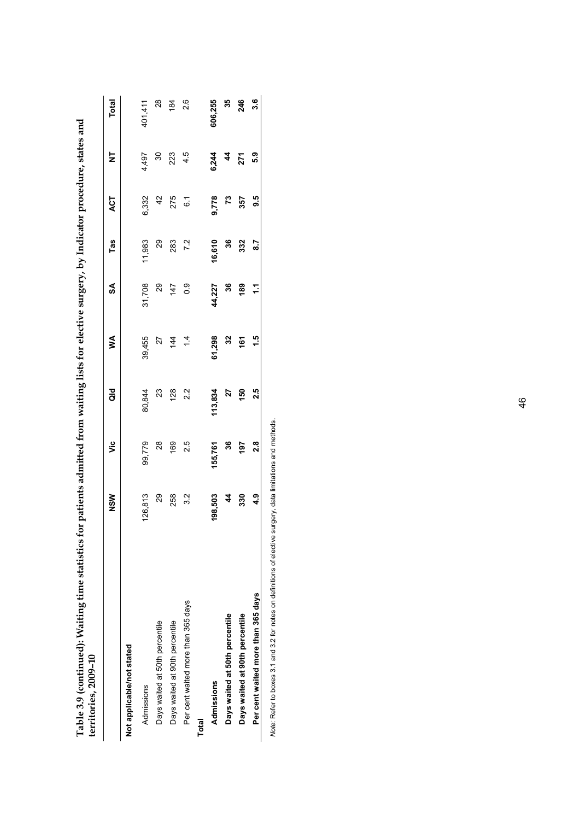| Table 3.9 (continued): Waiting time statistics for patients admitted from waiting lists for elective surgery, by Indicator procedure, states and<br>territories, 2009-10 |               |         |         |               |               |        |                |       |         |
|--------------------------------------------------------------------------------------------------------------------------------------------------------------------------|---------------|---------|---------|---------------|---------------|--------|----------------|-------|---------|
|                                                                                                                                                                          | NSM           | ۊ       | ਰ<br>ਹ  | ⋚             | S             | Tas    | <b>LO</b>      | ₹     | Total   |
| Not applicable/not stated                                                                                                                                                |               |         |         |               |               |        |                |       |         |
| Admissions                                                                                                                                                               | 126,813       | 99,779  | 80,844  | 39,455        | 31,708        | 11,983 | 6,332          | 4,497 | 401,411 |
| Days waited at 50th percentile                                                                                                                                           | 29            | 28      | $^{23}$ | 27            | 29            | 29     | $\frac{2}{3}$  | వి    | 28      |
| Days waited at 90th percentile                                                                                                                                           | 258           | 169     | 128     | 144           | 147           | 283    | 275            | 223   | 184     |
| Per cent waited more than 365 days                                                                                                                                       | 3.2           | 25      | 2.2     | $\frac{4}{4}$ | $\frac{0}{2}$ | 7.2    | $\overline{6}$ | 4.5   | 2.6     |
| Total                                                                                                                                                                    |               |         |         |               |               |        |                |       |         |
| Admissions                                                                                                                                                               | 198,503       | 155,761 | 113,834 | 61,298        | 44,227        | 16,610 | 9,778          | 6,244 | 606,255 |
| Days waited at 50th percentile                                                                                                                                           | 4             | 36      | 27      | 32            | 36            | 36     | r3             | 4     | 35      |
| Days waited at 90th percentile                                                                                                                                           | 330           | 197     | 150     | 161           | 189           | 332    | 357            | 271   | 246     |
| Per cent waited more than 365 days                                                                                                                                       | $\frac{9}{4}$ | 2.8     | 2.5     | 1.5           | 11            | 2.2    | 9.5            | 5.3   | 3.6     |
|                                                                                                                                                                          |               |         |         |               |               |        |                |       |         |

Note: Refer to boxes 3.1 and 3.2 for notes on definitions of elective surgery, data limitations and methods. *Note:* Refer to boxes 3.1 and 3.2 for notes on definitions of elective surgery, data limitations and methods.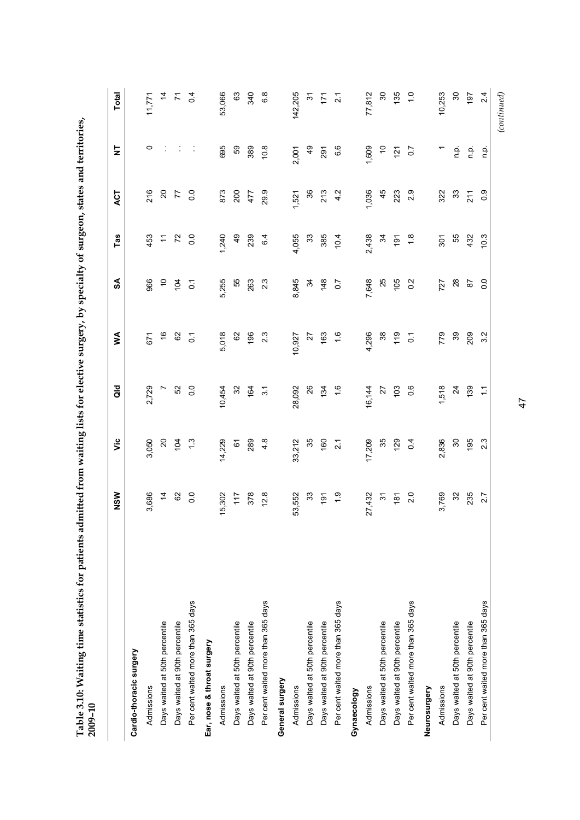| j                                                                                    |        |
|--------------------------------------------------------------------------------------|--------|
|                                                                                      |        |
| ed trom watting liste tor elective simply by speciality of simple states and farring |        |
|                                                                                      |        |
|                                                                                      |        |
|                                                                                      |        |
|                                                                                      |        |
|                                                                                      |        |
|                                                                                      |        |
|                                                                                      |        |
|                                                                                      |        |
|                                                                                      |        |
|                                                                                      |        |
|                                                                                      |        |
|                                                                                      |        |
| $\vdots$                                                                             |        |
|                                                                                      |        |
| $\ddot{\phantom{0}}$                                                                 |        |
|                                                                                      |        |
| $\frac{1}{2}$                                                                        |        |
|                                                                                      |        |
|                                                                                      |        |
|                                                                                      |        |
|                                                                                      |        |
|                                                                                      |        |
|                                                                                      |        |
|                                                                                      |        |
| ;<br>;<br>;                                                                          |        |
|                                                                                      |        |
|                                                                                      |        |
|                                                                                      |        |
|                                                                                      |        |
|                                                                                      |        |
|                                                                                      |        |
|                                                                                      |        |
|                                                                                      |        |
|                                                                                      |        |
| $+$ c $\sim$ c $+$                                                                   |        |
|                                                                                      |        |
|                                                                                      |        |
| $\frac{1}{2}$                                                                        |        |
|                                                                                      |        |
| í                                                                                    |        |
| ma timo etatietice for nation                                                        |        |
|                                                                                      |        |
|                                                                                      |        |
|                                                                                      |        |
|                                                                                      |        |
|                                                                                      |        |
|                                                                                      |        |
| J                                                                                    |        |
|                                                                                      |        |
| $T$ ahla 2.10. Maiti                                                                 |        |
|                                                                                      |        |
| dDIE J.LV.                                                                           |        |
|                                                                                      |        |
|                                                                                      | בד-ליי |
|                                                                                      | i      |
|                                                                                      |        |

<span id="page-52-0"></span>

| 2,729<br>52<br>$\overline{0}$<br>26<br>0.6<br>10,454<br>32<br>28,092<br>134<br>1.6<br>103<br>r<br>164<br>$\overline{3}$<br>16,144<br>27<br>3,050<br>$\overline{c}$<br>14,229<br>$4.\overline{8}$<br>33,212<br>35<br>17,209<br>35<br>$\frac{3}{1}$<br>289<br>160<br>129<br>$\overline{0}$<br>104<br>61<br>$\overline{2.1}$<br>3,686<br>82<br>$\overline{0}$ .<br>$\overline{4}$<br>378<br>12.8<br>33<br>$\frac{0}{1}$<br>2.0<br>5,302<br>117<br>53,552<br>27,432<br>$\overline{6}$<br>$\tilde{\bm{c}}$<br>$\frac{8}{18}$<br>Per cent waited more than 365 days<br>Per cent waited more than 365 days<br>Per cent waited more than 365 days<br>Per cent waited more than 365 days<br>Days waited at 50th percentile<br>Days waited at 50th percentile<br>Days waited at 50th percentile<br>Days waited at 90th percentile<br>Days waited at 50th percentile<br>Days waited at 90th percentile<br>Days waited at 90th percentile<br>Days waited at 90th percentile<br>Ear, nose & throat surgery<br>Cardio-thoracic surgery<br>General surgery<br>Admissions<br>Admissions<br>Admissions<br>Admissions<br>Neurosurgery<br>Gynaecology |                      | $\mathfrak{F}$   | Tas              | ACT            | $\overline{\mathsf{z}}$ | <b>Total</b>     |
|------------------------------------------------------------------------------------------------------------------------------------------------------------------------------------------------------------------------------------------------------------------------------------------------------------------------------------------------------------------------------------------------------------------------------------------------------------------------------------------------------------------------------------------------------------------------------------------------------------------------------------------------------------------------------------------------------------------------------------------------------------------------------------------------------------------------------------------------------------------------------------------------------------------------------------------------------------------------------------------------------------------------------------------------------------------------------------------------------------------------------------|----------------------|------------------|------------------|----------------|-------------------------|------------------|
|                                                                                                                                                                                                                                                                                                                                                                                                                                                                                                                                                                                                                                                                                                                                                                                                                                                                                                                                                                                                                                                                                                                                    |                      |                  |                  |                |                         |                  |
|                                                                                                                                                                                                                                                                                                                                                                                                                                                                                                                                                                                                                                                                                                                                                                                                                                                                                                                                                                                                                                                                                                                                    | 671                  | 966              | 453              | 216            | $\circ$                 | 11,771           |
|                                                                                                                                                                                                                                                                                                                                                                                                                                                                                                                                                                                                                                                                                                                                                                                                                                                                                                                                                                                                                                                                                                                                    | $\tilde{\mathbf{e}}$ | $\tilde{c}$      | Ξ                | $\overline{c}$ |                         | $\frac{4}{4}$    |
|                                                                                                                                                                                                                                                                                                                                                                                                                                                                                                                                                                                                                                                                                                                                                                                                                                                                                                                                                                                                                                                                                                                                    | 82                   | $\overline{5}$   | 72               | 77             |                         | $\tilde{\kappa}$ |
|                                                                                                                                                                                                                                                                                                                                                                                                                                                                                                                                                                                                                                                                                                                                                                                                                                                                                                                                                                                                                                                                                                                                    | $\overline{c}$       | $\overline{c}$   | $\overline{0}$   | $\overline{0}$ | Ĵ,                      | $\overline{0}$   |
|                                                                                                                                                                                                                                                                                                                                                                                                                                                                                                                                                                                                                                                                                                                                                                                                                                                                                                                                                                                                                                                                                                                                    |                      |                  |                  |                |                         |                  |
|                                                                                                                                                                                                                                                                                                                                                                                                                                                                                                                                                                                                                                                                                                                                                                                                                                                                                                                                                                                                                                                                                                                                    | 5,018                | 5,255            | 1,240            | 873            | 695                     | 53,066           |
|                                                                                                                                                                                                                                                                                                                                                                                                                                                                                                                                                                                                                                                                                                                                                                                                                                                                                                                                                                                                                                                                                                                                    | 82                   | 55               | $\overline{6}$   | 200            | S9                      | 63               |
|                                                                                                                                                                                                                                                                                                                                                                                                                                                                                                                                                                                                                                                                                                                                                                                                                                                                                                                                                                                                                                                                                                                                    | 196                  | 263              | 239              | 477            | 389                     | 340              |
|                                                                                                                                                                                                                                                                                                                                                                                                                                                                                                                                                                                                                                                                                                                                                                                                                                                                                                                                                                                                                                                                                                                                    | 2.3                  | 2.3              | 6.4              | 29.9           | 10.8                    | 6.8              |
|                                                                                                                                                                                                                                                                                                                                                                                                                                                                                                                                                                                                                                                                                                                                                                                                                                                                                                                                                                                                                                                                                                                                    |                      |                  |                  |                |                         |                  |
|                                                                                                                                                                                                                                                                                                                                                                                                                                                                                                                                                                                                                                                                                                                                                                                                                                                                                                                                                                                                                                                                                                                                    | 10,927               | 8,845            | 4,055            | 1,521          | 2,001                   | 142,205          |
|                                                                                                                                                                                                                                                                                                                                                                                                                                                                                                                                                                                                                                                                                                                                                                                                                                                                                                                                                                                                                                                                                                                                    | 27                   | 34               | $33\,$           | 36             | $\frac{9}{4}$           | 오                |
|                                                                                                                                                                                                                                                                                                                                                                                                                                                                                                                                                                                                                                                                                                                                                                                                                                                                                                                                                                                                                                                                                                                                    | 163                  | 148              | 385              | 213            | 291                     | 77               |
|                                                                                                                                                                                                                                                                                                                                                                                                                                                                                                                                                                                                                                                                                                                                                                                                                                                                                                                                                                                                                                                                                                                                    | $\frac{6}{1}$        | $\overline{0.7}$ | 10.4             | 4.2            | 6.6                     | $\overline{2.1}$ |
|                                                                                                                                                                                                                                                                                                                                                                                                                                                                                                                                                                                                                                                                                                                                                                                                                                                                                                                                                                                                                                                                                                                                    |                      |                  |                  |                |                         |                  |
|                                                                                                                                                                                                                                                                                                                                                                                                                                                                                                                                                                                                                                                                                                                                                                                                                                                                                                                                                                                                                                                                                                                                    | 4,296                | 7,648            | 2,438            | 1,036          | 1,609                   | 77,812           |
|                                                                                                                                                                                                                                                                                                                                                                                                                                                                                                                                                                                                                                                                                                                                                                                                                                                                                                                                                                                                                                                                                                                                    | 38                   | 25               | 34               | 45             | 5                       | 30               |
|                                                                                                                                                                                                                                                                                                                                                                                                                                                                                                                                                                                                                                                                                                                                                                                                                                                                                                                                                                                                                                                                                                                                    | 119                  | 105              | $\overline{191}$ | 223            | $\frac{1}{2}$           | 135              |
|                                                                                                                                                                                                                                                                                                                                                                                                                                                                                                                                                                                                                                                                                                                                                                                                                                                                                                                                                                                                                                                                                                                                    | $\overline{0}$       | 0.2              | $\frac{8}{1}$    | 2.9            | $\overline{0}$ .        | $\frac{0}{1}$    |
|                                                                                                                                                                                                                                                                                                                                                                                                                                                                                                                                                                                                                                                                                                                                                                                                                                                                                                                                                                                                                                                                                                                                    |                      |                  |                  |                |                         |                  |
| 1,518<br>2,836<br>3,769<br>Admissions                                                                                                                                                                                                                                                                                                                                                                                                                                                                                                                                                                                                                                                                                                                                                                                                                                                                                                                                                                                                                                                                                              | 779                  | 727              | 301              | 322            |                         | 10,253           |
| $\overline{24}$<br>$\rm ^{5}$<br>32<br>Days waited at 50th percentile                                                                                                                                                                                                                                                                                                                                                                                                                                                                                                                                                                                                                                                                                                                                                                                                                                                                                                                                                                                                                                                              | 89                   | $28$             | 55               | 33             | ن<br>ص                  | 80               |
| 139<br>195<br>235<br>Days waited at 90th percentile                                                                                                                                                                                                                                                                                                                                                                                                                                                                                                                                                                                                                                                                                                                                                                                                                                                                                                                                                                                                                                                                                | 209                  | $\overline{8}$   | 432              | 211            | n.p.                    | 197              |
| $\tilde{\cdot}$<br>2.3<br>2.7<br>Per cent waited more than 365 days                                                                                                                                                                                                                                                                                                                                                                                                                                                                                                                                                                                                                                                                                                                                                                                                                                                                                                                                                                                                                                                                | 3.2                  | $\overline{0}$   | 10.3             | တ<br>ö         | o.<br>D                 | 2.4              |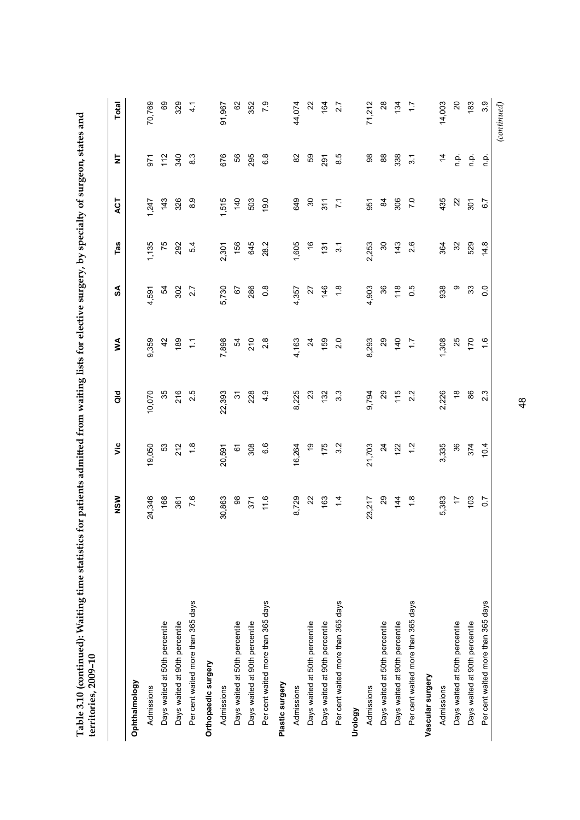| $-5 - 2$<br>territories, 2009-10   |                  |                 |                  |                  |                  | ز در در من     |                  |                     |                |
|------------------------------------|------------------|-----------------|------------------|------------------|------------------|----------------|------------------|---------------------|----------------|
|                                    | NSW              | νiς             | $\frac{d}{d}$    | ≸                | SA               | Tas            | ACT              | 눋                   | <b>Total</b>   |
| Ophthalmology                      |                  |                 |                  |                  |                  |                |                  |                     |                |
| Admissions                         | 24,346           | 19,050          | 10,070           | 9,359            | 4,591            | 1,135          | 1,247            | $-67$               | 70,769         |
| Days waited at 50th percentile     | 168              | 53              | 35               | $\overline{4}$   | 54               | 75             | 143              | 112                 | 69             |
| Days waited at 90th percentile     | 361              | 212             | 216              | 189              | 302              | 292            | 326              | 340                 | 329            |
| Per cent waited more than 365 days | 7.6              | $\frac{8}{10}$  | 2.5              | Ξ                | 2.7              | 54             | $\frac{0}{8}$    | 8.3                 | $\frac{1}{4}$  |
| Orthopaedic surgery                |                  |                 |                  |                  |                  |                |                  |                     |                |
| Admissions                         | 30,863           | 20,591          | 22,393           | 7,898            | 5,730            | 2,301          | 1,515            | 676                 | 91,967         |
| Days waited at 50th percentile     | $_{98}$          |                 | $\frac{1}{2}$    | $\frac{54}{4}$   | 67               | 156            | 140              | 56                  | 62             |
| Days waited at 90th percentile     | 371              | 6<br>308        | 228              | 210              | 286              | 645            | 503              | 295                 | 352            |
| Per cent waited more than 365 days | 11.6             | 6.6             | 4.9              | $2.\overline{8}$ | $0.\overline{8}$ | 28.2           | 19.0             | 6.8                 | 7.9            |
| Plastic surgery                    |                  |                 |                  |                  |                  |                |                  |                     |                |
| Admissions                         | 8,729            | 16,264          | 8,225            | 4,163            | 4,357            | 1,605          | 649              | $82$                | 44,074         |
| Days waited at 50th percentile     | $\overline{2}$   | é,              | 23               | $\overline{24}$  | 77               | $\frac{6}{5}$  | $\boldsymbol{S}$ | S9                  | $\mathbf{z}$   |
| Days waited at 90th percentile     | 163              | 175             | 132              | 159              | 146              | $\frac{5}{1}$  | 311              | 291                 | 164            |
| Per cent waited more than 365 days | $\frac{1}{4}$    | 3.2             | $3.\overline{3}$ | 2.0              | $\frac{8}{1}$    | $\frac{1}{3}$  | $\frac{7}{1}$    | 8.5                 | 27             |
| Urology                            |                  |                 |                  |                  |                  |                |                  |                     |                |
| Admissions                         | 23,217           | 21,703          | 9,794            | 8,293            | 4,903            | 2,253          | 951              | $_{\rm 98}^{\rm 8}$ | 71,212         |
| Days waited at 50th percentile     | 29               | $\overline{24}$ | 29               | 29               | 36               | 30             | $\frac{8}{4}$    | 88                  | 28             |
| Days waited at 90th percentile     | $\frac{44}{3}$   | 122             | 115              | 140              | 118              | 143            | 306              | 338                 | 134            |
| Per cent waited more than 365 days | $\frac{8}{1}$    | $\frac{2}{1}$   | 2.2              | $\ddot{ }$ :     | 0.5              | 2.6            | $\overline{70}$  | $\overline{3}$      | 17             |
| Vascular surgery                   |                  |                 |                  |                  |                  |                |                  |                     |                |
| Admissions                         | 5,383            | 3,335           | 2,226            | 1,308            | 938              | 364            | 435              | 4                   | 14,003         |
| Days waited at 50th percentile     | $\overline{1}$   | 36              | $\frac{8}{1}$    | 25               | တ                | $\mathfrak{S}$ | $\approx$        | n.p.                | $\overline{c}$ |
| Days waited at 90th percentile     | 103              | 374             | 86               | 170              | 33               | 529            | 301              | $\frac{1}{2}$       | 183            |
| Per cent waited more than 365 days | $\overline{0.7}$ | 10.4            | 2.3              | $\frac{6}{1}$    | 0.0              | 14.8           | 6.7              | n p.                | 3.9            |

Table 3.10 (continued): Waiting time statistics for patients admitted from waiting lists for elective surgery, by specialty of surgeon, states and **Table 3.10 (continued): Waiting time statistics for patients admitted from waiting lists for elective surgery, by specialty of surgeon, states and** 

48

*(continued)* 

 $\left( continued \right)$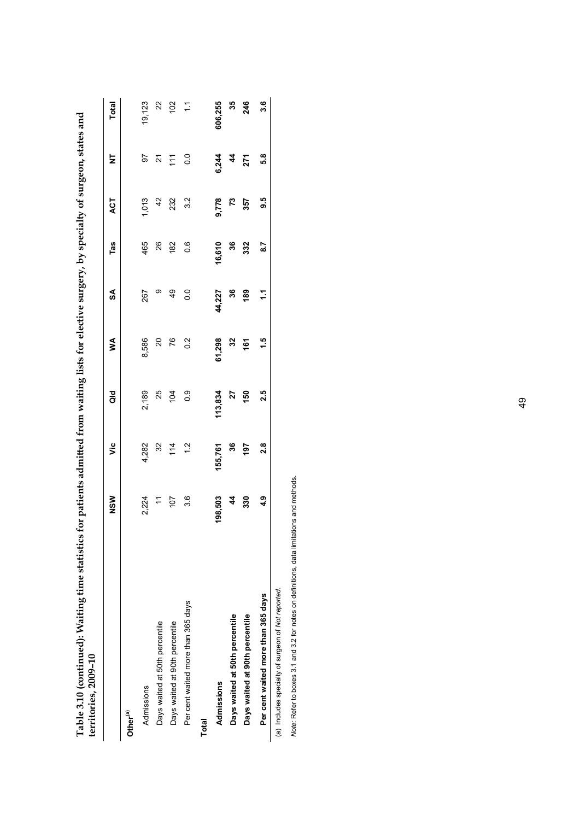| Factor (commutation) while state is<br>territories, 2009-10 |            |               | not be a more and the straight of the second of the second of the second of the second second second second second |               |               |                  |               |               |                |
|-------------------------------------------------------------|------------|---------------|--------------------------------------------------------------------------------------------------------------------|---------------|---------------|------------------|---------------|---------------|----------------|
|                                                             | NSW        | ة             | ă                                                                                                                  | ⋚             | SA            | Tas              | ACT           | Ż             | <b>Total</b>   |
| Other <sup>(a)</sup>                                        |            |               |                                                                                                                    |               |               |                  |               |               |                |
| Admissions                                                  | 2,224      | 4,282         | 2,189                                                                                                              | 8,586         | 267           | 465              | 1,013         | 50            | 19,123         |
| Days waited at 50th percentile                              | 101        | 32            | 25                                                                                                                 | $\Omega$      | တ             | 26               | $\frac{2}{3}$ | 24            | $\overline{2}$ |
| Days waited at 90th percentile                              |            | 114           | 104                                                                                                                | 76            | 49            | 182              | 232           | $\tilde{t}$   | 102            |
| Per cent waited more than 365 days                          | 3.6        | $\frac{2}{1}$ | $\frac{0}{2}$                                                                                                      | $\frac{2}{3}$ | $\frac{0}{0}$ | 0.6              | 3.2           | $\frac{0}{0}$ | $\overline{z}$ |
| <b>Total</b>                                                |            |               |                                                                                                                    |               |               |                  |               |               |                |
| Admissions                                                  | 198,503    | 155,761       | 113,834                                                                                                            | 61,298        | 44,227        | 16,610           | 9,778         | 6,244         | 606,255        |
| Days waited at 50th percentile                              | 4          | 36            | 27                                                                                                                 | 32            | 36            | 36               | $\mathbf{r}$  | 4             | 35             |
| Days waited at 90th percentile                              | 330        | 197           | 150                                                                                                                | 161           | 189           | 332              | 357           | 271           | 246            |
| Per cent waited more than 365 days                          | <b>მ</b> : | 2.8           | 2.5                                                                                                                | 1.5           | Ξ             | $\overline{8.7}$ | 9.5           | 5.8           | 3.6            |
| (a) Includes specialty of surgeon of Mot reported           |            |               |                                                                                                                    |               |               |                  |               |               |                |

Table 3.10 (continued): Waiting time statistics for patients admitted from waiting lists for elective surgery, by specialty of surgeon, states and **Table 3.10 (continued): Waiting time statistics for patients admitted from waiting lists for elective surgery, by specialty of surgeon, states and** 

(a) Includes specialty of surgeon of Not reported. (a) Includes specialty of surgeon of *Not reported*.

Note: Refer to boxes 3.1 and 3.2 for notes on definitions, data limitations and methods. *Note:* Refer to boxes 3.1 and 3.2 for notes on definitions, data limitations and methods.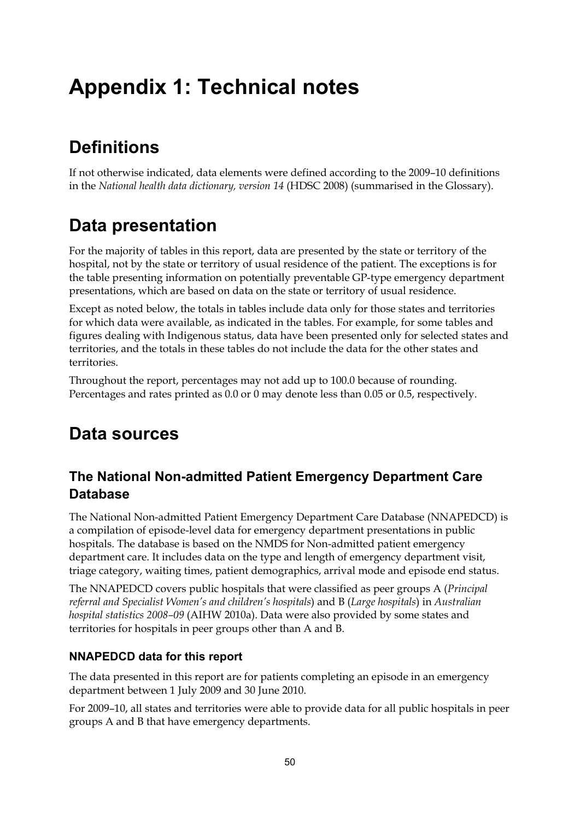# <span id="page-55-0"></span>**Appendix 1: Technical notes**

# **Definitions**

If not otherwise indicated, data elements were defined according to the 2009–10 definitions in the *National health data dictionary, version 14* (HDSC 2008) (summarised in the Glossary).

# **Data presentation**

For the majority of tables in this report, data are presented by the state or territory of the hospital, not by the state or territory of usual residence of the patient. The exceptions is for the table presenting information on potentially preventable GP-type emergency department presentations, which are based on data on the state or territory of usual residence.

Except as noted below, the totals in tables include data only for those states and territories for which data were available, as indicated in the tables. For example, for some tables and figures dealing with Indigenous status, data have been presented only for selected states and territories, and the totals in these tables do not include the data for the other states and territories.

Throughout the report, percentages may not add up to 100.0 because of rounding. Percentages and rates printed as 0.0 or 0 may denote less than 0.05 or 0.5, respectively.

# **Data sources**

# **The National Non-admitted Patient Emergency Department Care Database**

The National Non-admitted Patient Emergency Department Care Database (NNAPEDCD) is a compilation of episode-level data for emergency department presentations in public hospitals. The database is based on the NMDS for Non-admitted patient emergency department care. It includes data on the type and length of emergency department visit, triage category, waiting times, patient demographics, arrival mode and episode end status.

The NNAPEDCD covers public hospitals that were classified as peer groups A (*Principal referral and Specialist Women's and children's hospitals*) and B (*Large hospitals*) in *Australian hospital statistics 2008–09* (AIHW 2010a). Data were also provided by some states and territories for hospitals in peer groups other than A and B.

## **NNAPEDCD data for this report**

The data presented in this report are for patients completing an episode in an emergency department between 1 July 2009 and 30 June 2010.

For 2009–10, all states and territories were able to provide data for all public hospitals in peer groups A and B that have emergency departments.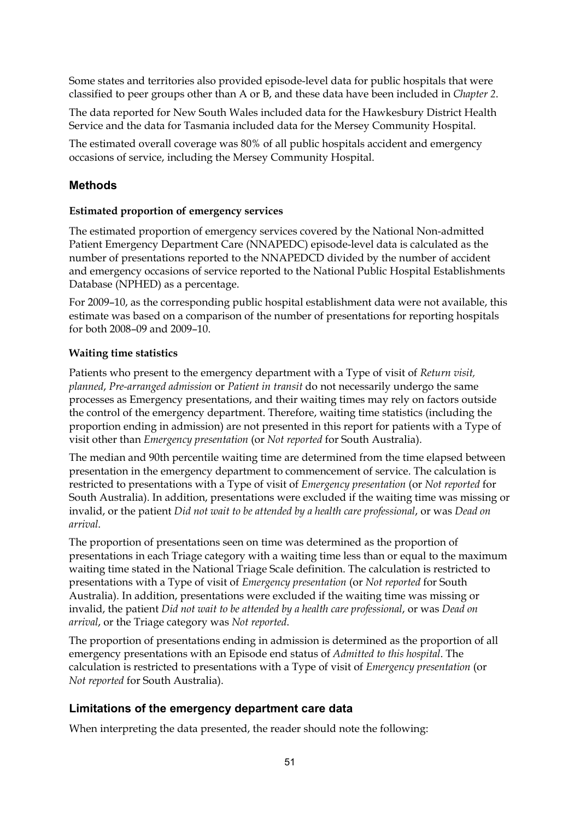Some states and territories also provided episode-level data for public hospitals that were classified to peer groups other than A or B, and these data have been included in *Chapter 2*.

The data reported for New South Wales included data for the Hawkesbury District Health Service and the data for Tasmania included data for the Mersey Community Hospital.

The estimated overall coverage was 80% of all public hospitals accident and emergency occasions of service, including the Mersey Community Hospital.

### **Methods**

#### **Estimated proportion of emergency services**

The estimated proportion of emergency services covered by the National Non-admitted Patient Emergency Department Care (NNAPEDC) episode-level data is calculated as the number of presentations reported to the NNAPEDCD divided by the number of accident and emergency occasions of service reported to the National Public Hospital Establishments Database (NPHED) as a percentage.

For 2009–10, as the corresponding public hospital establishment data were not available, this estimate was based on a comparison of the number of presentations for reporting hospitals for both 2008–09 and 2009–10.

#### **Waiting time statistics**

Patients who present to the emergency department with a Type of visit of *Return visit, planned*, *Pre-arranged admission* or *Patient in transit* do not necessarily undergo the same processes as Emergency presentations, and their waiting times may rely on factors outside the control of the emergency department. Therefore, waiting time statistics (including the proportion ending in admission) are not presented in this report for patients with a Type of visit other than *Emergency presentation* (or *Not reported* for South Australia).

The median and 90th percentile waiting time are determined from the time elapsed between presentation in the emergency department to commencement of service. The calculation is restricted to presentations with a Type of visit of *Emergency presentation* (or *Not reported* for South Australia). In addition, presentations were excluded if the waiting time was missing or invalid, or the patient *Did not wait to be attended by a health care professional*, or was *Dead on arrival*.

The proportion of presentations seen on time was determined as the proportion of presentations in each Triage category with a waiting time less than or equal to the maximum waiting time stated in the National Triage Scale definition. The calculation is restricted to presentations with a Type of visit of *Emergency presentation* (or *Not reported* for South Australia). In addition, presentations were excluded if the waiting time was missing or invalid, the patient *Did not wait to be attended by a health care professional*, or was *Dead on arrival*, or the Triage category was *Not reported*.

The proportion of presentations ending in admission is determined as the proportion of all emergency presentations with an Episode end status of *Admitted to this hospital*. The calculation is restricted to presentations with a Type of visit of *Emergency presentation* (or *Not reported* for South Australia).

## **Limitations of the emergency department care data**

When interpreting the data presented, the reader should note the following: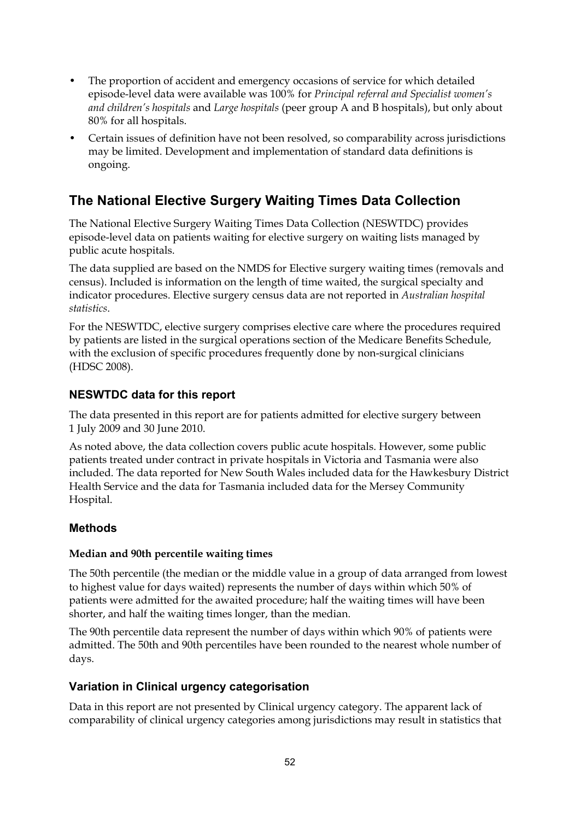- The proportion of accident and emergency occasions of service for which detailed episode-level data were available was 100% for *Principal referral and Specialist women's and children's hospitals* and *Large hospitals* (peer group A and B hospitals), but only about 80% for all hospitals.
- Certain issues of definition have not been resolved, so comparability across jurisdictions may be limited. Development and implementation of standard data definitions is ongoing.

# **The National Elective Surgery Waiting Times Data Collection**

The National Elective Surgery Waiting Times Data Collection (NESWTDC) provides episode-level data on patients waiting for elective surgery on waiting lists managed by public acute hospitals.

The data supplied are based on the NMDS for Elective surgery waiting times (removals and census). Included is information on the length of time waited, the surgical specialty and indicator procedures. Elective surgery census data are not reported in *Australian hospital statistics*.

For the NESWTDC, elective surgery comprises elective care where the procedures required by patients are listed in the surgical operations section of the Medicare Benefits Schedule, with the exclusion of specific procedures frequently done by non-surgical clinicians (HDSC 2008).

## **NESWTDC data for this report**

The data presented in this report are for patients admitted for elective surgery between 1 July 2009 and 30 June 2010.

As noted above, the data collection covers public acute hospitals. However, some public patients treated under contract in private hospitals in Victoria and Tasmania were also included. The data reported for New South Wales included data for the Hawkesbury District Health Service and the data for Tasmania included data for the Mersey Community Hospital.

## **Methods**

#### **Median and 90th percentile waiting times**

The 50th percentile (the median or the middle value in a group of data arranged from lowest to highest value for days waited) represents the number of days within which 50% of patients were admitted for the awaited procedure; half the waiting times will have been shorter, and half the waiting times longer, than the median.

The 90th percentile data represent the number of days within which 90% of patients were admitted. The 50th and 90th percentiles have been rounded to the nearest whole number of days.

## **Variation in Clinical urgency categorisation**

Data in this report are not presented by Clinical urgency category. The apparent lack of comparability of clinical urgency categories among jurisdictions may result in statistics that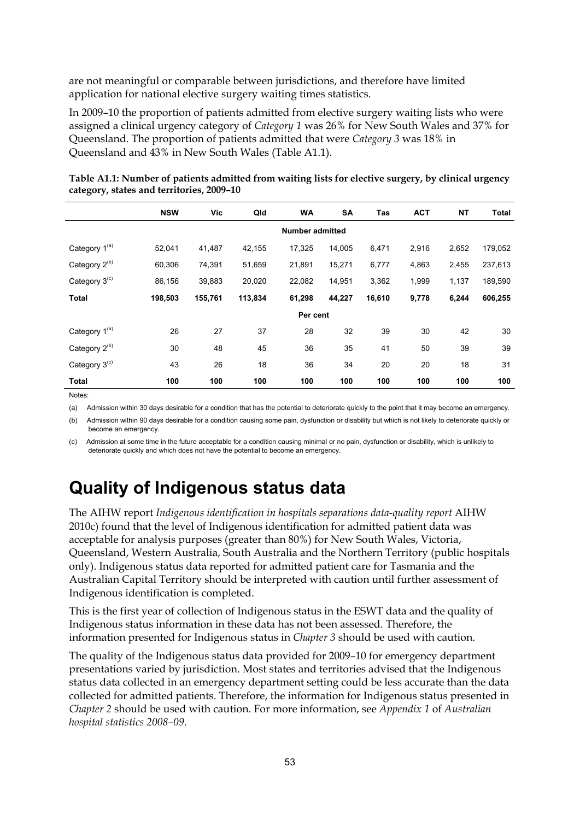are not meaningful or comparable between jurisdictions, and therefore have limited application for national elective surgery waiting times statistics.

In 2009–10 the proportion of patients admitted from elective surgery waiting lists who were assigned a clinical urgency category of *Category 1* was 26% for New South Wales and 37% for Queensland. The proportion of patients admitted that were *Category 3* was 18% in Queensland and 43% in New South Wales (Table A1.1).

|                           | <b>NSW</b> | Vic     | Qld     | <b>WA</b>              | SA     | Tas    | <b>ACT</b> | <b>NT</b> | Total   |
|---------------------------|------------|---------|---------|------------------------|--------|--------|------------|-----------|---------|
|                           |            |         |         | <b>Number admitted</b> |        |        |            |           |         |
| Category 1 <sup>(a)</sup> | 52,041     | 41,487  | 42,155  | 17,325                 | 14,005 | 6,471  | 2,916      | 2,652     | 179,052 |
| Category 2 <sup>(b)</sup> | 60,306     | 74,391  | 51,659  | 21,891                 | 15,271 | 6,777  | 4,863      | 2,455     | 237,613 |
| Category 3 <sup>(c)</sup> | 86,156     | 39,883  | 20,020  | 22,082                 | 14,951 | 3,362  | 1,999      | 1,137     | 189,590 |
| <b>Total</b>              | 198,503    | 155,761 | 113,834 | 61,298                 | 44,227 | 16,610 | 9,778      | 6,244     | 606,255 |
|                           |            |         |         | Per cent               |        |        |            |           |         |
| Category 1 <sup>(a)</sup> | 26         | 27      | 37      | 28                     | 32     | 39     | 30         | 42        | 30      |
| Category 2 <sup>(b)</sup> | 30         | 48      | 45      | 36                     | 35     | 41     | 50         | 39        | 39      |
| Category 3 <sup>(c)</sup> | 43         | 26      | 18      | 36                     | 34     | 20     | 20         | 18        | 31      |
| <b>Total</b>              | 100        | 100     | 100     | 100                    | 100    | 100    | 100        | 100       | 100     |

<span id="page-58-0"></span>**Table A1.1: Number of patients admitted from waiting lists for elective surgery, by clinical urgency category, states and territories, 2009–10** 

Notes:

(a) Admission within 30 days desirable for a condition that has the potential to deteriorate quickly to the point that it may become an emergency.

(b) Admission within 90 days desirable for a condition causing some pain, dysfunction or disability but which is not likely to deteriorate quickly or become an emergency.

(c) Admission at some time in the future acceptable for a condition causing minimal or no pain, dysfunction or disability, which is unlikely to deteriorate quickly and which does not have the potential to become an emergency.

# **Quality of Indigenous status data**

The AIHW report *Indigenous identification in hospitals separations data-quality report* AIHW 2010c) found that the level of Indigenous identification for admitted patient data was acceptable for analysis purposes (greater than 80%) for New South Wales, Victoria, Queensland, Western Australia, South Australia and the Northern Territory (public hospitals only). Indigenous status data reported for admitted patient care for Tasmania and the Australian Capital Territory should be interpreted with caution until further assessment of Indigenous identification is completed.

This is the first year of collection of Indigenous status in the ESWT data and the quality of Indigenous status information in these data has not been assessed. Therefore, the information presented for Indigenous status in *Chapter 3* should be used with caution.

The quality of the Indigenous status data provided for 2009–10 for emergency department presentations varied by jurisdiction. Most states and territories advised that the Indigenous status data collected in an emergency department setting could be less accurate than the data collected for admitted patients. Therefore, the information for Indigenous status presented in *Chapter 2* should be used with caution. For more information, see *Appendix 1* of *Australian hospital statistics 2008–09*.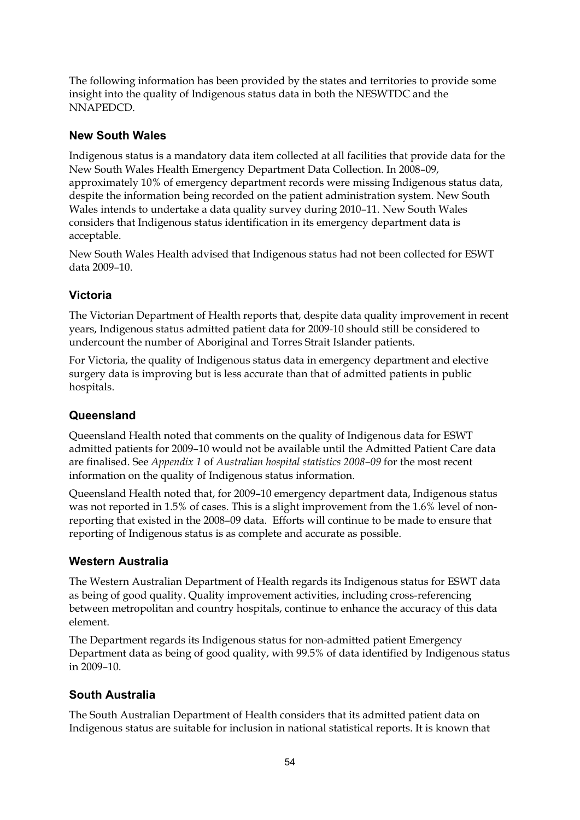The following information has been provided by the states and territories to provide some insight into the quality of Indigenous status data in both the NESWTDC and the NNAPEDCD.

## **New South Wales**

Indigenous status is a mandatory data item collected at all facilities that provide data for the New South Wales Health Emergency Department Data Collection. In 2008–09, approximately 10% of emergency department records were missing Indigenous status data, despite the information being recorded on the patient administration system. New South Wales intends to undertake a data quality survey during 2010–11. New South Wales considers that Indigenous status identification in its emergency department data is acceptable.

New South Wales Health advised that Indigenous status had not been collected for ESWT data 2009–10.

## **Victoria**

The Victorian Department of Health reports that, despite data quality improvement in recent years, Indigenous status admitted patient data for 2009-10 should still be considered to undercount the number of Aboriginal and Torres Strait Islander patients.

For Victoria, the quality of Indigenous status data in emergency department and elective surgery data is improving but is less accurate than that of admitted patients in public hospitals.

## **Queensland**

Queensland Health noted that comments on the quality of Indigenous data for ESWT admitted patients for 2009–10 would not be available until the Admitted Patient Care data are finalised. See *Appendix 1* of *Australian hospital statistics 2008–09* for the most recent information on the quality of Indigenous status information.

Queensland Health noted that, for 2009–10 emergency department data, Indigenous status was not reported in 1.5% of cases. This is a slight improvement from the 1.6% level of nonreporting that existed in the 2008–09 data. Efforts will continue to be made to ensure that reporting of Indigenous status is as complete and accurate as possible.

## **Western Australia**

The Western Australian Department of Health regards its Indigenous status for ESWT data as being of good quality. Quality improvement activities, including cross-referencing between metropolitan and country hospitals, continue to enhance the accuracy of this data element.

The Department regards its Indigenous status for non-admitted patient Emergency Department data as being of good quality, with 99.5% of data identified by Indigenous status in 2009–10.

## **South Australia**

The South Australian Department of Health considers that its admitted patient data on Indigenous status are suitable for inclusion in national statistical reports. It is known that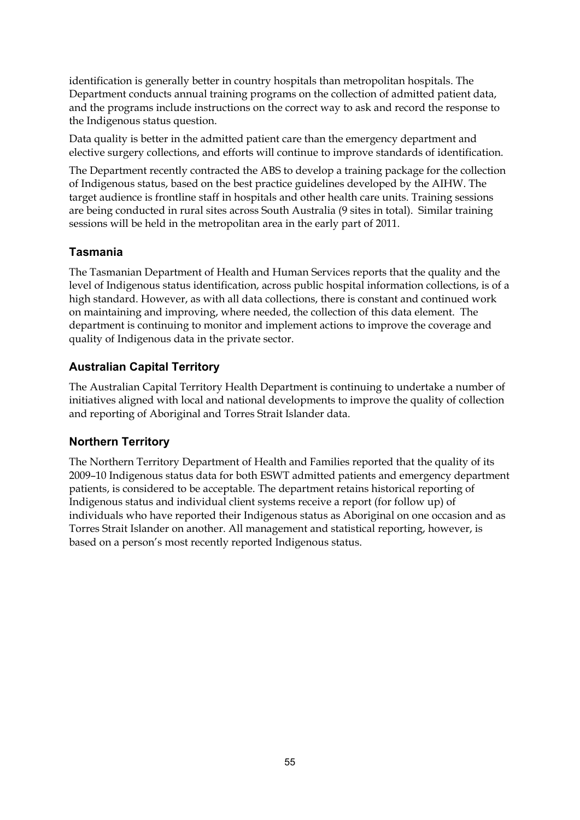identification is generally better in country hospitals than metropolitan hospitals. The Department conducts annual training programs on the collection of admitted patient data, and the programs include instructions on the correct way to ask and record the response to the Indigenous status question.

Data quality is better in the admitted patient care than the emergency department and elective surgery collections, and efforts will continue to improve standards of identification.

The Department recently contracted the ABS to develop a training package for the collection of Indigenous status, based on the best practice guidelines developed by the AIHW. The target audience is frontline staff in hospitals and other health care units. Training sessions are being conducted in rural sites across South Australia (9 sites in total). Similar training sessions will be held in the metropolitan area in the early part of 2011.

### **Tasmania**

The Tasmanian Department of Health and Human Services reports that the quality and the level of Indigenous status identification, across public hospital information collections, is of a high standard. However, as with all data collections, there is constant and continued work on maintaining and improving, where needed, the collection of this data element. The department is continuing to monitor and implement actions to improve the coverage and quality of Indigenous data in the private sector.

## **Australian Capital Territory**

The Australian Capital Territory Health Department is continuing to undertake a number of initiatives aligned with local and national developments to improve the quality of collection and reporting of Aboriginal and Torres Strait Islander data.

## **Northern Territory**

The Northern Territory Department of Health and Families reported that the quality of its 2009–10 Indigenous status data for both ESWT admitted patients and emergency department patients, is considered to be acceptable. The department retains historical reporting of Indigenous status and individual client systems receive a report (for follow up) of individuals who have reported their Indigenous status as Aboriginal on one occasion and as Torres Strait Islander on another. All management and statistical reporting, however, is based on a person's most recently reported Indigenous status.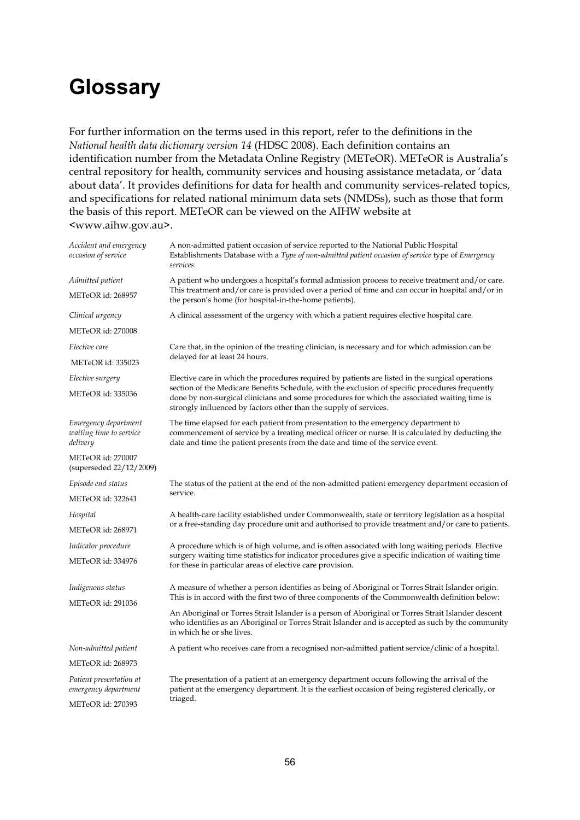# <span id="page-61-0"></span>**Glossary**

For further information on the terms used in this report, refer to the definitions in the *National health data dictionary version 14* (HDSC 2008). Each definition contains an identification number from the Metadata Online Registry (METeOR). METeOR is Australia's central repository for health, community services and housing assistance metadata, or 'data about data'. It provides definitions for data for health and community services-related topics, and specifications for related national minimum data sets (NMDSs), such as those that form the basis of this report. METeOR can be viewed on the AIHW website at <www.aihw.gov.au>.

| Accident and emergency<br>occasion of service               | A non-admitted patient occasion of service reported to the National Public Hospital<br>Establishments Database with a Type of non-admitted patient occasion of service type of Emergency<br>services.                                                                      |  |  |  |  |
|-------------------------------------------------------------|----------------------------------------------------------------------------------------------------------------------------------------------------------------------------------------------------------------------------------------------------------------------------|--|--|--|--|
| Admitted patient                                            | A patient who undergoes a hospital's formal admission process to receive treatment and/or care.                                                                                                                                                                            |  |  |  |  |
| <b>METeOR</b> id: 268957                                    | This treatment and/or care is provided over a period of time and can occur in hospital and/or in<br>the person's home (for hospital-in-the-home patients).                                                                                                                 |  |  |  |  |
| Clinical urgency                                            | A clinical assessment of the urgency with which a patient requires elective hospital care.                                                                                                                                                                                 |  |  |  |  |
| <b>METeOR</b> id: 270008                                    |                                                                                                                                                                                                                                                                            |  |  |  |  |
| Elective care                                               | Care that, in the opinion of the treating clinician, is necessary and for which admission can be                                                                                                                                                                           |  |  |  |  |
| <b>METeOR</b> id: 335023                                    | delayed for at least 24 hours.                                                                                                                                                                                                                                             |  |  |  |  |
| Elective surgery                                            | Elective care in which the procedures required by patients are listed in the surgical operations                                                                                                                                                                           |  |  |  |  |
| <b>METeOR</b> id: 335036                                    | section of the Medicare Benefits Schedule, with the exclusion of specific procedures frequently<br>done by non-surgical clinicians and some procedures for which the associated waiting time is<br>strongly influenced by factors other than the supply of services.       |  |  |  |  |
| Emergency department<br>waiting time to service<br>delivery | The time elapsed for each patient from presentation to the emergency department to<br>commencement of service by a treating medical officer or nurse. It is calculated by deducting the<br>date and time the patient presents from the date and time of the service event. |  |  |  |  |
| <b>METeOR</b> id: 270007<br>(superseded 22/12/2009)         |                                                                                                                                                                                                                                                                            |  |  |  |  |
| Episode end status                                          | The status of the patient at the end of the non-admitted patient emergency department occasion of                                                                                                                                                                          |  |  |  |  |
| <b>METeOR</b> id: 322641                                    | service.                                                                                                                                                                                                                                                                   |  |  |  |  |
| Hospital                                                    | A health-care facility established under Commonwealth, state or territory legislation as a hospital                                                                                                                                                                        |  |  |  |  |
| <b>METeOR</b> id: 268971                                    | or a free-standing day procedure unit and authorised to provide treatment and/or care to patients.                                                                                                                                                                         |  |  |  |  |
| Indicator procedure                                         | A procedure which is of high volume, and is often associated with long waiting periods. Elective                                                                                                                                                                           |  |  |  |  |
| METeOR id: 334976                                           | surgery waiting time statistics for indicator procedures give a specific indication of waiting time<br>for these in particular areas of elective care provision.                                                                                                           |  |  |  |  |
| Indigenous status                                           | A measure of whether a person identifies as being of Aboriginal or Torres Strait Islander origin.                                                                                                                                                                          |  |  |  |  |
| <b>METeOR</b> id: 291036                                    | This is in accord with the first two of three components of the Commonwealth definition below:                                                                                                                                                                             |  |  |  |  |
|                                                             | An Aboriginal or Torres Strait Islander is a person of Aboriginal or Torres Strait Islander descent<br>who identifies as an Aboriginal or Torres Strait Islander and is accepted as such by the community<br>in which he or she lives.                                     |  |  |  |  |
| Non-admitted patient                                        | A patient who receives care from a recognised non-admitted patient service/clinic of a hospital.                                                                                                                                                                           |  |  |  |  |
| <b>METeOR</b> id: 268973                                    |                                                                                                                                                                                                                                                                            |  |  |  |  |
| Patient presentation at<br>emergency department             | The presentation of a patient at an emergency department occurs following the arrival of the<br>patient at the emergency department. It is the earliest occasion of being registered clerically, or                                                                        |  |  |  |  |
| <b>METeOR</b> id: 270393                                    | triaged.                                                                                                                                                                                                                                                                   |  |  |  |  |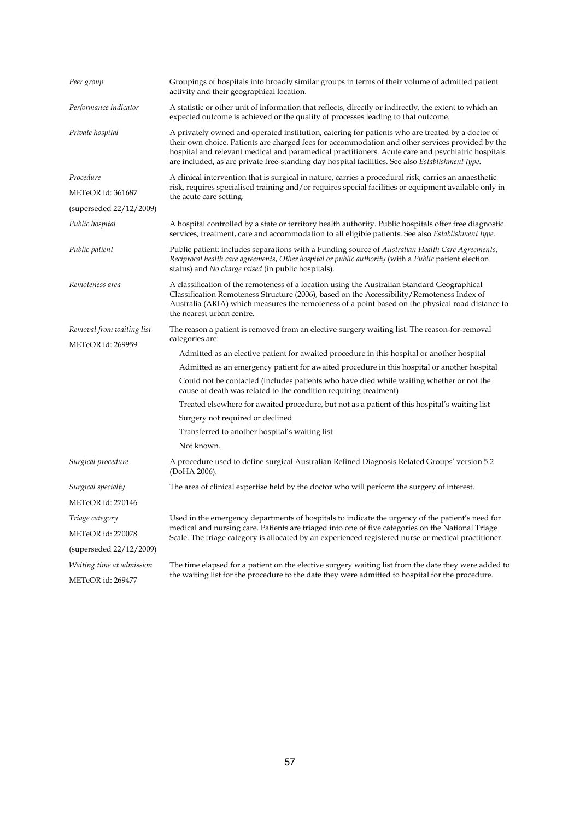| Peer group                | Groupings of hospitals into broadly similar groups in terms of their volume of admitted patient<br>activity and their geographical location.                                                                                                                                                                                                                                                                          |
|---------------------------|-----------------------------------------------------------------------------------------------------------------------------------------------------------------------------------------------------------------------------------------------------------------------------------------------------------------------------------------------------------------------------------------------------------------------|
| Performance indicator     | A statistic or other unit of information that reflects, directly or indirectly, the extent to which an<br>expected outcome is achieved or the quality of processes leading to that outcome.                                                                                                                                                                                                                           |
| Private hospital          | A privately owned and operated institution, catering for patients who are treated by a doctor of<br>their own choice. Patients are charged fees for accommodation and other services provided by the<br>hospital and relevant medical and paramedical practitioners. Acute care and psychiatric hospitals<br>are included, as are private free-standing day hospital facilities. See also <i>Establishment type</i> . |
| Procedure                 | A clinical intervention that is surgical in nature, carries a procedural risk, carries an anaesthetic                                                                                                                                                                                                                                                                                                                 |
| METeOR id: 361687         | risk, requires specialised training and/or requires special facilities or equipment available only in<br>the acute care setting.                                                                                                                                                                                                                                                                                      |
| (superseded 22/12/2009)   |                                                                                                                                                                                                                                                                                                                                                                                                                       |
| Public hospital           | A hospital controlled by a state or territory health authority. Public hospitals offer free diagnostic<br>services, treatment, care and accommodation to all eligible patients. See also Establishment type.                                                                                                                                                                                                          |
| Public patient            | Public patient: includes separations with a Funding source of Australian Health Care Agreements,<br>Reciprocal health care agreements, Other hospital or public authority (with a Public patient election<br>status) and No charge raised (in public hospitals).                                                                                                                                                      |
| Remoteness area           | A classification of the remoteness of a location using the Australian Standard Geographical<br>Classification Remoteness Structure (2006), based on the Accessibility/Remoteness Index of<br>Australia (ARIA) which measures the remoteness of a point based on the physical road distance to<br>the nearest urban centre.                                                                                            |
| Removal from waiting list | The reason a patient is removed from an elective surgery waiting list. The reason-for-removal                                                                                                                                                                                                                                                                                                                         |
| <b>METeOR</b> id: 269959  | categories are:                                                                                                                                                                                                                                                                                                                                                                                                       |
|                           | Admitted as an elective patient for awaited procedure in this hospital or another hospital                                                                                                                                                                                                                                                                                                                            |
|                           | Admitted as an emergency patient for awaited procedure in this hospital or another hospital                                                                                                                                                                                                                                                                                                                           |
|                           | Could not be contacted (includes patients who have died while waiting whether or not the<br>cause of death was related to the condition requiring treatment)                                                                                                                                                                                                                                                          |
|                           | Treated elsewhere for awaited procedure, but not as a patient of this hospital's waiting list                                                                                                                                                                                                                                                                                                                         |
|                           | Surgery not required or declined                                                                                                                                                                                                                                                                                                                                                                                      |
|                           | Transferred to another hospital's waiting list                                                                                                                                                                                                                                                                                                                                                                        |
|                           | Not known.                                                                                                                                                                                                                                                                                                                                                                                                            |
| Surgical procedure        | A procedure used to define surgical Australian Refined Diagnosis Related Groups' version 5.2<br>(DoHA 2006).                                                                                                                                                                                                                                                                                                          |
| Surgical specialty        | The area of clinical expertise held by the doctor who will perform the surgery of interest.                                                                                                                                                                                                                                                                                                                           |
| METeOR id: 270146         |                                                                                                                                                                                                                                                                                                                                                                                                                       |
| Triage category           | Used in the emergency departments of hospitals to indicate the urgency of the patient's need for                                                                                                                                                                                                                                                                                                                      |
| <b>METeOR</b> id: 270078  | medical and nursing care. Patients are triaged into one of five categories on the National Triage<br>Scale. The triage category is allocated by an experienced registered nurse or medical practitioner.                                                                                                                                                                                                              |
| (superseded 22/12/2009)   |                                                                                                                                                                                                                                                                                                                                                                                                                       |
| Waiting time at admission | The time elapsed for a patient on the elective surgery waiting list from the date they were added to                                                                                                                                                                                                                                                                                                                  |
| METeOR id: 269477         | the waiting list for the procedure to the date they were admitted to hospital for the procedure.                                                                                                                                                                                                                                                                                                                      |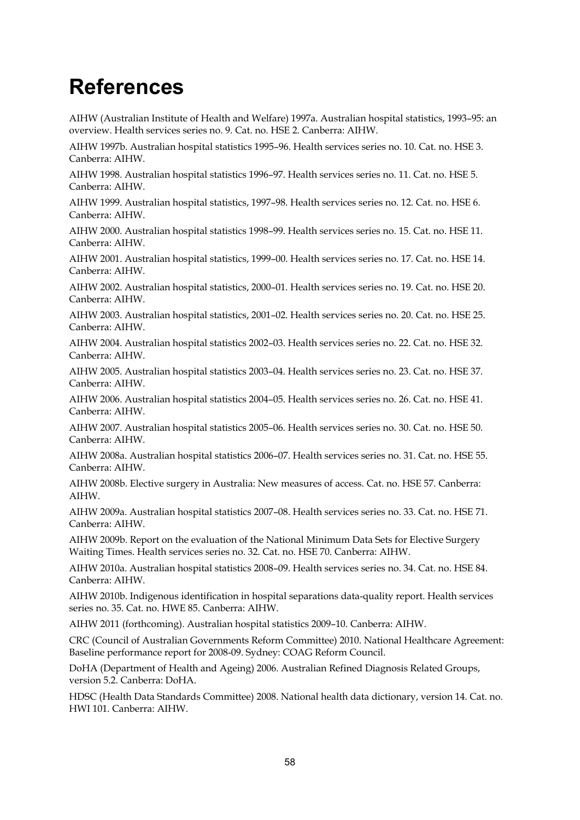# <span id="page-63-0"></span>**References**

AIHW (Australian Institute of Health and Welfare) 1997a. Australian hospital statistics, 1993–95: an overview. Health services series no. 9. Cat. no. HSE 2. Canberra: AIHW.

AIHW 1997b. Australian hospital statistics 1995–96. Health services series no. 10. Cat. no. HSE 3. Canberra: AIHW.

AIHW 1998. Australian hospital statistics 1996–97. Health services series no. 11. Cat. no. HSE 5. Canberra: AIHW.

AIHW 1999. Australian hospital statistics, 1997–98. Health services series no. 12. Cat. no. HSE 6. Canberra: AIHW.

AIHW 2000. Australian hospital statistics 1998–99. Health services series no. 15. Cat. no. HSE 11. Canberra: AIHW.

AIHW 2001. Australian hospital statistics, 1999–00. Health services series no. 17. Cat. no. HSE 14. Canberra: AIHW.

AIHW 2002. Australian hospital statistics, 2000–01. Health services series no. 19. Cat. no. HSE 20. Canberra: AIHW.

AIHW 2003. Australian hospital statistics, 2001–02. Health services series no. 20. Cat. no. HSE 25. Canberra: AIHW.

AIHW 2004. Australian hospital statistics 2002–03. Health services series no. 22. Cat. no. HSE 32. Canberra: AIHW.

AIHW 2005. Australian hospital statistics 2003–04. Health services series no. 23. Cat. no. HSE 37. Canberra: AIHW.

AIHW 2006. Australian hospital statistics 2004–05. Health services series no. 26. Cat. no. HSE 41. Canberra: AIHW.

AIHW 2007. Australian hospital statistics 2005–06. Health services series no. 30. Cat. no. HSE 50. Canberra: AIHW.

AIHW 2008a. Australian hospital statistics 2006–07. Health services series no. 31. Cat. no. HSE 55. Canberra: AIHW.

AIHW 2008b. Elective surgery in Australia: New measures of access. Cat. no. HSE 57. Canberra: AIHW.

AIHW 2009a. Australian hospital statistics 2007–08. Health services series no. 33. Cat. no. HSE 71. Canberra: AIHW.

AIHW 2009b. Report on the evaluation of the National Minimum Data Sets for Elective Surgery Waiting Times. Health services series no. 32. Cat. no. HSE 70. Canberra: AIHW.

AIHW 2010a. Australian hospital statistics 2008–09. Health services series no. 34. Cat. no. HSE 84. Canberra: AIHW.

AIHW 2010b. Indigenous identification in hospital separations data-quality report. Health services series no. 35. Cat. no. HWE 85. Canberra: AIHW.

AIHW 2011 (forthcoming). Australian hospital statistics 2009–10. Canberra: AIHW.

CRC (Council of Australian Governments Reform Committee) 2010. National Healthcare Agreement: Baseline performance report for 2008-09. Sydney: COAG Reform Council.

DoHA (Department of Health and Ageing) 2006. Australian Refined Diagnosis Related Groups, version 5.2. Canberra: DoHA.

HDSC (Health Data Standards Committee) 2008. National health data dictionary, version 14. Cat. no. HWI 101. Canberra: AIHW.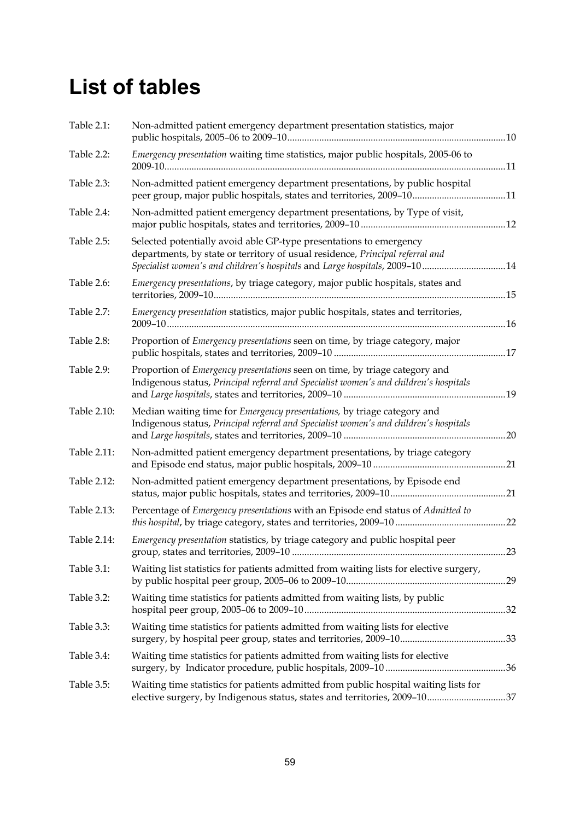# <span id="page-64-0"></span>**List of tables**

| Table 2.1:  | Non-admitted patient emergency department presentation statistics, major                                                                                                                                                          |     |
|-------------|-----------------------------------------------------------------------------------------------------------------------------------------------------------------------------------------------------------------------------------|-----|
| Table 2.2:  | Emergency presentation waiting time statistics, major public hospitals, 2005-06 to                                                                                                                                                |     |
| Table 2.3:  | Non-admitted patient emergency department presentations, by public hospital<br>peer group, major public hospitals, states and territories, 2009-1011                                                                              |     |
| Table 2.4:  | Non-admitted patient emergency department presentations, by Type of visit,                                                                                                                                                        |     |
| Table 2.5:  | Selected potentially avoid able GP-type presentations to emergency<br>departments, by state or territory of usual residence, Principal referral and<br>Specialist women's and children's hospitals and Large hospitals, 2009-1014 |     |
| Table 2.6:  | Emergency presentations, by triage category, major public hospitals, states and                                                                                                                                                   |     |
| Table 2.7:  | Emergency presentation statistics, major public hospitals, states and territories,                                                                                                                                                |     |
| Table 2.8:  | Proportion of Emergency presentations seen on time, by triage category, major                                                                                                                                                     |     |
| Table 2.9:  | Proportion of <i>Emergency presentations</i> seen on time, by triage category and<br>Indigenous status, Principal referral and Specialist women's and children's hospitals                                                        |     |
| Table 2.10: | Median waiting time for Emergency presentations, by triage category and<br>Indigenous status, Principal referral and Specialist women's and children's hospitals                                                                  |     |
| Table 2.11: | Non-admitted patient emergency department presentations, by triage category                                                                                                                                                       |     |
| Table 2.12: | Non-admitted patient emergency department presentations, by Episode end                                                                                                                                                           |     |
| Table 2.13: | Percentage of Emergency presentations with an Episode end status of Admitted to                                                                                                                                                   |     |
| Table 2.14: | Emergency presentation statistics, by triage category and public hospital peer                                                                                                                                                    | .23 |
| Table 3.1:  | Waiting list statistics for patients admitted from waiting lists for elective surgery,                                                                                                                                            |     |
| Table 3.2:  | Waiting time statistics for patients admitted from waiting lists, by public                                                                                                                                                       |     |
| Table 3.3:  | Waiting time statistics for patients admitted from waiting lists for elective                                                                                                                                                     |     |
| Table 3.4:  | Waiting time statistics for patients admitted from waiting lists for elective                                                                                                                                                     |     |
| Table 3.5:  | Waiting time statistics for patients admitted from public hospital waiting lists for<br>elective surgery, by Indigenous status, states and territories, 2009-1037                                                                 |     |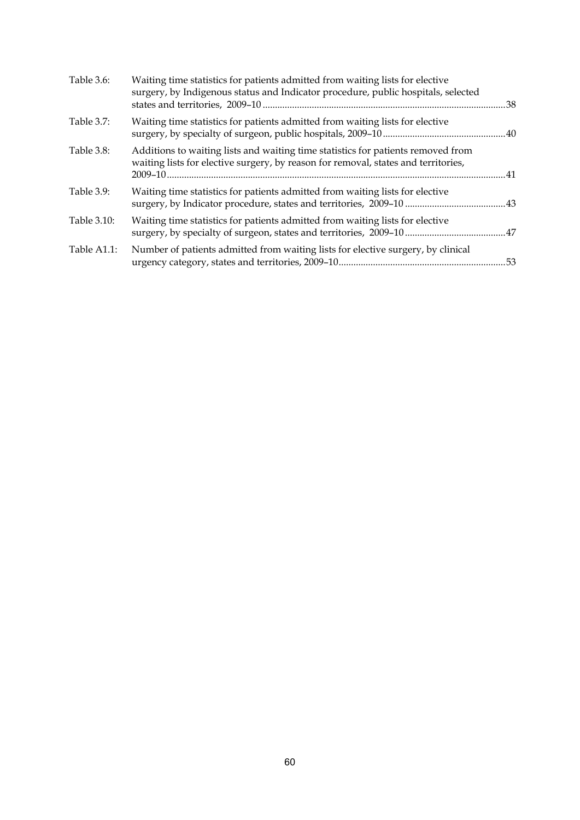| Table 3.6:  | Waiting time statistics for patients admitted from waiting lists for elective<br>surgery, by Indigenous status and Indicator procedure, public hospitals, selected     |     |
|-------------|------------------------------------------------------------------------------------------------------------------------------------------------------------------------|-----|
| Table 3.7:  | Waiting time statistics for patients admitted from waiting lists for elective                                                                                          |     |
| Table 3.8:  | Additions to waiting lists and waiting time statistics for patients removed from<br>waiting lists for elective surgery, by reason for removal, states and territories, |     |
| Table 3.9:  | Waiting time statistics for patients admitted from waiting lists for elective                                                                                          |     |
| Table 3.10: | Waiting time statistics for patients admitted from waiting lists for elective                                                                                          |     |
| Table A1.1: | Number of patients admitted from waiting lists for elective surgery, by clinical                                                                                       | .53 |